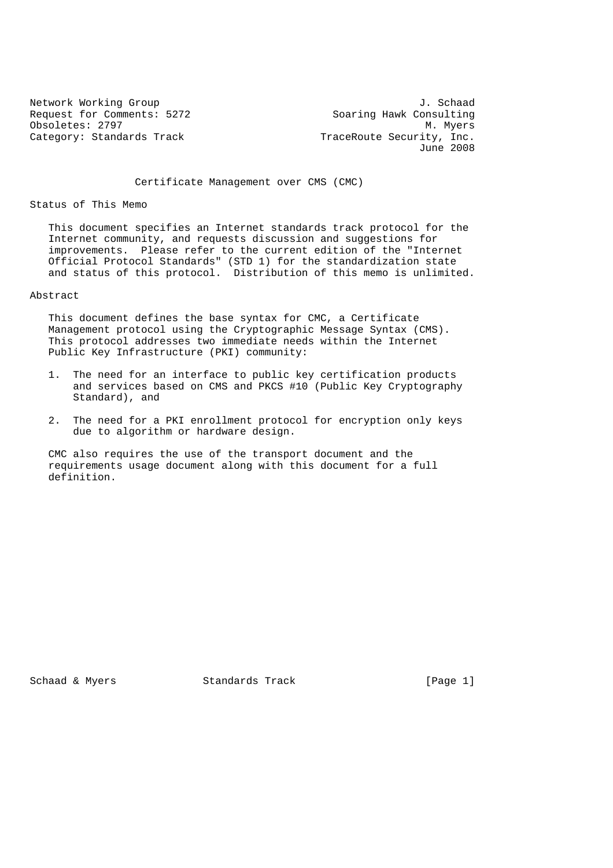Request for Comments: 5272 Obsoletes: 2797 M. Myers<br>Category: Standards Track The Music Category: Standards Track

Network Working Group J. Schaad<br>Request for Comments: 5272 Soaring Hawk Consulting TraceRoute Security, Inc. June 2008

Certificate Management over CMS (CMC)

Status of This Memo

 This document specifies an Internet standards track protocol for the Internet community, and requests discussion and suggestions for improvements. Please refer to the current edition of the "Internet Official Protocol Standards" (STD 1) for the standardization state and status of this protocol. Distribution of this memo is unlimited.

# Abstract

 This document defines the base syntax for CMC, a Certificate Management protocol using the Cryptographic Message Syntax (CMS). This protocol addresses two immediate needs within the Internet Public Key Infrastructure (PKI) community:

- 1. The need for an interface to public key certification products and services based on CMS and PKCS #10 (Public Key Cryptography Standard), and
- 2. The need for a PKI enrollment protocol for encryption only keys due to algorithm or hardware design.

 CMC also requires the use of the transport document and the requirements usage document along with this document for a full definition.

Schaad & Myers Standards Track [Page 1]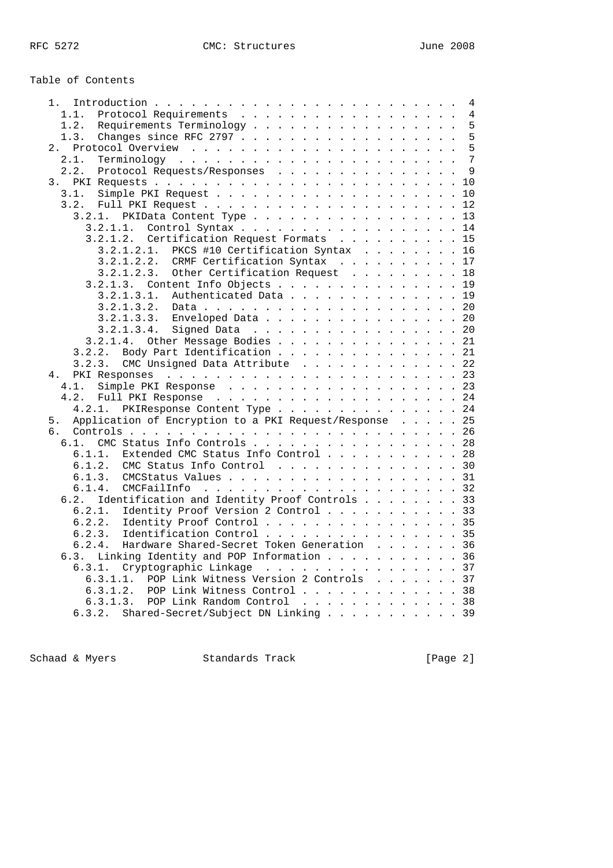Table of Contents

|                                                              |  |  | 4 |
|--------------------------------------------------------------|--|--|---|
| 1.1.<br>Protocol Requirements                                |  |  | 4 |
| 1.2.<br>Requirements Terminology                             |  |  | 5 |
| 1.3.                                                         |  |  | 5 |
| 2.                                                           |  |  | 5 |
|                                                              |  |  |   |
| 2.1.                                                         |  |  |   |
| 2.2.<br>Protocol Requests/Responses                          |  |  | 9 |
|                                                              |  |  |   |
| 3.1.                                                         |  |  |   |
| 3.2.                                                         |  |  |   |
| 3.2.1. PKIData Content Type 13                               |  |  |   |
|                                                              |  |  |   |
| 3.2.1.1. Control Syntax 14                                   |  |  |   |
| 3.2.1.2. Certification Request Formats 15                    |  |  |   |
| $3.2.1.2.1.$ PKCS #10 Certification Syntax 16                |  |  |   |
| 3.2.1.2.2. CRMF Certification Syntax 17                      |  |  |   |
| 3.2.1.2.3. Other Certification Request 18                    |  |  |   |
| 3.2.1.3. Content Info Objects 19                             |  |  |   |
|                                                              |  |  |   |
| Authenticated Data 19<br>3.2.1.3.1.                          |  |  |   |
| 3.2.1.3.2.                                                   |  |  |   |
| 3.2.1.3.3. Enveloped Data 20                                 |  |  |   |
| 3.2.1.3.4.<br>Signed Data 20                                 |  |  |   |
| 3.2.1.4. Other Message Bodies 21                             |  |  |   |
| 3.2.2. Body Part Identification 21                           |  |  |   |
| CMC Unsigned Data Attribute 22<br>3.2.3.                     |  |  |   |
| 4.                                                           |  |  |   |
|                                                              |  |  |   |
| 4.1.<br>Simple PKI Response 23                               |  |  |   |
|                                                              |  |  |   |
| 4.2.1. PKIResponse Content Type 24                           |  |  |   |
| Application of Encryption to a PKI Request/Response 25<br>5. |  |  |   |
| б.                                                           |  |  |   |
| 6.1. CMC Status Info Controls 28                             |  |  |   |
| 6.1.1. Extended CMC Status Info Control 28                   |  |  |   |
|                                                              |  |  |   |
| CMC Status Info Control 30<br>6.1.2.                         |  |  |   |
| 6.1.3.<br>CMCStatus Values 31                                |  |  |   |
| 6.1.4.                                                       |  |  |   |
| Identification and Identity Proof Controls 33<br>6.2.        |  |  |   |
| Identity Proof Version 2 Control 33<br>6.2.1.                |  |  |   |
| 6.2.2.<br>Identity Proof Control 35                          |  |  |   |
| Identification Control 35                                    |  |  |   |
| 6.2.3.                                                       |  |  |   |
| Hardware Shared-Secret Token Generation 36<br>6.2.4.         |  |  |   |
| 6.3. Linking Identity and POP Information 36                 |  |  |   |
| Cryptographic Linkage 37<br>6.3.1.                           |  |  |   |
| 6.3.1.1. POP Link Witness Version 2 Controls 37              |  |  |   |
| 6.3.1.2. POP Link Witness Control 38                         |  |  |   |
| 6.3.1.3. POP Link Random Control 38                          |  |  |   |
|                                                              |  |  |   |
| 6.3.2. Shared-Secret/Subject DN Linking 39                   |  |  |   |

Schaad & Myers Standards Track [Page 2]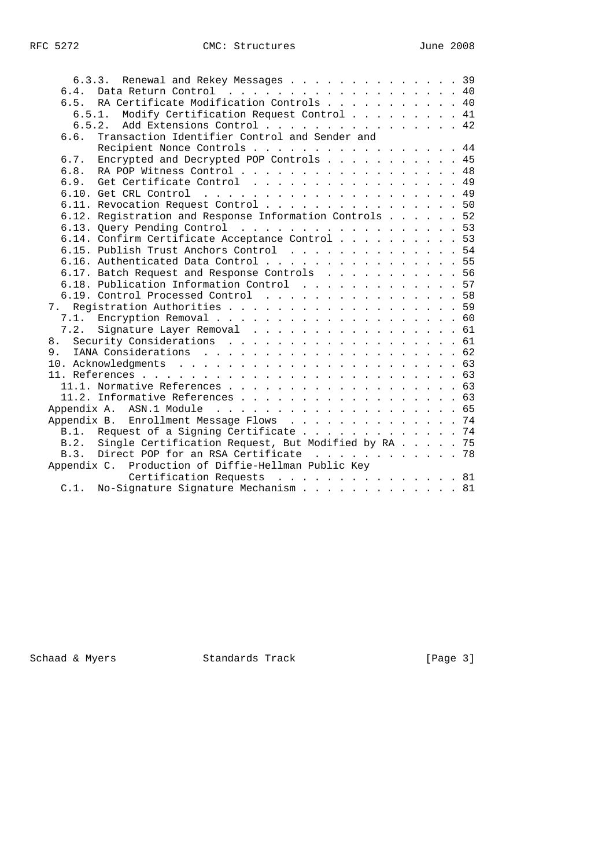|    | 6.3.3. Renewal and Rekey Messages 39                     |  |  |  |
|----|----------------------------------------------------------|--|--|--|
|    | 6.4. Data Return Control 40                              |  |  |  |
|    | 6.5. RA Certificate Modification Controls 40             |  |  |  |
|    | 6.5.1. Modify Certification Request Control 41           |  |  |  |
|    | 6.5.2. Add Extensions Control 42                         |  |  |  |
|    | Transaction Identifier Control and Sender and<br>6.6.    |  |  |  |
|    | Recipient Nonce Controls 44                              |  |  |  |
|    | 6.7. Encrypted and Decrypted POP Controls 45             |  |  |  |
|    | 6.8. RA POP Witness Control 48                           |  |  |  |
|    | 6.9. Get Certificate Control 49                          |  |  |  |
|    |                                                          |  |  |  |
|    | 6.11. Revocation Request Control 50                      |  |  |  |
|    | 6.12. Registration and Response Information Controls 52  |  |  |  |
|    | 6.13. Query Pending Control 53                           |  |  |  |
|    | 6.14. Confirm Certificate Acceptance Control 53          |  |  |  |
|    | 6.15. Publish Trust Anchors Control 54                   |  |  |  |
|    | 6.16. Authenticated Data Control 55                      |  |  |  |
|    | 6.17. Batch Request and Response Controls 56             |  |  |  |
|    | 6.18. Publication Information Control 57                 |  |  |  |
|    | 6.19. Control Processed Control 58                       |  |  |  |
|    |                                                          |  |  |  |
|    |                                                          |  |  |  |
|    | 7.2. Signature Layer Removal 61                          |  |  |  |
| 8. | Security Considerations 61                               |  |  |  |
|    |                                                          |  |  |  |
|    |                                                          |  |  |  |
|    |                                                          |  |  |  |
|    |                                                          |  |  |  |
|    | 11.2. Informative References 63                          |  |  |  |
|    |                                                          |  |  |  |
|    | Appendix B. Enrollment Message Flows 74                  |  |  |  |
|    | B.1. Request of a Signing Certificate 74                 |  |  |  |
|    | B.2. Single Certification Request, But Modified by RA 75 |  |  |  |
|    | B.3. Direct POP for an RSA Certificate 78                |  |  |  |
|    | Appendix C. Production of Diffie-Hellman Public Key      |  |  |  |
|    | Certification Requests 81                                |  |  |  |
|    | C.1. No-Signature Signature Mechanism 81                 |  |  |  |

Schaad & Myers Standards Track [Page 3]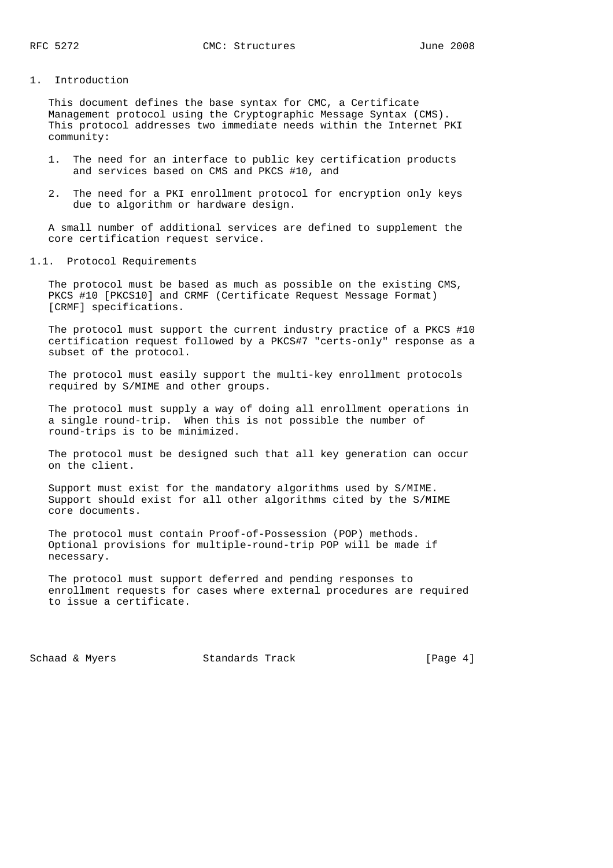#### 1. Introduction

 This document defines the base syntax for CMC, a Certificate Management protocol using the Cryptographic Message Syntax (CMS). This protocol addresses two immediate needs within the Internet PKI community:

- 1. The need for an interface to public key certification products and services based on CMS and PKCS #10, and
- 2. The need for a PKI enrollment protocol for encryption only keys due to algorithm or hardware design.

 A small number of additional services are defined to supplement the core certification request service.

1.1. Protocol Requirements

 The protocol must be based as much as possible on the existing CMS, PKCS #10 [PKCS10] and CRMF (Certificate Request Message Format) [CRMF] specifications.

 The protocol must support the current industry practice of a PKCS #10 certification request followed by a PKCS#7 "certs-only" response as a subset of the protocol.

 The protocol must easily support the multi-key enrollment protocols required by S/MIME and other groups.

 The protocol must supply a way of doing all enrollment operations in a single round-trip. When this is not possible the number of round-trips is to be minimized.

 The protocol must be designed such that all key generation can occur on the client.

 Support must exist for the mandatory algorithms used by S/MIME. Support should exist for all other algorithms cited by the S/MIME core documents.

 The protocol must contain Proof-of-Possession (POP) methods. Optional provisions for multiple-round-trip POP will be made if necessary.

 The protocol must support deferred and pending responses to enrollment requests for cases where external procedures are required to issue a certificate.

Schaad & Myers Standards Track [Page 4]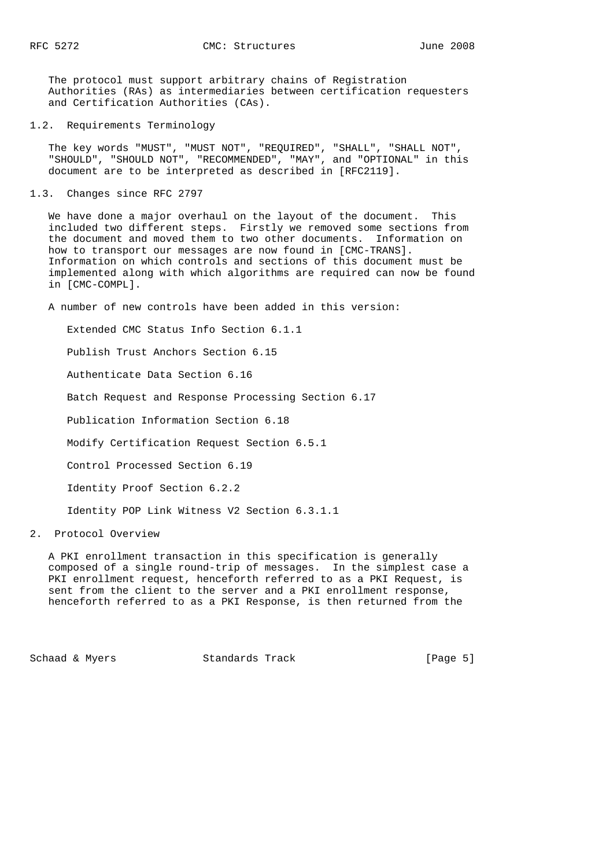The protocol must support arbitrary chains of Registration Authorities (RAs) as intermediaries between certification requesters and Certification Authorities (CAs).

### 1.2. Requirements Terminology

 The key words "MUST", "MUST NOT", "REQUIRED", "SHALL", "SHALL NOT", "SHOULD", "SHOULD NOT", "RECOMMENDED", "MAY", and "OPTIONAL" in this document are to be interpreted as described in [RFC2119].

## 1.3. Changes since RFC 2797

 We have done a major overhaul on the layout of the document. This included two different steps. Firstly we removed some sections from the document and moved them to two other documents. Information on how to transport our messages are now found in [CMC-TRANS]. Information on which controls and sections of this document must be implemented along with which algorithms are required can now be found in [CMC-COMPL].

A number of new controls have been added in this version:

Extended CMC Status Info Section 6.1.1

Publish Trust Anchors Section 6.15

Authenticate Data Section 6.16

Batch Request and Response Processing Section 6.17

Publication Information Section 6.18

Modify Certification Request Section 6.5.1

Control Processed Section 6.19

Identity Proof Section 6.2.2

Identity POP Link Witness V2 Section 6.3.1.1

2. Protocol Overview

 A PKI enrollment transaction in this specification is generally composed of a single round-trip of messages. In the simplest case a PKI enrollment request, henceforth referred to as a PKI Request, is sent from the client to the server and a PKI enrollment response, henceforth referred to as a PKI Response, is then returned from the

Schaad & Myers Standards Track [Page 5]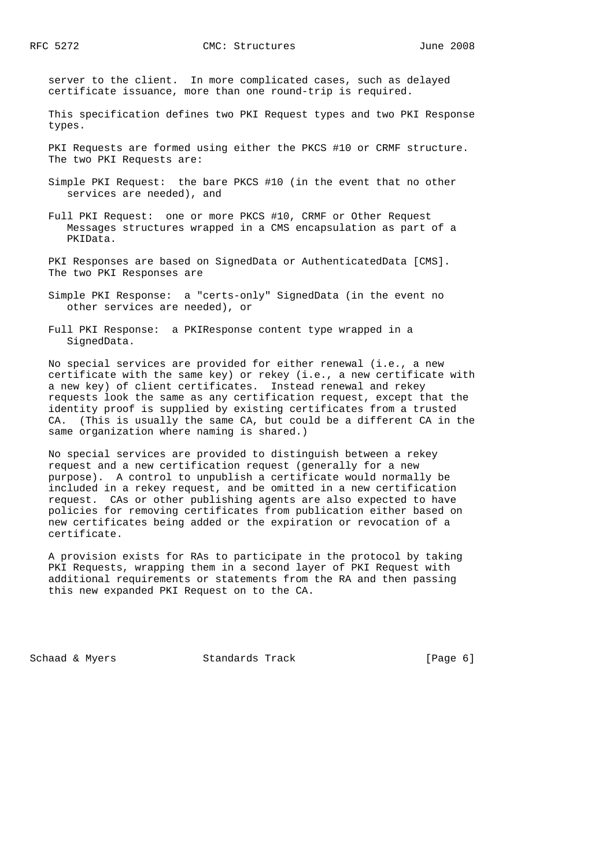server to the client. In more complicated cases, such as delayed certificate issuance, more than one round-trip is required.

 This specification defines two PKI Request types and two PKI Response types.

 PKI Requests are formed using either the PKCS #10 or CRMF structure. The two PKI Requests are:

- Simple PKI Request: the bare PKCS #10 (in the event that no other services are needed), and
- Full PKI Request: one or more PKCS #10, CRMF or Other Request Messages structures wrapped in a CMS encapsulation as part of a PKIData.
- PKI Responses are based on SignedData or AuthenticatedData [CMS]. The two PKI Responses are
- Simple PKI Response: a "certs-only" SignedData (in the event no other services are needed), or
- Full PKI Response: a PKIResponse content type wrapped in a SignedData.

 No special services are provided for either renewal (i.e., a new certificate with the same key) or rekey (i.e., a new certificate with a new key) of client certificates. Instead renewal and rekey requests look the same as any certification request, except that the identity proof is supplied by existing certificates from a trusted CA. (This is usually the same CA, but could be a different CA in the same organization where naming is shared.)

 No special services are provided to distinguish between a rekey request and a new certification request (generally for a new purpose). A control to unpublish a certificate would normally be included in a rekey request, and be omitted in a new certification request. CAs or other publishing agents are also expected to have policies for removing certificates from publication either based on new certificates being added or the expiration or revocation of a certificate.

 A provision exists for RAs to participate in the protocol by taking PKI Requests, wrapping them in a second layer of PKI Request with additional requirements or statements from the RA and then passing this new expanded PKI Request on to the CA.

Schaad & Myers **Standards Track** [Page 6]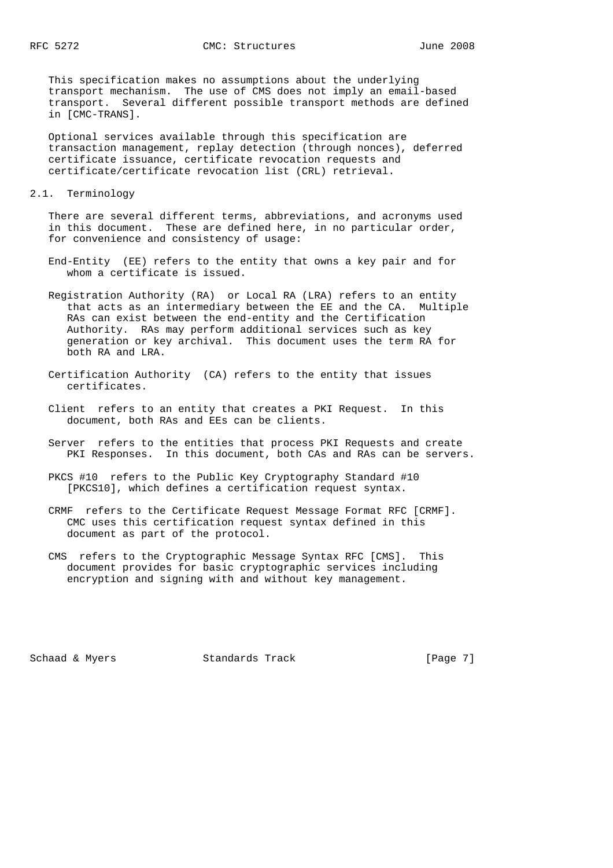This specification makes no assumptions about the underlying transport mechanism. The use of CMS does not imply an email-based transport. Several different possible transport methods are defined in [CMC-TRANS].

 Optional services available through this specification are transaction management, replay detection (through nonces), deferred certificate issuance, certificate revocation requests and certificate/certificate revocation list (CRL) retrieval.

#### 2.1. Terminology

 There are several different terms, abbreviations, and acronyms used in this document. These are defined here, in no particular order, for convenience and consistency of usage:

- End-Entity (EE) refers to the entity that owns a key pair and for whom a certificate is issued.
- Registration Authority (RA) or Local RA (LRA) refers to an entity that acts as an intermediary between the EE and the CA. Multiple RAs can exist between the end-entity and the Certification Authority. RAs may perform additional services such as key generation or key archival. This document uses the term RA for both RA and LRA.
- Certification Authority (CA) refers to the entity that issues certificates.
- Client refers to an entity that creates a PKI Request. In this document, both RAs and EEs can be clients.
- Server refers to the entities that process PKI Requests and create PKI Responses. In this document, both CAs and RAs can be servers.
- PKCS #10 refers to the Public Key Cryptography Standard #10 [PKCS10], which defines a certification request syntax.
- CRMF refers to the Certificate Request Message Format RFC [CRMF]. CMC uses this certification request syntax defined in this document as part of the protocol.
- CMS refers to the Cryptographic Message Syntax RFC [CMS]. This document provides for basic cryptographic services including encryption and signing with and without key management.

Schaad & Myers Standards Track [Page 7]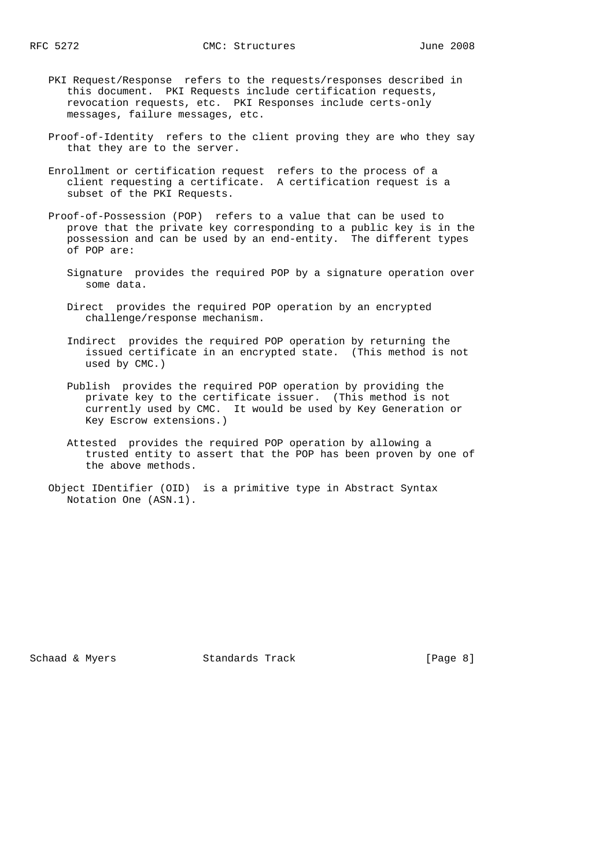- PKI Request/Response refers to the requests/responses described in this document. PKI Requests include certification requests, revocation requests, etc. PKI Responses include certs-only messages, failure messages, etc.
- Proof-of-Identity refers to the client proving they are who they say that they are to the server.
- Enrollment or certification request refers to the process of a client requesting a certificate. A certification request is a subset of the PKI Requests.
- Proof-of-Possession (POP) refers to a value that can be used to prove that the private key corresponding to a public key is in the possession and can be used by an end-entity. The different types of POP are:
	- Signature provides the required POP by a signature operation over some data.
	- Direct provides the required POP operation by an encrypted challenge/response mechanism.
	- Indirect provides the required POP operation by returning the issued certificate in an encrypted state. (This method is not used by CMC.)
	- Publish provides the required POP operation by providing the private key to the certificate issuer. (This method is not currently used by CMC. It would be used by Key Generation or Key Escrow extensions.)
	- Attested provides the required POP operation by allowing a trusted entity to assert that the POP has been proven by one of the above methods.
- Object IDentifier (OID) is a primitive type in Abstract Syntax Notation One (ASN.1).

Schaad & Myers Standards Track [Page 8]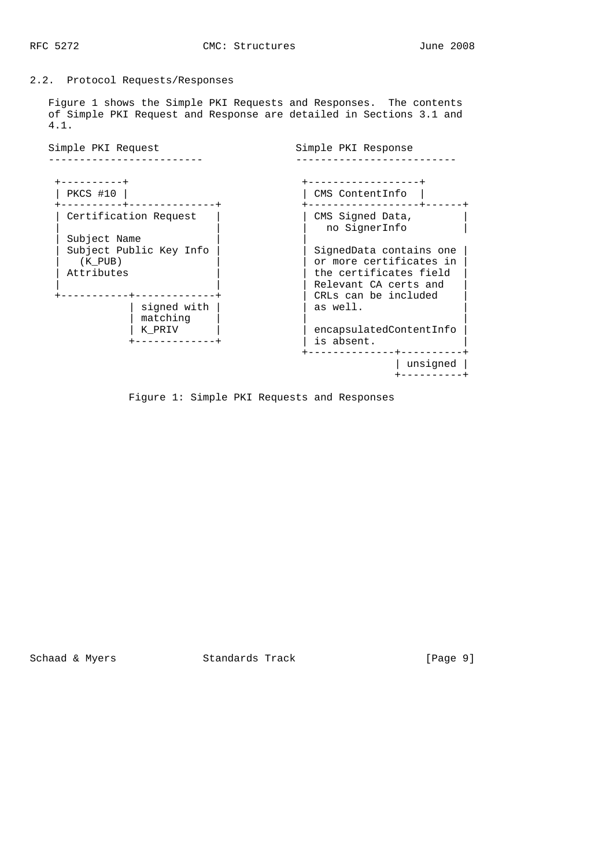# 2.2. Protocol Requests/Responses

 Figure 1 shows the Simple PKI Requests and Responses. The contents of Simple PKI Request and Response are detailed in Sections 3.1 and 4.1.

| Simple PKI Request                                                            | Simple PKI Response                                                                                                           |
|-------------------------------------------------------------------------------|-------------------------------------------------------------------------------------------------------------------------------|
| ---------+<br>PKCS #10                                                        | ---------------+<br>CMS ContentInfo                                                                                           |
| Certification Request<br>Subject Name                                         | CMS Signed Data,<br>no SignerInfo                                                                                             |
| Subject Public Key Info<br>$(K$ PUB)<br>Attributes<br>. + - - - - - - - - - - | SignedData contains one<br>or more certificates in<br>the certificates field<br>Relevant CA certs and<br>CRLs can be included |
| signed with<br>matching                                                       | as well.                                                                                                                      |
| K PRIV<br>----------+                                                         | encapsulatedContentInfo<br>is absent.                                                                                         |
|                                                                               | unsigned                                                                                                                      |

Figure 1: Simple PKI Requests and Responses

Schaad & Myers **Standards Track** [Page 9]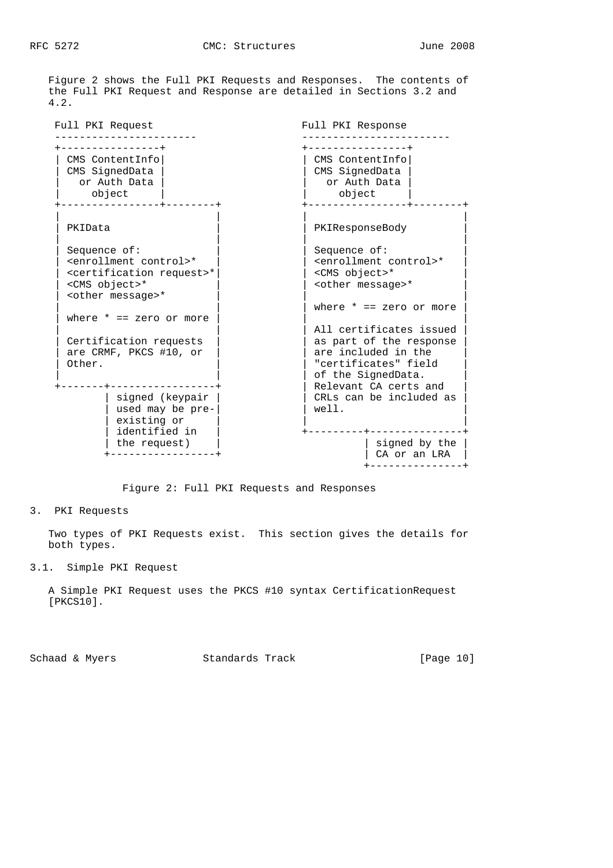Figure 2 shows the Full PKI Requests and Responses. The contents of the Full PKI Request and Response are detailed in Sections 3.2 and 4.2.

Full PKI Request The Full PKI Response ----------------------- ------------------------ +----------------+ +----------------+ | CMS ContentInfo| | CMS ContentInfo| | CMS SignedData | | CMS SignedData | or Auth Data |  $\overline{)}$  or Auth Data | | object | | object | +----------------+--------+ +----------------+--------+ | | | | PKIData | | | | | | PKIResponseBody | | | | Sequence of:  $\left.\begin{matrix} \end{matrix}\right|$   $\left.\begin{matrix} \end{matrix}\right|$  Sequence of:<br>  $\begin{matrix} \end{matrix}$  <enrollment control>\*<br>  $\begin{matrix} \end{matrix}$  <certification request>\*<br>  $\begin{matrix} \end{matrix}$   $\begin{matrix} \end{matrix}$  <CMS object>\* | <enrollment control>\* | | <enrollment control>\* |  $<$  certification request>\* | <CMS object>\* | | <other message>\* | | <other message>\* | | | where  $* == zero$  or more where  $* == zero or more |$ | All certificates issued<br>| as part of the response | Certification requests |  $\qquad$  | as part of the response | | are CRMF, PKCS #10, or |  $\vert$  are included in the  $\vert$ are CRMF, PKCS #10, or  $\begin{vmatrix} 1 & 0 & 0 \\ 0 & 1 & 0 \\ 0 & 0 & 1 \end{vmatrix}$  are included in the  $|$  of the SignedData. +-------+------------------+ | Relevant CA certs and | signed (keypair | | CRLs can be included as | | used may be pre- $|$   $|$  well.  $|$  well.  $|$  $\begin{array}{|c|c|c|c|}\n\hline \text{e}\xspace\text{s} & \text{if } \text{f}\xspace\text{c} & \text{if } \text{f}\xspace\text{c} & \text{if } \text{f}\xspace\text{c} & \text{if } \text{f}\xspace\text{c} & \text{if } \text{f}\xspace\text{c} & \text{if } \text{f}\xspace\text{c} & \text{if } \text{f}\xspace\text{c} & \text{if } \text{f}\xspace\text{c} & \text{if } \text{f}\xspace\text{c} & \text{if } \text{f}\xspace\text{c} & \text{if } \text{$  | identified in | +---------+---------------+ | the request)  $|$  |  $|$  signed by the  $|$  +-----------------+ | CA or an LRA | +---------------+

Figure 2: Full PKI Requests and Responses

3. PKI Requests

 Two types of PKI Requests exist. This section gives the details for both types.

3.1. Simple PKI Request

 A Simple PKI Request uses the PKCS #10 syntax CertificationRequest [PKCS10].

Schaad & Myers Standards Track [Page 10]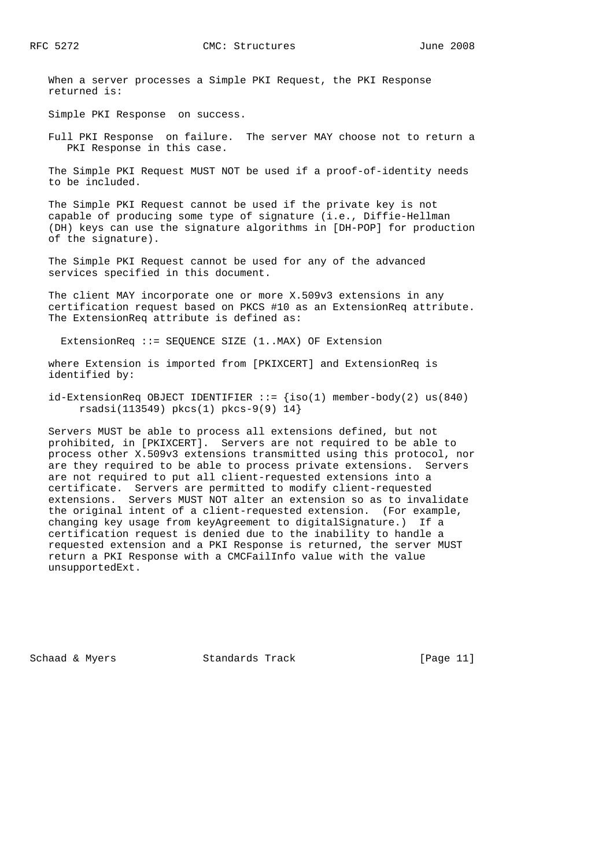When a server processes a Simple PKI Request, the PKI Response returned is:

Simple PKI Response on success.

 Full PKI Response on failure. The server MAY choose not to return a PKI Response in this case.

 The Simple PKI Request MUST NOT be used if a proof-of-identity needs to be included.

 The Simple PKI Request cannot be used if the private key is not capable of producing some type of signature (i.e., Diffie-Hellman (DH) keys can use the signature algorithms in [DH-POP] for production of the signature).

 The Simple PKI Request cannot be used for any of the advanced services specified in this document.

 The client MAY incorporate one or more X.509v3 extensions in any certification request based on PKCS #10 as an ExtensionReq attribute. The ExtensionReq attribute is defined as:

ExtensionReq ::= SEQUENCE SIZE (1..MAX) OF Extension

 where Extension is imported from [PKIXCERT] and ExtensionReq is identified by:

 $id$ -ExtensionReq OBJECT IDENTIFIER  $::$   ${iso(1)$  member-body(2) us(840) rsadsi(113549) pkcs(1) pkcs-9(9) 14}

 Servers MUST be able to process all extensions defined, but not prohibited, in [PKIXCERT]. Servers are not required to be able to process other X.509v3 extensions transmitted using this protocol, nor are they required to be able to process private extensions. Servers are not required to put all client-requested extensions into a certificate. Servers are permitted to modify client-requested extensions. Servers MUST NOT alter an extension so as to invalidate the original intent of a client-requested extension. (For example, changing key usage from keyAgreement to digitalSignature.) If a certification request is denied due to the inability to handle a requested extension and a PKI Response is returned, the server MUST return a PKI Response with a CMCFailInfo value with the value unsupportedExt.

Schaad & Myers Standards Track [Page 11]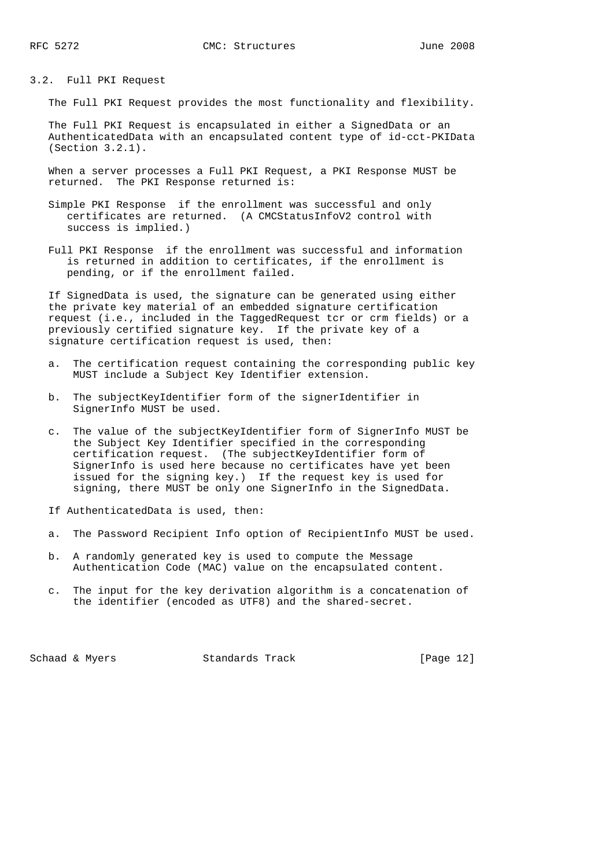3.2. Full PKI Request

The Full PKI Request provides the most functionality and flexibility.

 The Full PKI Request is encapsulated in either a SignedData or an AuthenticatedData with an encapsulated content type of id-cct-PKIData (Section 3.2.1).

 When a server processes a Full PKI Request, a PKI Response MUST be returned. The PKI Response returned is:

- Simple PKI Response if the enrollment was successful and only certificates are returned. (A CMCStatusInfoV2 control with success is implied.)
- Full PKI Response if the enrollment was successful and information is returned in addition to certificates, if the enrollment is pending, or if the enrollment failed.

 If SignedData is used, the signature can be generated using either the private key material of an embedded signature certification request (i.e., included in the TaggedRequest tcr or crm fields) or a previously certified signature key. If the private key of a signature certification request is used, then:

- a. The certification request containing the corresponding public key MUST include a Subject Key Identifier extension.
- b. The subjectKeyIdentifier form of the signerIdentifier in SignerInfo MUST be used.
- c. The value of the subjectKeyIdentifier form of SignerInfo MUST be the Subject Key Identifier specified in the corresponding certification request. (The subjectKeyIdentifier form of SignerInfo is used here because no certificates have yet been issued for the signing key.) If the request key is used for signing, there MUST be only one SignerInfo in the SignedData.
- If AuthenticatedData is used, then:
- a. The Password Recipient Info option of RecipientInfo MUST be used.
- b. A randomly generated key is used to compute the Message Authentication Code (MAC) value on the encapsulated content.
- c. The input for the key derivation algorithm is a concatenation of the identifier (encoded as UTF8) and the shared-secret.

Schaad & Myers Standards Track [Page 12]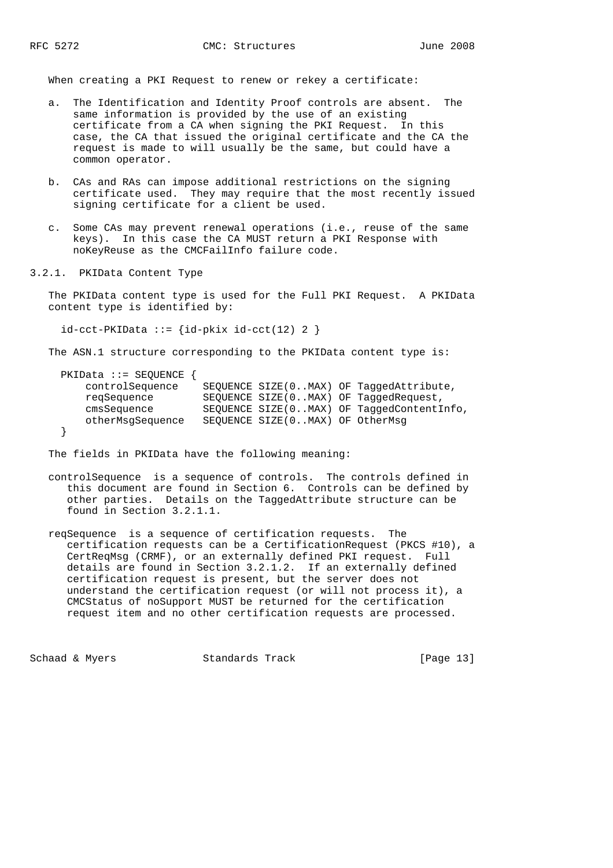When creating a PKI Request to renew or rekey a certificate:

- a. The Identification and Identity Proof controls are absent. The same information is provided by the use of an existing certificate from a CA when signing the PKI Request. In this case, the CA that issued the original certificate and the CA the request is made to will usually be the same, but could have a common operator.
- b. CAs and RAs can impose additional restrictions on the signing certificate used. They may require that the most recently issued signing certificate for a client be used.
- c. Some CAs may prevent renewal operations (i.e., reuse of the same keys). In this case the CA MUST return a PKI Response with noKeyReuse as the CMCFailInfo failure code.
- 3.2.1. PKIData Content Type

 The PKIData content type is used for the Full PKI Request. A PKIData content type is identified by:

```
id-cct-PKIData := {id-pkix id-cct(12) 2 }
```
The ASN.1 structure corresponding to the PKIData content type is:

| $PKIData :: = SEQUENCE$ |                                 |                                           |
|-------------------------|---------------------------------|-------------------------------------------|
| controlSequence         |                                 | SEQUENCE SIZE(0MAX) OF TaqqedAttribute,   |
| regSequence             |                                 | SEQUENCE SIZE(0MAX) OF TaggedRequest,     |
| cmsSequence             |                                 | SEQUENCE SIZE(0MAX) OF TaqqedContentInfo, |
| otherMsqSequence        | SEQUENCE SIZE(0MAX) OF OtherMsq |                                           |
|                         |                                 |                                           |

The fields in PKIData have the following meaning:

- controlSequence is a sequence of controls. The controls defined in this document are found in Section 6. Controls can be defined by other parties. Details on the TaggedAttribute structure can be found in Section 3.2.1.1.
- reqSequence is a sequence of certification requests. The certification requests can be a CertificationRequest (PKCS #10), a CertReqMsg (CRMF), or an externally defined PKI request. Full details are found in Section 3.2.1.2. If an externally defined certification request is present, but the server does not understand the certification request (or will not process it), a CMCStatus of noSupport MUST be returned for the certification request item and no other certification requests are processed.

Schaad & Myers Standards Track [Page 13]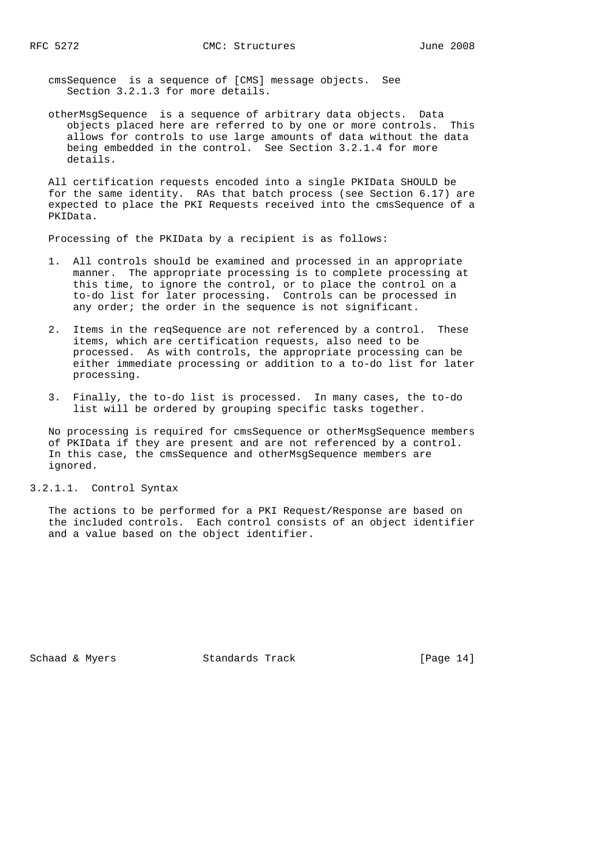cmsSequence is a sequence of [CMS] message objects. See Section 3.2.1.3 for more details.

 otherMsgSequence is a sequence of arbitrary data objects. Data objects placed here are referred to by one or more controls. This allows for controls to use large amounts of data without the data being embedded in the control. See Section 3.2.1.4 for more details.

 All certification requests encoded into a single PKIData SHOULD be for the same identity. RAs that batch process (see Section 6.17) are expected to place the PKI Requests received into the cmsSequence of a PKIData.

Processing of the PKIData by a recipient is as follows:

- 1. All controls should be examined and processed in an appropriate manner. The appropriate processing is to complete processing at this time, to ignore the control, or to place the control on a to-do list for later processing. Controls can be processed in any order; the order in the sequence is not significant.
- 2. Items in the reqSequence are not referenced by a control. These items, which are certification requests, also need to be processed. As with controls, the appropriate processing can be either immediate processing or addition to a to-do list for later processing.
- 3. Finally, the to-do list is processed. In many cases, the to-do list will be ordered by grouping specific tasks together.

 No processing is required for cmsSequence or otherMsgSequence members of PKIData if they are present and are not referenced by a control. In this case, the cmsSequence and otherMsgSequence members are ignored.

#### 3.2.1.1. Control Syntax

 The actions to be performed for a PKI Request/Response are based on the included controls. Each control consists of an object identifier and a value based on the object identifier.

Schaad & Myers Standards Track [Page 14]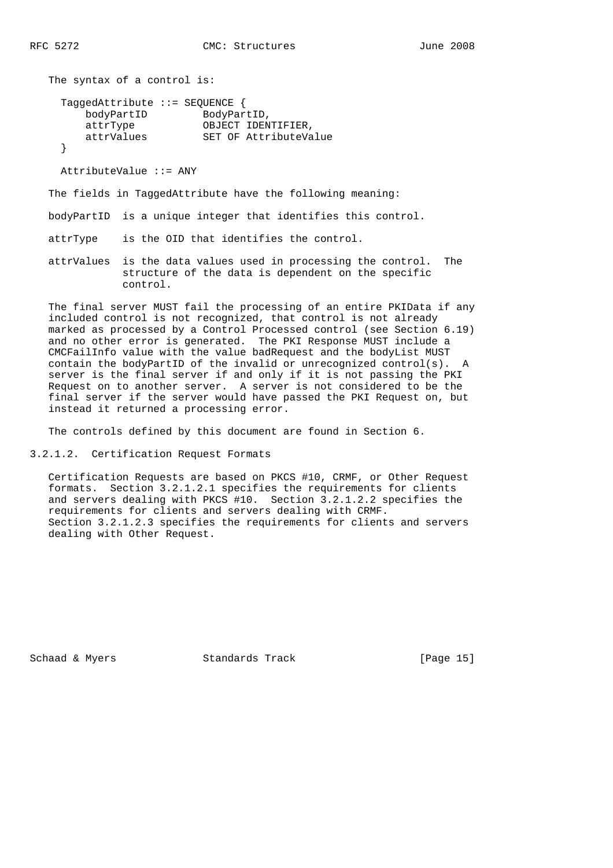```
 The syntax of a control is:
    TaggedAttribute ::= SEQUENCE {
      bodyPartID BodyPartID,
 attrType OBJECT IDENTIFIER,
 attrValues SET OF AttributeValue
    }
```
AttributeValue ::= ANY

The fields in TaggedAttribute have the following meaning:

bodyPartID is a unique integer that identifies this control.

attrType is the OID that identifies the control.

 attrValues is the data values used in processing the control. The structure of the data is dependent on the specific control.

 The final server MUST fail the processing of an entire PKIData if any included control is not recognized, that control is not already marked as processed by a Control Processed control (see Section 6.19) and no other error is generated. The PKI Response MUST include a CMCFailInfo value with the value badRequest and the bodyList MUST contain the bodyPartID of the invalid or unrecognized control(s). A server is the final server if and only if it is not passing the PKI Request on to another server. A server is not considered to be the final server if the server would have passed the PKI Request on, but instead it returned a processing error.

The controls defined by this document are found in Section 6.

3.2.1.2. Certification Request Formats

 Certification Requests are based on PKCS #10, CRMF, or Other Request formats. Section 3.2.1.2.1 specifies the requirements for clients and servers dealing with PKCS #10. Section 3.2.1.2.2 specifies the requirements for clients and servers dealing with CRMF. Section 3.2.1.2.3 specifies the requirements for clients and servers dealing with Other Request.

Schaad & Myers Standards Track [Page 15]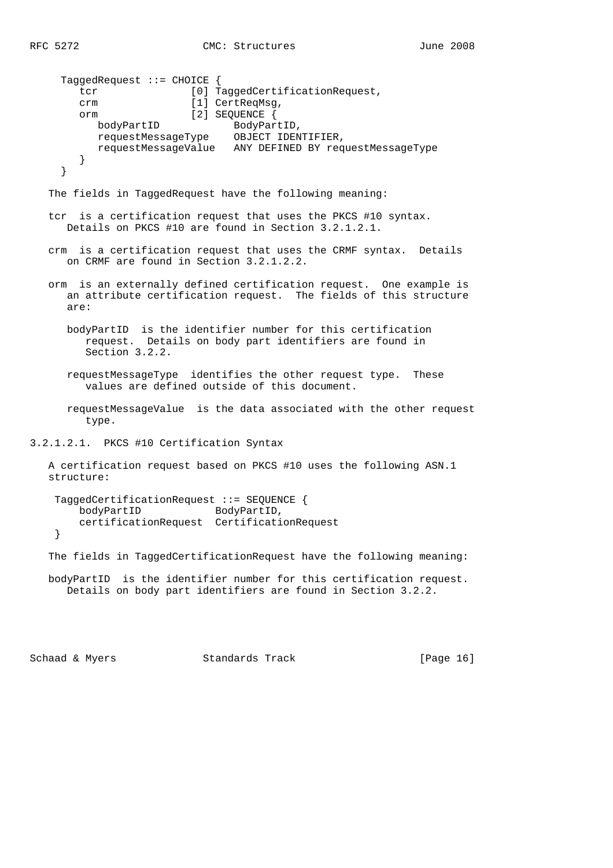```
 TaggedRequest ::= CHOICE {
       tcr [0] TaggedCertificationRequest,
       crm [1] CertReqMsq,
        orm [2] SEQUENCE {
bodyPartID BodyPartID,
 requestMessageType OBJECT IDENTIFIER,
           requestMessageValue ANY DEFINED BY requestMessageType
        }
     }
   The fields in TaggedRequest have the following meaning:
   tcr is a certification request that uses the PKCS #10 syntax.
      Details on PKCS #10 are found in Section 3.2.1.2.1.
   crm is a certification request that uses the CRMF syntax. Details
      on CRMF are found in Section 3.2.1.2.2.
   orm is an externally defined certification request. One example is
      an attribute certification request. The fields of this structure
      are:
      bodyPartID is the identifier number for this certification
         request. Details on body part identifiers are found in
         Section 3.2.2.
      requestMessageType identifies the other request type. These
         values are defined outside of this document.
      requestMessageValue is the data associated with the other request
         type.
3.2.1.2.1. PKCS #10 Certification Syntax
   A certification request based on PKCS #10 uses the following ASN.1
   structure:
    TaggedCertificationRequest ::= SEQUENCE {
       bodyPartID BodyPartID,
        certificationRequest CertificationRequest
    }
   The fields in TaggedCertificationRequest have the following meaning:
   bodyPartID is the identifier number for this certification request.
```
Schaad & Myers **Standards Track** [Page 16]

Details on body part identifiers are found in Section 3.2.2.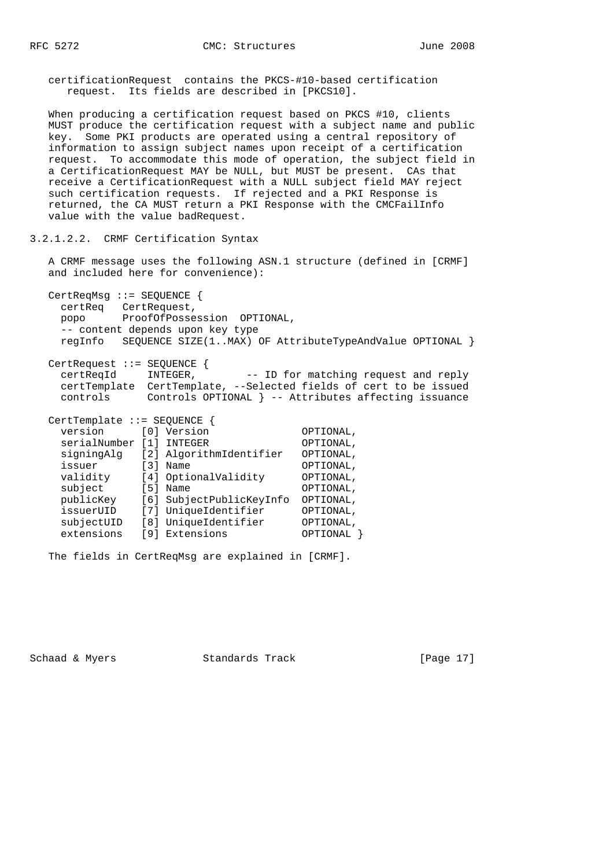certificationRequest contains the PKCS-#10-based certification request. Its fields are described in [PKCS10].

 When producing a certification request based on PKCS #10, clients MUST produce the certification request with a subject name and public key. Some PKI products are operated using a central repository of information to assign subject names upon receipt of a certification request. To accommodate this mode of operation, the subject field in a CertificationRequest MAY be NULL, but MUST be present. CAs that receive a CertificationRequest with a NULL subject field MAY reject such certification requests. If rejected and a PKI Response is returned, the CA MUST return a PKI Response with the CMCFailInfo value with the value badRequest.

3.2.1.2.2. CRMF Certification Syntax

 A CRMF message uses the following ASN.1 structure (defined in [CRMF] and included here for convenience):

 CertReqMsg ::= SEQUENCE { certReq CertRequest, popo ProofOfPossession OPTIONAL, -- content depends upon key type regInfo SEQUENCE SIZE(1..MAX) OF AttributeTypeAndValue OPTIONAL }

 CertRequest ::= SEQUENCE { certReqId INTEGER, -- ID for matching request and reply certTemplate CertTemplate, --Selected fields of cert to be issued controls Controls OPTIONAL } -- Attributes affecting issuance

| $CertTemplate :: = SEQUENCE$ |                                        |                          |           |
|------------------------------|----------------------------------------|--------------------------|-----------|
| version                      | $\begin{bmatrix} 0 \\ 1 \end{bmatrix}$ | Version                  | OPTIONAL, |
| serialNumber                 | [1]                                    | INTEGER                  | OPTIONAL, |
| signingAlg                   |                                        | [2] AlgorithmIdentifier  | OPTIONAL, |
| issuer                       | $\lceil 3 \rceil$                      | Name                     | OPTIONAL, |
| validity                     |                                        | [4] OptionalValidity     | OPTIONAL, |
| subject                      | [5]                                    | Name                     | OPTIONAL, |
| publicKey                    |                                        | [6] SubjectPublicKeyInfo | OPTIONAL, |
| issuerUID                    |                                        | [7] UniqueIdentifier     | OPTIONAL, |
| subjectUID                   | [8]                                    | UniqueIdentifier         | OPTIONAL, |
| extensions                   | [9]                                    | Extensions               | OPTIONAL  |

The fields in CertReqMsg are explained in [CRMF].

Schaad & Myers Standards Track [Page 17]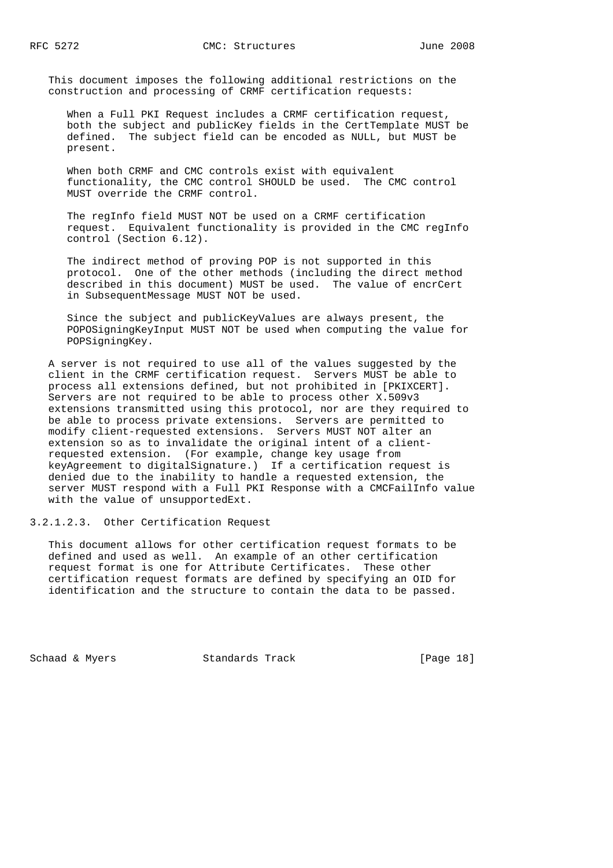This document imposes the following additional restrictions on the construction and processing of CRMF certification requests:

 When a Full PKI Request includes a CRMF certification request, both the subject and publicKey fields in the CertTemplate MUST be defined. The subject field can be encoded as NULL, but MUST be present.

When both CRMF and CMC controls exist with equivalent functionality, the CMC control SHOULD be used. The CMC control MUST override the CRMF control.

 The regInfo field MUST NOT be used on a CRMF certification request. Equivalent functionality is provided in the CMC regInfo control (Section 6.12).

 The indirect method of proving POP is not supported in this protocol. One of the other methods (including the direct method described in this document) MUST be used. The value of encrCert in SubsequentMessage MUST NOT be used.

 Since the subject and publicKeyValues are always present, the POPOSigningKeyInput MUST NOT be used when computing the value for POPSigningKey.

 A server is not required to use all of the values suggested by the client in the CRMF certification request. Servers MUST be able to process all extensions defined, but not prohibited in [PKIXCERT]. Servers are not required to be able to process other X.509v3 extensions transmitted using this protocol, nor are they required to be able to process private extensions. Servers are permitted to modify client-requested extensions. Servers MUST NOT alter an extension so as to invalidate the original intent of a client requested extension. (For example, change key usage from keyAgreement to digitalSignature.) If a certification request is denied due to the inability to handle a requested extension, the server MUST respond with a Full PKI Response with a CMCFailInfo value with the value of unsupportedExt.

3.2.1.2.3. Other Certification Request

 This document allows for other certification request formats to be defined and used as well. An example of an other certification request format is one for Attribute Certificates. These other certification request formats are defined by specifying an OID for identification and the structure to contain the data to be passed.

Schaad & Myers Standards Track [Page 18]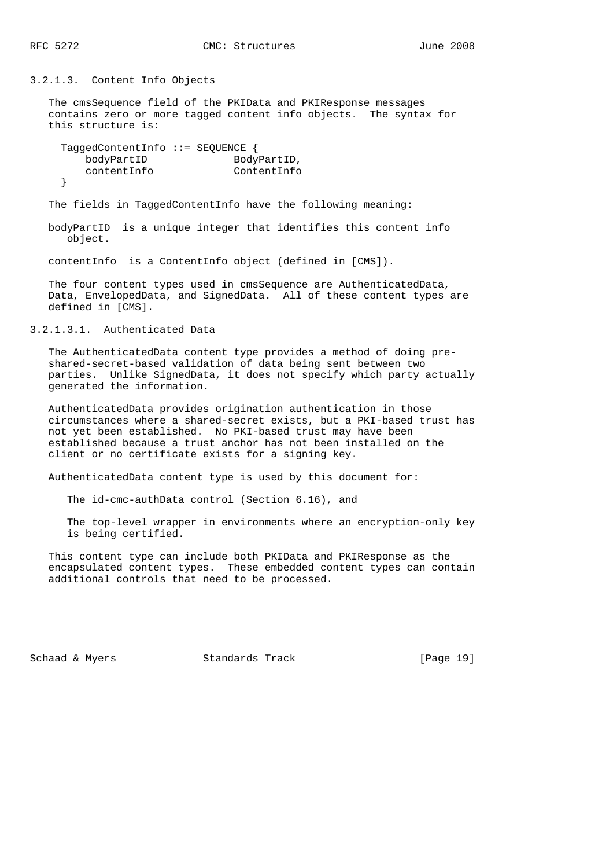3.2.1.3. Content Info Objects

 The cmsSequence field of the PKIData and PKIResponse messages contains zero or more tagged content info objects. The syntax for this structure is:

 TaggedContentInfo ::= SEQUENCE { bodyPartID BodyPartID, contentInfo ContentInfo }

The fields in TaggedContentInfo have the following meaning:

 bodyPartID is a unique integer that identifies this content info object.

contentInfo is a ContentInfo object (defined in [CMS]).

 The four content types used in cmsSequence are AuthenticatedData, Data, EnvelopedData, and SignedData. All of these content types are defined in [CMS].

3.2.1.3.1. Authenticated Data

 The AuthenticatedData content type provides a method of doing pre shared-secret-based validation of data being sent between two parties. Unlike SignedData, it does not specify which party actually generated the information.

 AuthenticatedData provides origination authentication in those circumstances where a shared-secret exists, but a PKI-based trust has not yet been established. No PKI-based trust may have been established because a trust anchor has not been installed on the client or no certificate exists for a signing key.

AuthenticatedData content type is used by this document for:

The id-cmc-authData control (Section 6.16), and

 The top-level wrapper in environments where an encryption-only key is being certified.

 This content type can include both PKIData and PKIResponse as the encapsulated content types. These embedded content types can contain additional controls that need to be processed.

Schaad & Myers Standards Track [Page 19]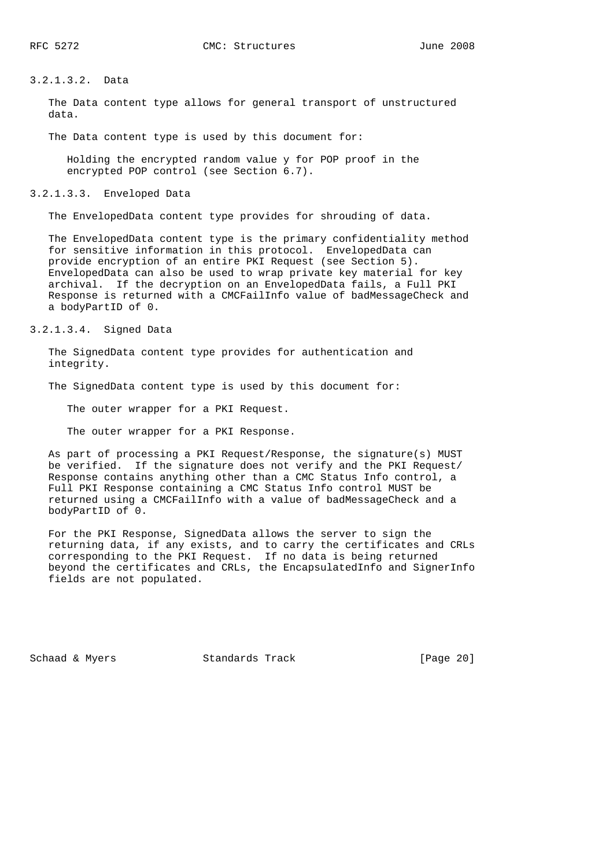#### 3.2.1.3.2. Data

 The Data content type allows for general transport of unstructured data.

The Data content type is used by this document for:

 Holding the encrypted random value y for POP proof in the encrypted POP control (see Section 6.7).

3.2.1.3.3. Enveloped Data

The EnvelopedData content type provides for shrouding of data.

 The EnvelopedData content type is the primary confidentiality method for sensitive information in this protocol. EnvelopedData can provide encryption of an entire PKI Request (see Section 5). EnvelopedData can also be used to wrap private key material for key archival. If the decryption on an EnvelopedData fails, a Full PKI Response is returned with a CMCFailInfo value of badMessageCheck and a bodyPartID of 0.

3.2.1.3.4. Signed Data

 The SignedData content type provides for authentication and integrity.

The SignedData content type is used by this document for:

The outer wrapper for a PKI Request.

The outer wrapper for a PKI Response.

 As part of processing a PKI Request/Response, the signature(s) MUST be verified. If the signature does not verify and the PKI Request/ Response contains anything other than a CMC Status Info control, a Full PKI Response containing a CMC Status Info control MUST be returned using a CMCFailInfo with a value of badMessageCheck and a bodyPartID of 0.

 For the PKI Response, SignedData allows the server to sign the returning data, if any exists, and to carry the certificates and CRLs corresponding to the PKI Request. If no data is being returned beyond the certificates and CRLs, the EncapsulatedInfo and SignerInfo fields are not populated.

Schaad & Myers Standards Track [Page 20]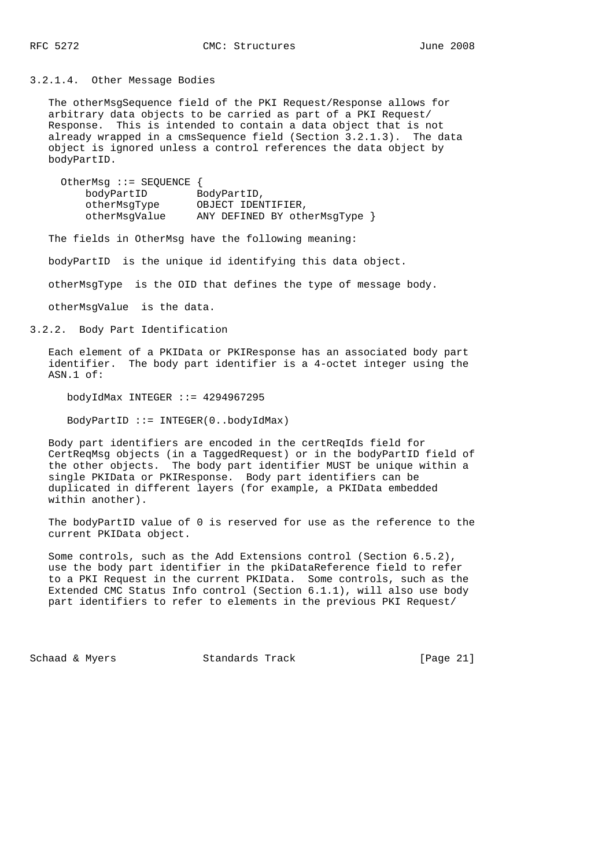3.2.1.4. Other Message Bodies

 The otherMsgSequence field of the PKI Request/Response allows for arbitrary data objects to be carried as part of a PKI Request/ Response. This is intended to contain a data object that is not already wrapped in a cmsSequence field (Section 3.2.1.3). The data object is ignored unless a control references the data object by bodyPartID.

| OtherMsg $::=$ SEQUENCE { |                               |
|---------------------------|-------------------------------|
| bodyPartID                | BodyPartID,                   |
| otherMsqType              | OBJECT IDENTIFIER,            |
| otherMsqValue             | ANY DEFINED BY otherMsgType } |

The fields in OtherMsg have the following meaning:

bodyPartID is the unique id identifying this data object.

otherMsgType is the OID that defines the type of message body.

otherMsgValue is the data.

3.2.2. Body Part Identification

 Each element of a PKIData or PKIResponse has an associated body part identifier. The body part identifier is a 4-octet integer using the ASN.1 of:

bodyIdMax INTEGER ::= 4294967295

BodyPartID ::= INTEGER(0..bodyIdMax)

 Body part identifiers are encoded in the certReqIds field for CertReqMsg objects (in a TaggedRequest) or in the bodyPartID field of the other objects. The body part identifier MUST be unique within a single PKIData or PKIResponse. Body part identifiers can be duplicated in different layers (for example, a PKIData embedded within another).

 The bodyPartID value of 0 is reserved for use as the reference to the current PKIData object.

 Some controls, such as the Add Extensions control (Section 6.5.2), use the body part identifier in the pkiDataReference field to refer to a PKI Request in the current PKIData. Some controls, such as the Extended CMC Status Info control (Section 6.1.1), will also use body part identifiers to refer to elements in the previous PKI Request/

Schaad & Myers **Standards Track** [Page 21]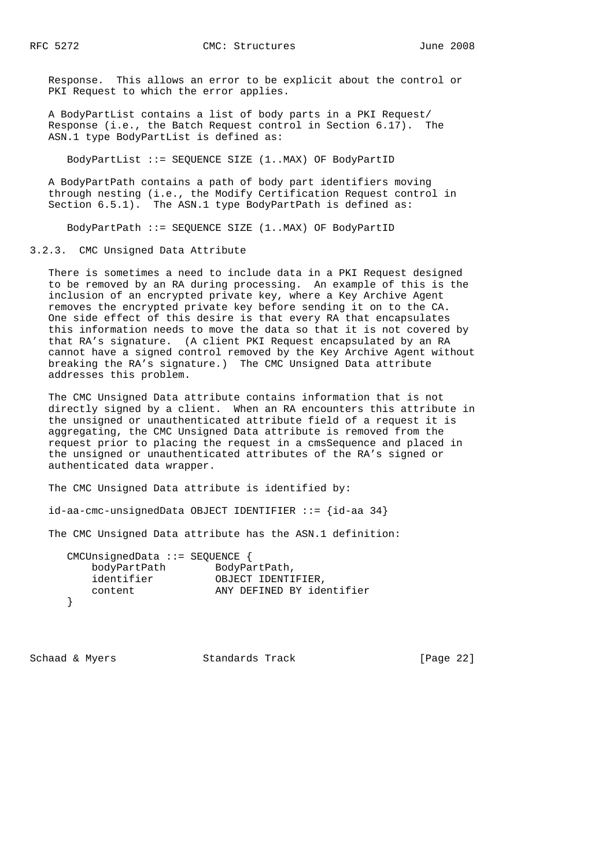Response. This allows an error to be explicit about the control or PKI Request to which the error applies.

 A BodyPartList contains a list of body parts in a PKI Request/ Response (i.e., the Batch Request control in Section 6.17). The ASN.1 type BodyPartList is defined as:

BodyPartList ::= SEQUENCE SIZE (1..MAX) OF BodyPartID

 A BodyPartPath contains a path of body part identifiers moving through nesting (i.e., the Modify Certification Request control in Section  $6.5.1$ ). The ASN.1 type BodyPartPath is defined as:

BodyPartPath ::= SEQUENCE SIZE (1..MAX) OF BodyPartID

3.2.3. CMC Unsigned Data Attribute

 There is sometimes a need to include data in a PKI Request designed to be removed by an RA during processing. An example of this is the inclusion of an encrypted private key, where a Key Archive Agent removes the encrypted private key before sending it on to the CA. One side effect of this desire is that every RA that encapsulates this information needs to move the data so that it is not covered by that RA's signature. (A client PKI Request encapsulated by an RA cannot have a signed control removed by the Key Archive Agent without breaking the RA's signature.) The CMC Unsigned Data attribute addresses this problem.

 The CMC Unsigned Data attribute contains information that is not directly signed by a client. When an RA encounters this attribute in the unsigned or unauthenticated attribute field of a request it is aggregating, the CMC Unsigned Data attribute is removed from the request prior to placing the request in a cmsSequence and placed in the unsigned or unauthenticated attributes of the RA's signed or authenticated data wrapper.

The CMC Unsigned Data attribute is identified by:

id-aa-cmc-unsignedData OBJECT IDENTIFIER ::= {id-aa 34}

The CMC Unsigned Data attribute has the ASN.1 definition:

| CMCUnsignedData ::= SEQUENCE $\{$ |                           |
|-----------------------------------|---------------------------|
| bodyPartPath                      | BodyPartPath,             |
| identifier                        | OBJECT IDENTIFIER,        |
| content                           | ANY DEFINED BY identifier |
|                                   |                           |

Schaad & Myers Standards Track [Page 22]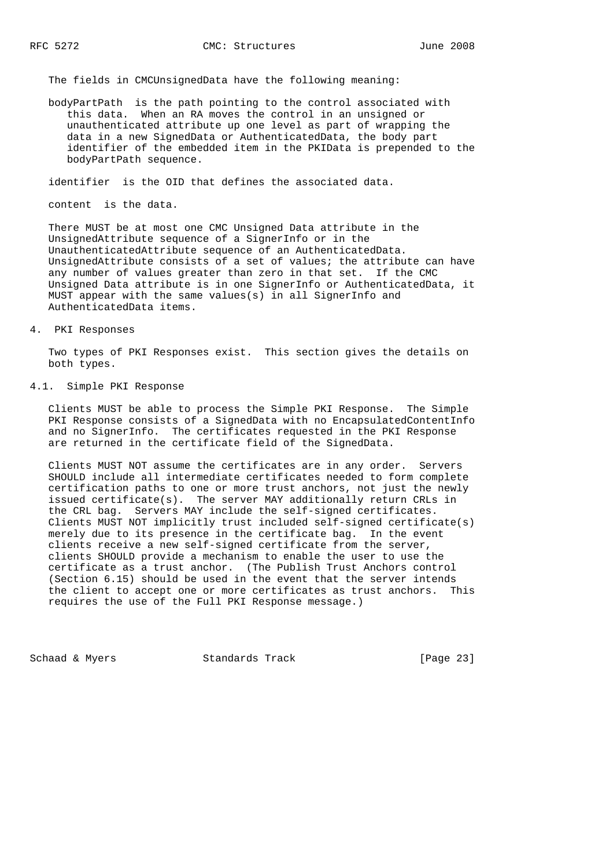The fields in CMCUnsignedData have the following meaning:

 bodyPartPath is the path pointing to the control associated with this data. When an RA moves the control in an unsigned or unauthenticated attribute up one level as part of wrapping the data in a new SignedData or AuthenticatedData, the body part identifier of the embedded item in the PKIData is prepended to the bodyPartPath sequence.

identifier is the OID that defines the associated data.

content is the data.

 There MUST be at most one CMC Unsigned Data attribute in the UnsignedAttribute sequence of a SignerInfo or in the UnauthenticatedAttribute sequence of an AuthenticatedData. UnsignedAttribute consists of a set of values; the attribute can have any number of values greater than zero in that set. If the CMC Unsigned Data attribute is in one SignerInfo or AuthenticatedData, it MUST appear with the same values(s) in all SignerInfo and AuthenticatedData items.

### 4. PKI Responses

 Two types of PKI Responses exist. This section gives the details on both types.

## 4.1. Simple PKI Response

 Clients MUST be able to process the Simple PKI Response. The Simple PKI Response consists of a SignedData with no EncapsulatedContentInfo and no SignerInfo. The certificates requested in the PKI Response are returned in the certificate field of the SignedData.

 Clients MUST NOT assume the certificates are in any order. Servers SHOULD include all intermediate certificates needed to form complete certification paths to one or more trust anchors, not just the newly issued certificate(s). The server MAY additionally return CRLs in the CRL bag. Servers MAY include the self-signed certificates. Clients MUST NOT implicitly trust included self-signed certificate(s) merely due to its presence in the certificate bag. In the event clients receive a new self-signed certificate from the server, clients SHOULD provide a mechanism to enable the user to use the certificate as a trust anchor. (The Publish Trust Anchors control (Section 6.15) should be used in the event that the server intends the client to accept one or more certificates as trust anchors. This requires the use of the Full PKI Response message.)

Schaad & Myers Standards Track [Page 23]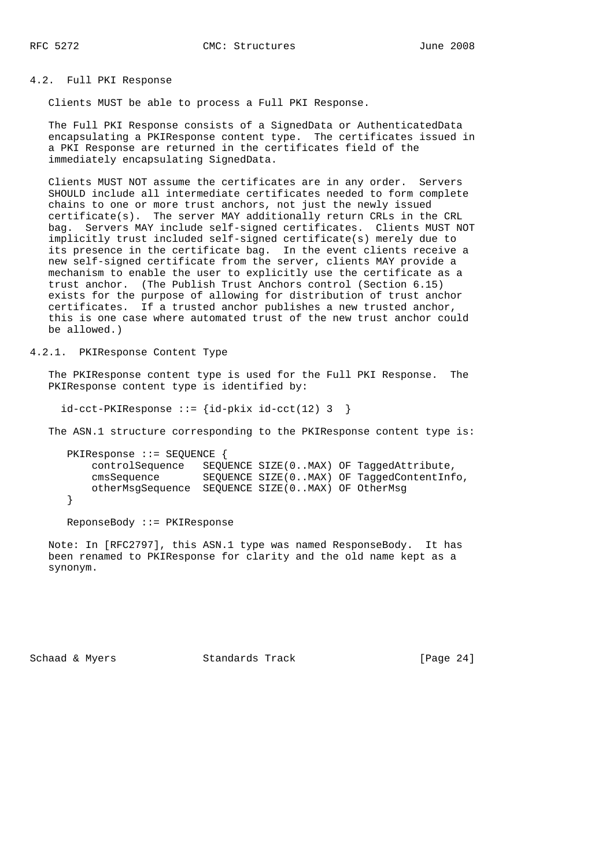#### 4.2. Full PKI Response

Clients MUST be able to process a Full PKI Response.

 The Full PKI Response consists of a SignedData or AuthenticatedData encapsulating a PKIResponse content type. The certificates issued in a PKI Response are returned in the certificates field of the immediately encapsulating SignedData.

 Clients MUST NOT assume the certificates are in any order. Servers SHOULD include all intermediate certificates needed to form complete chains to one or more trust anchors, not just the newly issued certificate(s). The server MAY additionally return CRLs in the CRL bag. Servers MAY include self-signed certificates. Clients MUST NOT implicitly trust included self-signed certificate(s) merely due to its presence in the certificate bag. In the event clients receive a new self-signed certificate from the server, clients MAY provide a mechanism to enable the user to explicitly use the certificate as a trust anchor. (The Publish Trust Anchors control (Section 6.15) exists for the purpose of allowing for distribution of trust anchor certificates. If a trusted anchor publishes a new trusted anchor, this is one case where automated trust of the new trust anchor could be allowed.)

# 4.2.1. PKIResponse Content Type

 The PKIResponse content type is used for the Full PKI Response. The PKIResponse content type is identified by:

 $id-cct-PKIResponse :: = \{id-pkix id-cct(12) 3 \}$ 

The ASN.1 structure corresponding to the PKIResponse content type is:

```
 PKIResponse ::= SEQUENCE {
    controlSequence SEQUENCE SIZE(0..MAX) OF TaggedAttribute,
    cmsSequence SEQUENCE SIZE(0..MAX) OF TaggedContentInfo,
    otherMsgSequence SEQUENCE SIZE(0..MAX) OF OtherMsg
 }
```
ReponseBody ::= PKIResponse

 Note: In [RFC2797], this ASN.1 type was named ResponseBody. It has been renamed to PKIResponse for clarity and the old name kept as a synonym.

Schaad & Myers Standards Track [Page 24]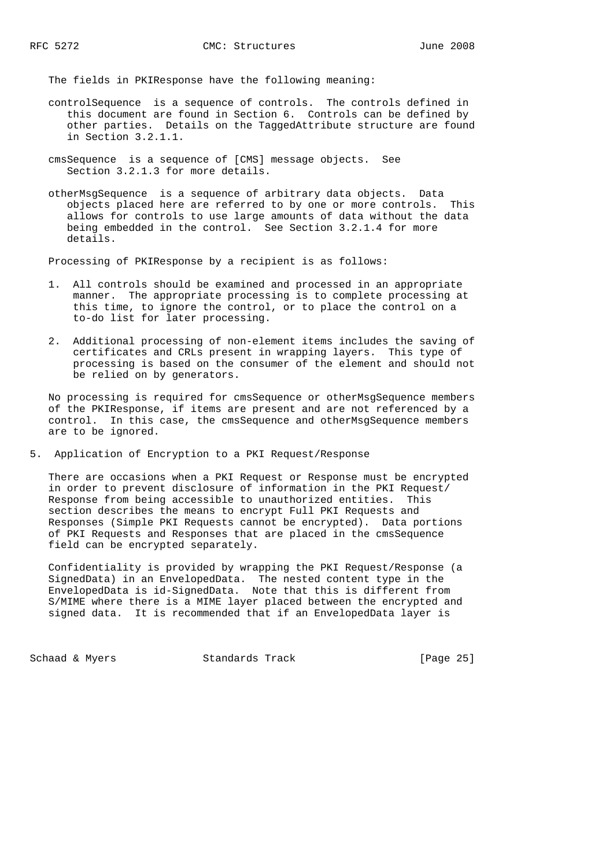The fields in PKIResponse have the following meaning:

- controlSequence is a sequence of controls. The controls defined in this document are found in Section 6. Controls can be defined by other parties. Details on the TaggedAttribute structure are found in Section 3.2.1.1.
- cmsSequence is a sequence of [CMS] message objects. See Section 3.2.1.3 for more details.
- otherMsgSequence is a sequence of arbitrary data objects. Data objects placed here are referred to by one or more controls. This allows for controls to use large amounts of data without the data being embedded in the control. See Section 3.2.1.4 for more details.

Processing of PKIResponse by a recipient is as follows:

- 1. All controls should be examined and processed in an appropriate manner. The appropriate processing is to complete processing at this time, to ignore the control, or to place the control on a to-do list for later processing.
- 2. Additional processing of non-element items includes the saving of certificates and CRLs present in wrapping layers. This type of processing is based on the consumer of the element and should not be relied on by generators.

 No processing is required for cmsSequence or otherMsgSequence members of the PKIResponse, if items are present and are not referenced by a control. In this case, the cmsSequence and otherMsgSequence members are to be ignored.

5. Application of Encryption to a PKI Request/Response

 There are occasions when a PKI Request or Response must be encrypted in order to prevent disclosure of information in the PKI Request/ Response from being accessible to unauthorized entities. This section describes the means to encrypt Full PKI Requests and Responses (Simple PKI Requests cannot be encrypted). Data portions of PKI Requests and Responses that are placed in the cmsSequence field can be encrypted separately.

 Confidentiality is provided by wrapping the PKI Request/Response (a SignedData) in an EnvelopedData. The nested content type in the EnvelopedData is id-SignedData. Note that this is different from S/MIME where there is a MIME layer placed between the encrypted and signed data. It is recommended that if an EnvelopedData layer is

Schaad & Myers Standards Track [Page 25]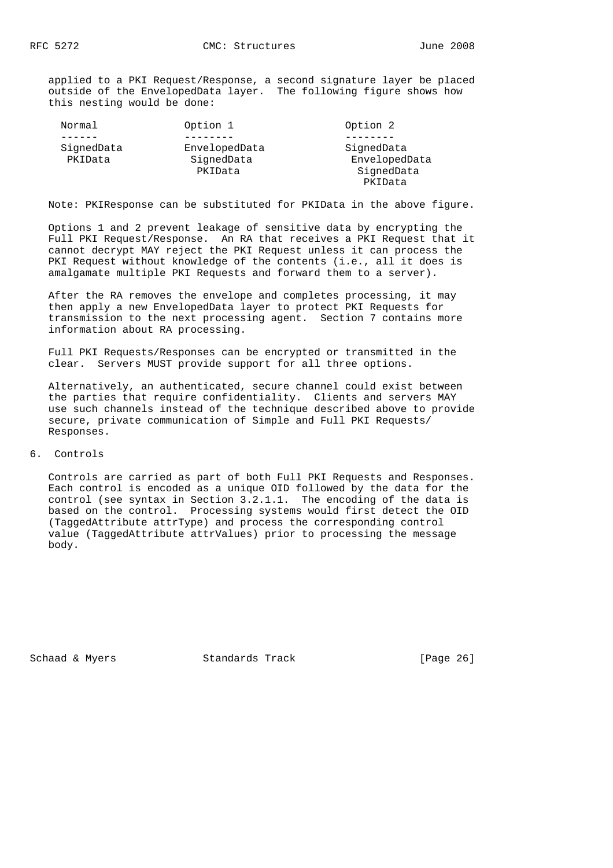applied to a PKI Request/Response, a second signature layer be placed outside of the EnvelopedData layer. The following figure shows how this nesting would be done:

| Normal                | Option 1                    | Option 2                    |
|-----------------------|-----------------------------|-----------------------------|
|                       |                             |                             |
| SignedData<br>PKIData | EnvelopedData<br>SignedData | SignedData<br>EnvelopedData |
|                       | PKIData                     | SignedData                  |
|                       |                             | PKIData                     |

Note: PKIResponse can be substituted for PKIData in the above figure.

 Options 1 and 2 prevent leakage of sensitive data by encrypting the Full PKI Request/Response. An RA that receives a PKI Request that it cannot decrypt MAY reject the PKI Request unless it can process the PKI Request without knowledge of the contents (i.e., all it does is amalgamate multiple PKI Requests and forward them to a server).

 After the RA removes the envelope and completes processing, it may then apply a new EnvelopedData layer to protect PKI Requests for transmission to the next processing agent. Section 7 contains more information about RA processing.

 Full PKI Requests/Responses can be encrypted or transmitted in the clear. Servers MUST provide support for all three options.

 Alternatively, an authenticated, secure channel could exist between the parties that require confidentiality. Clients and servers MAY use such channels instead of the technique described above to provide secure, private communication of Simple and Full PKI Requests/ Responses.

6. Controls

 Controls are carried as part of both Full PKI Requests and Responses. Each control is encoded as a unique OID followed by the data for the control (see syntax in Section 3.2.1.1. The encoding of the data is based on the control. Processing systems would first detect the OID (TaggedAttribute attrType) and process the corresponding control value (TaggedAttribute attrValues) prior to processing the message body.

Schaad & Myers **Standards Track** [Page 26]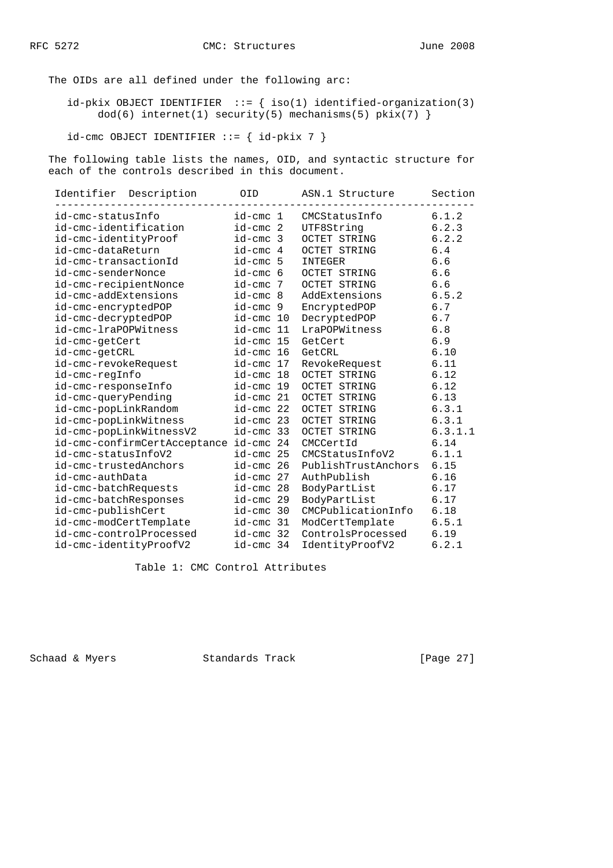The OIDs are all defined under the following arc:

 $id$ -pkix OBJECT IDENTIFIER ::= { iso(1) identified-organization(3)  $dod(6)$  internet(1) security(5) mechanisms(5) pkix(7) }

 $id$ -cmc OBJECT IDENTIFIER ::= {  $id$ -pkix 7 }

 The following table lists the names, OID, and syntactic structure for each of the controls described in this document.

| Identifier Description                 | OID            | ASN.1 Structure<br>------------------------- | Section |
|----------------------------------------|----------------|----------------------------------------------|---------|
| id-cmc-statusInfo                      | id-cmc 1       | CMCStatusInfo                                | 6.1.2   |
| id-cmc-identification                  | id-cmc 2       | UTF8Strinq                                   | 6.2.3   |
| id-cmc-identityProof                   | id-cmc 3       | OCTET STRING                                 | 6.2.2   |
| id-cmc-dataReturn                      | id-cmc 4       | OCTET STRING                                 | 6.4     |
| id-cmc-transactionId                   | id-cmc 5       | INTEGER                                      | 6.6     |
| id-cmc-senderNonce                     | id-cmc 6       | OCTET STRING                                 | 6.6     |
| id-cmc-recipientNonce                  | id-cmc 7       | OCTET STRING                                 | 6.6     |
| id-cmc-addExtensions                   | id-cmc 8       | AddExtensions                                | 6.5.2   |
| id-cmc-encryptedPOP                    | id-cmc 9       | EncryptedPOP                                 | 6.7     |
| id-cmc-decryptedPOP                    | id-cmc 10      | DecryptedPOP                                 | 6.7     |
| id-cmc-lraPOPWitness                   | id-cmc 11      | LraPOPWitness                                | 6.8     |
| id-cmc-getCert                         | id-cmc 15      | GetCert                                      | 6.9     |
| id-cmc-getCRL                          | id-cmc 16      | GetCRL                                       | 6.10    |
| id-cmc-revokeRequest                   | id-cmc 17      | RevokeRequest                                | 6.11    |
| id-cmc-regInfo                         | id-cmc 18      | OCTET STRING                                 | 6.12    |
| id-cmc-responseInfo                    | id-cmc 19      | OCTET STRING                                 | 6.12    |
| id-cmc-queryPending                    | id-cmc 21      | OCTET STRING                                 | 6.13    |
| id-cmc-popLinkRandom                   | id-cmc 22      | OCTET STRING                                 | 6.3.1   |
| id-cmc-popLinkWitness                  | id-cmc 23      | OCTET STRING                                 | 6.3.1   |
| id-cmc-popLinkWitnessV2                | id-cmc 33      | OCTET STRING                                 | 6.3.1.1 |
| id-cmc-confirmCertAcceptance id-cmc 24 |                | CMCCertId                                    | 6.14    |
| id-cmc-statusInfoV2                    | id-cmc 25      | CMCStatusInfoV2                              | 6.1.1   |
| id-cmc-trustedAnchors                  | id-cmc 26      | PublishTrustAnchors 6.15                     |         |
| id-cmc-authData                        | id-cmc 27      | AuthPublish                                  | 6.16    |
| id-cmc-batchRequests                   | id-cmc 28      | BodyPartList                                 | 6.17    |
| id-cmc-batchResponses                  | id-cmc 29      | BodyPartList                                 | 6.17    |
| id-cmc-publishCert                     | $id$ -cmc $30$ | CMCPublicationInfo                           | 6.18    |
| id-cmc-modCertTemplate                 | id-cmc 31      | ModCertTemplate                              | 6.5.1   |
| id-cmc-controlProcessed                | id-cmc 32      | ControlsProcessed                            | 6.19    |
| id-cmc-identityProofV2                 | id-cmc 34      | IdentityProofV2                              | 6.2.1   |

Table 1: CMC Control Attributes

Schaad & Myers Standards Track [Page 27]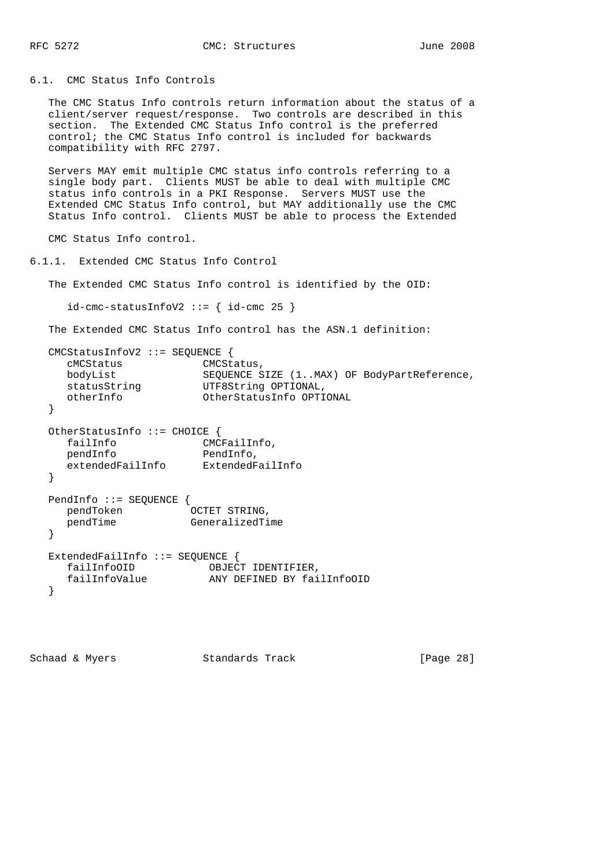6.1. CMC Status Info Controls

 The CMC Status Info controls return information about the status of a client/server request/response. Two controls are described in this section. The Extended CMC Status Info control is the preferred control; the CMC Status Info control is included for backwards compatibility with RFC 2797.

 Servers MAY emit multiple CMC status info controls referring to a single body part. Clients MUST be able to deal with multiple CMC status info controls in a PKI Response. Servers MUST use the Extended CMC Status Info control, but MAY additionally use the CMC Status Info control. Clients MUST be able to process the Extended

CMC Status Info control.

```
6.1.1. Extended CMC Status Info Control
```
The Extended CMC Status Info control is identified by the OID:

```
id-cmc-statusInfoV2 ::= { id-cmc 25 }
```
The Extended CMC Status Info control has the ASN.1 definition:

```
 CMCStatusInfoV2 ::= SEQUENCE {
 cMCStatus CMCStatus,
bodyList SEQUENCE SIZE (1..MAX) OF BodyPartReference,
statusString UTF8String OPTIONAL,
 otherInfo OtherStatusInfo OPTIONAL
   }
   OtherStatusInfo ::= CHOICE {
 failInfo CMCFailInfo,
pendInfo PendInfo,
 extendedFailInfo ExtendedFailInfo
   }
   PendInfo ::= SEQUENCE {
 pendToken OCTET STRING,
pendTime GeneralizedTime
   }
   ExtendedFailInfo ::= SEQUENCE {
 failInfoOID OBJECT IDENTIFIER,
 failInfoValue ANY DEFINED BY failInfoOID
   }
```
Schaad & Myers Standards Track [Page 28]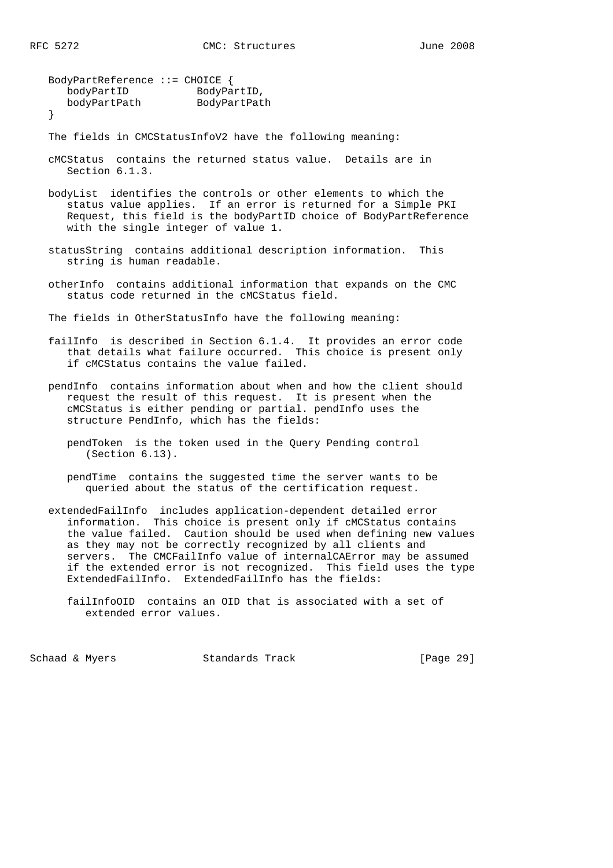```
 BodyPartReference ::= CHOICE {
bodyPartID BodyPartID,
 bodyPartPath BodyPartPath
   }
```
The fields in CMCStatusInfoV2 have the following meaning:

- cMCStatus contains the returned status value. Details are in Section 6.1.3.
- bodyList identifies the controls or other elements to which the status value applies. If an error is returned for a Simple PKI Request, this field is the bodyPartID choice of BodyPartReference with the single integer of value 1.
- statusString contains additional description information. This string is human readable.
- otherInfo contains additional information that expands on the CMC status code returned in the cMCStatus field.

The fields in OtherStatusInfo have the following meaning:

- failInfo is described in Section 6.1.4. It provides an error code that details what failure occurred. This choice is present only if cMCStatus contains the value failed.
- pendInfo contains information about when and how the client should request the result of this request. It is present when the cMCStatus is either pending or partial. pendInfo uses the structure PendInfo, which has the fields:
	- pendToken is the token used in the Query Pending control (Section 6.13).
	- pendTime contains the suggested time the server wants to be queried about the status of the certification request.
- extendedFailInfo includes application-dependent detailed error information. This choice is present only if cMCStatus contains the value failed. Caution should be used when defining new values as they may not be correctly recognized by all clients and servers. The CMCFailInfo value of internalCAError may be assumed if the extended error is not recognized. This field uses the type ExtendedFailInfo. ExtendedFailInfo has the fields:
	- failInfoOID contains an OID that is associated with a set of extended error values.

Schaad & Myers **Standards Track** [Page 29]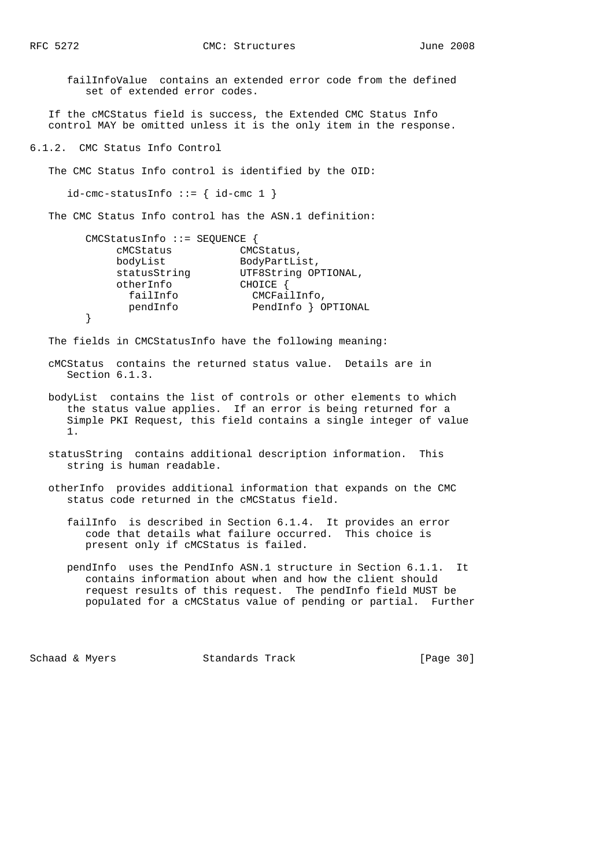failInfoValue contains an extended error code from the defined set of extended error codes.

 If the cMCStatus field is success, the Extended CMC Status Info control MAY be omitted unless it is the only item in the response.

6.1.2. CMC Status Info Control

The CMC Status Info control is identified by the OID:

 $id$ -cmc-statusInfo ::= {  $id$ -cmc 1 }

The CMC Status Info control has the ASN.1 definition:

| $CMCStatusInfo :: = SEQUENCE$ |                      |
|-------------------------------|----------------------|
| cMCStatus                     | CMCStatus,           |
| bodyList                      | BodyPartList,        |
| statusString                  | UTF8String OPTIONAL, |
| otherInfo                     | CHOICE               |
| failInfo                      | CMCFailInfo,         |
| pendInfo                      | PendInfo } OPTIONAL  |
|                               |                      |

The fields in CMCStatusInfo have the following meaning:

- cMCStatus contains the returned status value. Details are in Section 6.1.3.
- bodyList contains the list of controls or other elements to which the status value applies. If an error is being returned for a Simple PKI Request, this field contains a single integer of value 1.
- statusString contains additional description information. This string is human readable.
- otherInfo provides additional information that expands on the CMC status code returned in the cMCStatus field.
	- failInfo is described in Section 6.1.4. It provides an error code that details what failure occurred. This choice is present only if cMCStatus is failed.
	- pendInfo uses the PendInfo ASN.1 structure in Section 6.1.1. It contains information about when and how the client should request results of this request. The pendInfo field MUST be populated for a cMCStatus value of pending or partial. Further

Schaad & Myers Standards Track [Page 30]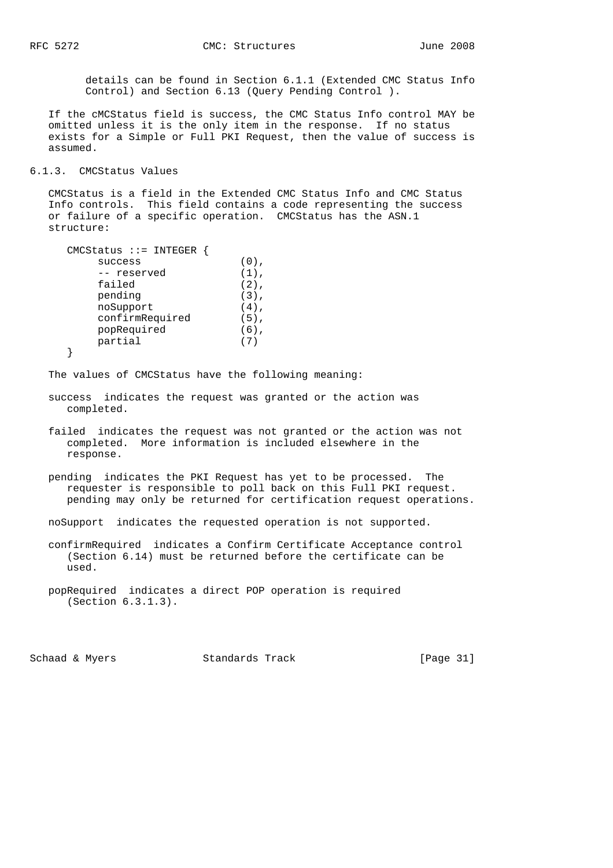details can be found in Section 6.1.1 (Extended CMC Status Info Control) and Section 6.13 (Query Pending Control ).

 If the cMCStatus field is success, the CMC Status Info control MAY be omitted unless it is the only item in the response. If no status exists for a Simple or Full PKI Request, then the value of success is assumed.

#### 6.1.3. CMCStatus Values

 CMCStatus is a field in the Extended CMC Status Info and CMC Status Info controls. This field contains a code representing the success or failure of a specific operation. CMCStatus has the ASN.1 structure:

```
 CMCStatus ::= INTEGER {
success (0),
-- reserved (1),
     failed (2),
pending (3),
noSupport (4),
      confirmRequired (5),
     popRequired (6),
      partial (7)
```

```
 }
```
The values of CMCStatus have the following meaning:

- success indicates the request was granted or the action was completed.
- failed indicates the request was not granted or the action was not completed. More information is included elsewhere in the response.
- pending indicates the PKI Request has yet to be processed. The requester is responsible to poll back on this Full PKI request. pending may only be returned for certification request operations.
- noSupport indicates the requested operation is not supported.
- confirmRequired indicates a Confirm Certificate Acceptance control (Section 6.14) must be returned before the certificate can be used.

Schaad & Myers Standards Track [Page 31]

popRequired indicates a direct POP operation is required (Section 6.3.1.3).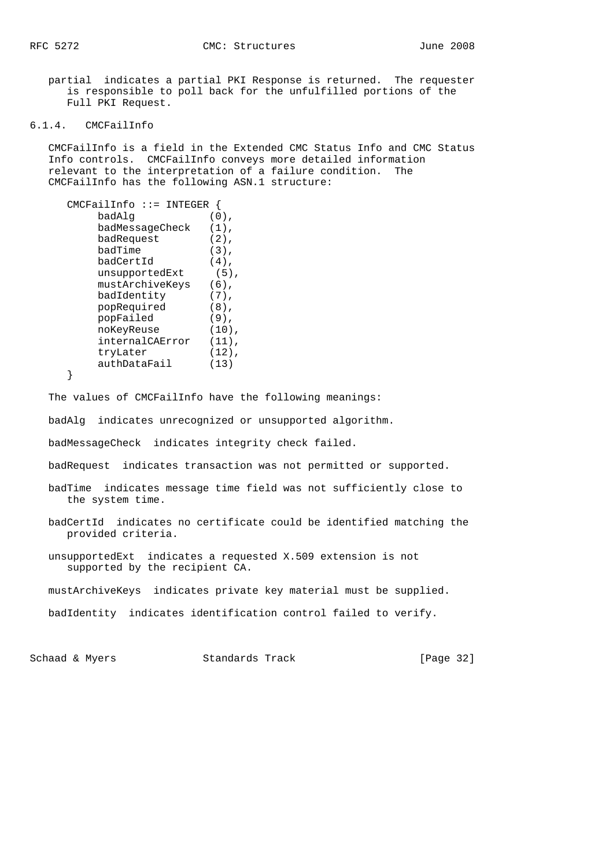partial indicates a partial PKI Response is returned. The requester is responsible to poll back for the unfulfilled portions of the Full PKI Request.

#### 6.1.4. CMCFailInfo

 CMCFailInfo is a field in the Extended CMC Status Info and CMC Status Info controls. CMCFailInfo conveys more detailed information relevant to the interpretation of a failure condition. The CMCFailInfo has the following ASN.1 structure:

```
 CMCFailInfo ::= INTEGER {
       badAlg (0),
        badMessageCheck (1),
        badRequest (2),
badTime (3),
badCertId (4),
unsupportedExt (5),
        mustArchiveKeys (6),
badIdentity (7),
 popRequired (8),
       popFailed (9),<br>noKeyReuse (10)
noKeyReuse (10),
internalCAError (11),
        tryLater (12),
        authDataFail (13)
```
}

The values of CMCFailInfo have the following meanings:

badAlg indicates unrecognized or unsupported algorithm.

badMessageCheck indicates integrity check failed.

badRequest indicates transaction was not permitted or supported.

 badTime indicates message time field was not sufficiently close to the system time.

- badCertId indicates no certificate could be identified matching the provided criteria.
- unsupportedExt indicates a requested X.509 extension is not supported by the recipient CA.
- mustArchiveKeys indicates private key material must be supplied.
- badIdentity indicates identification control failed to verify.

Schaad & Myers **Standards Track** [Page 32]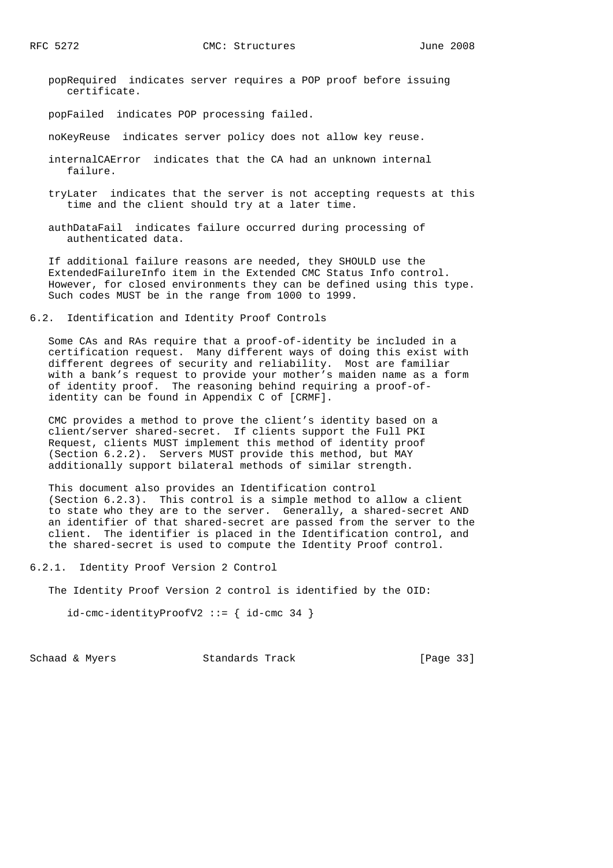- popRequired indicates server requires a POP proof before issuing certificate.
- popFailed indicates POP processing failed.
- noKeyReuse indicates server policy does not allow key reuse.
- internalCAError indicates that the CA had an unknown internal failure.
- tryLater indicates that the server is not accepting requests at this time and the client should try at a later time.
- authDataFail indicates failure occurred during processing of authenticated data.

 If additional failure reasons are needed, they SHOULD use the ExtendedFailureInfo item in the Extended CMC Status Info control. However, for closed environments they can be defined using this type. Such codes MUST be in the range from 1000 to 1999.

6.2. Identification and Identity Proof Controls

 Some CAs and RAs require that a proof-of-identity be included in a certification request. Many different ways of doing this exist with different degrees of security and reliability. Most are familiar with a bank's request to provide your mother's maiden name as a form of identity proof. The reasoning behind requiring a proof-of identity can be found in Appendix C of [CRMF].

 CMC provides a method to prove the client's identity based on a client/server shared-secret. If clients support the Full PKI Request, clients MUST implement this method of identity proof (Section 6.2.2). Servers MUST provide this method, but MAY additionally support bilateral methods of similar strength.

 This document also provides an Identification control (Section 6.2.3). This control is a simple method to allow a client to state who they are to the server. Generally, a shared-secret AND an identifier of that shared-secret are passed from the server to the client. The identifier is placed in the Identification control, and the shared-secret is used to compute the Identity Proof control.

- 6.2.1. Identity Proof Version 2 Control
	- The Identity Proof Version 2 control is identified by the OID:

id-cmc-identityProofV2 ::= { id-cmc 34 }

Schaad & Myers Standards Track [Page 33]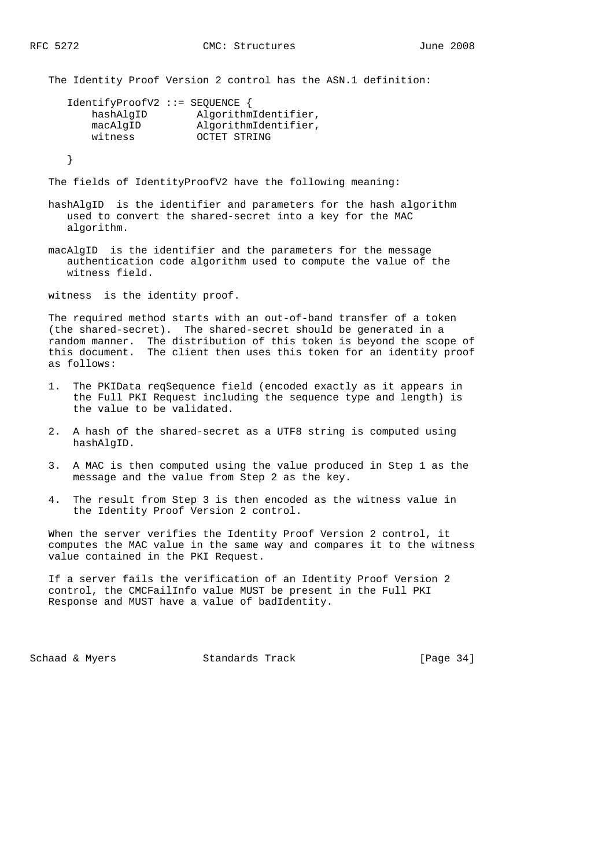The Identity Proof Version 2 control has the ASN.1 definition:

| IdentifyProofV2 ::= SEQUENCE { |                      |
|--------------------------------|----------------------|
| hashAlqID                      | AlgorithmIdentifier, |
| macAlqID                       | AlgorithmIdentifier, |
| witness                        | OCTET STRING         |
|                                |                      |

}

The fields of IdentityProofV2 have the following meaning:

- hashAlgID is the identifier and parameters for the hash algorithm used to convert the shared-secret into a key for the MAC algorithm.
- macAlgID is the identifier and the parameters for the message authentication code algorithm used to compute the value of the witness field.

witness is the identity proof.

 The required method starts with an out-of-band transfer of a token (the shared-secret). The shared-secret should be generated in a random manner. The distribution of this token is beyond the scope of this document. The client then uses this token for an identity proof as follows:

- 1. The PKIData reqSequence field (encoded exactly as it appears in the Full PKI Request including the sequence type and length) is the value to be validated.
- 2. A hash of the shared-secret as a UTF8 string is computed using hashAlgID.
- 3. A MAC is then computed using the value produced in Step 1 as the message and the value from Step 2 as the key.
- 4. The result from Step 3 is then encoded as the witness value in the Identity Proof Version 2 control.

 When the server verifies the Identity Proof Version 2 control, it computes the MAC value in the same way and compares it to the witness value contained in the PKI Request.

 If a server fails the verification of an Identity Proof Version 2 control, the CMCFailInfo value MUST be present in the Full PKI Response and MUST have a value of badIdentity.

Schaad & Myers Standards Track [Page 34]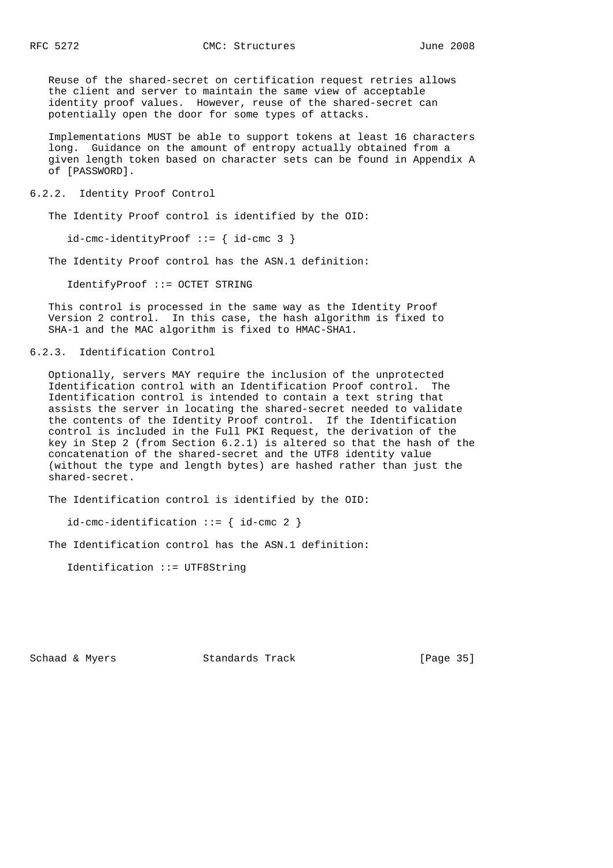Reuse of the shared-secret on certification request retries allows the client and server to maintain the same view of acceptable identity proof values. However, reuse of the shared-secret can potentially open the door for some types of attacks.

 Implementations MUST be able to support tokens at least 16 characters long. Guidance on the amount of entropy actually obtained from a given length token based on character sets can be found in Appendix A of [PASSWORD].

### 6.2.2. Identity Proof Control

The Identity Proof control is identified by the OID:

 $id$ -cmc-identityProof ::= { id-cmc 3 }

The Identity Proof control has the ASN.1 definition:

IdentifyProof ::= OCTET STRING

 This control is processed in the same way as the Identity Proof Version 2 control. In this case, the hash algorithm is fixed to SHA-1 and the MAC algorithm is fixed to HMAC-SHA1.

# 6.2.3. Identification Control

 Optionally, servers MAY require the inclusion of the unprotected Identification control with an Identification Proof control. The Identification control is intended to contain a text string that assists the server in locating the shared-secret needed to validate the contents of the Identity Proof control. If the Identification control is included in the Full PKI Request, the derivation of the key in Step 2 (from Section 6.2.1) is altered so that the hash of the concatenation of the shared-secret and the UTF8 identity value (without the type and length bytes) are hashed rather than just the shared-secret.

The Identification control is identified by the OID:

 $id$ -cmc-identification ::= { id-cmc 2 }

The Identification control has the ASN.1 definition:

Identification ::= UTF8String

Schaad & Myers **Standards Track** [Page 35]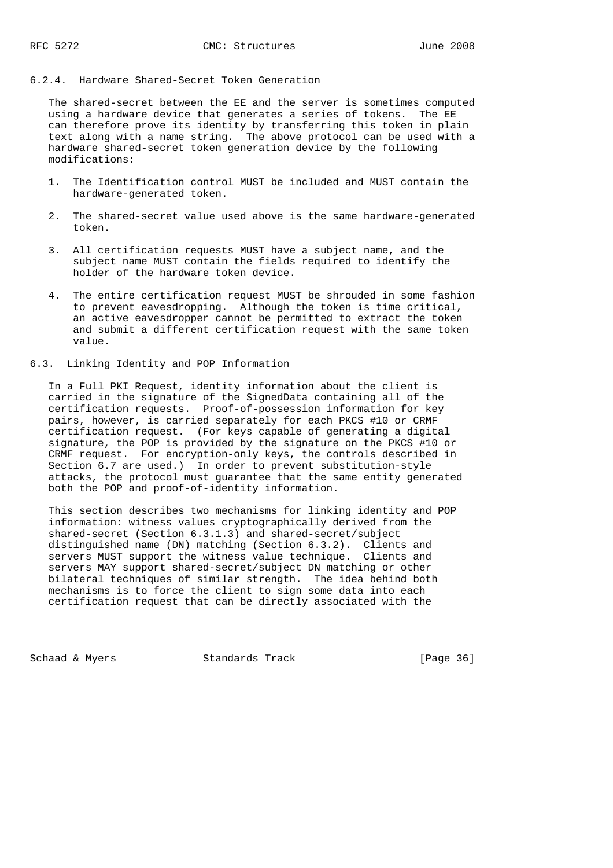# 6.2.4. Hardware Shared-Secret Token Generation

 The shared-secret between the EE and the server is sometimes computed using a hardware device that generates a series of tokens. The EE can therefore prove its identity by transferring this token in plain text along with a name string. The above protocol can be used with a hardware shared-secret token generation device by the following modifications:

- 1. The Identification control MUST be included and MUST contain the hardware-generated token.
- 2. The shared-secret value used above is the same hardware-generated token.
- 3. All certification requests MUST have a subject name, and the subject name MUST contain the fields required to identify the holder of the hardware token device.
- 4. The entire certification request MUST be shrouded in some fashion to prevent eavesdropping. Although the token is time critical, an active eavesdropper cannot be permitted to extract the token and submit a different certification request with the same token value.

# 6.3. Linking Identity and POP Information

 In a Full PKI Request, identity information about the client is carried in the signature of the SignedData containing all of the certification requests. Proof-of-possession information for key pairs, however, is carried separately for each PKCS #10 or CRMF certification request. (For keys capable of generating a digital signature, the POP is provided by the signature on the PKCS #10 or CRMF request. For encryption-only keys, the controls described in Section 6.7 are used.) In order to prevent substitution-style attacks, the protocol must guarantee that the same entity generated both the POP and proof-of-identity information.

 This section describes two mechanisms for linking identity and POP information: witness values cryptographically derived from the shared-secret (Section 6.3.1.3) and shared-secret/subject distinguished name (DN) matching (Section 6.3.2). Clients and servers MUST support the witness value technique. Clients and servers MAY support shared-secret/subject DN matching or other bilateral techniques of similar strength. The idea behind both mechanisms is to force the client to sign some data into each certification request that can be directly associated with the

Schaad & Myers **Standards Track** [Page 36]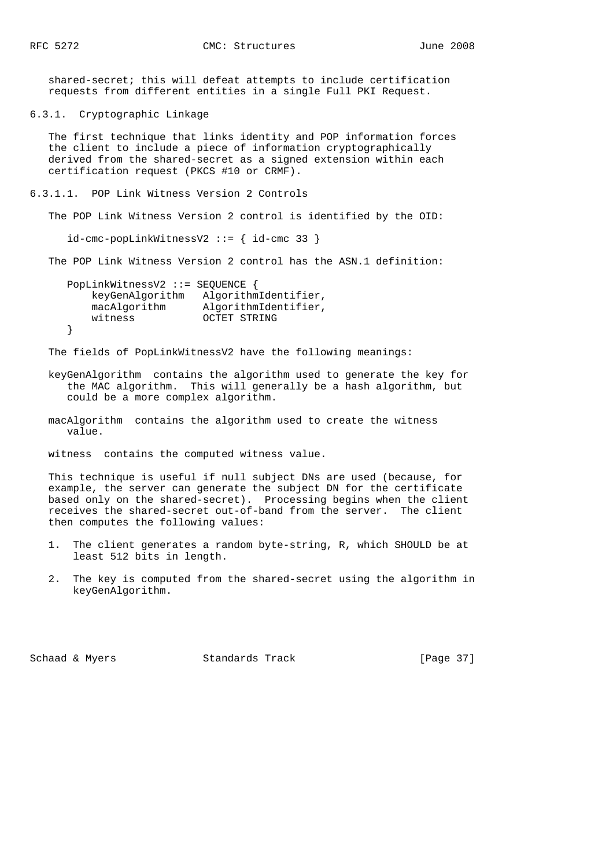shared-secret; this will defeat attempts to include certification requests from different entities in a single Full PKI Request.

6.3.1. Cryptographic Linkage

 The first technique that links identity and POP information forces the client to include a piece of information cryptographically derived from the shared-secret as a signed extension within each certification request (PKCS #10 or CRMF).

6.3.1.1. POP Link Witness Version 2 Controls

The POP Link Witness Version 2 control is identified by the OID:

 $id$ -cmc-popLinkWitnessV2 ::= {  $id$ -cmc 33 }

The POP Link Witness Version 2 control has the ASN.1 definition:

 PopLinkWitnessV2 ::= SEQUENCE { keyGenAlgorithm AlgorithmIdentifier, macAlgorithm AlgorithmIdentifier, witness OCTET STRING }

The fields of PopLinkWitnessV2 have the following meanings:

 keyGenAlgorithm contains the algorithm used to generate the key for the MAC algorithm. This will generally be a hash algorithm, but could be a more complex algorithm.

 macAlgorithm contains the algorithm used to create the witness value.

witness contains the computed witness value.

 This technique is useful if null subject DNs are used (because, for example, the server can generate the subject DN for the certificate based only on the shared-secret). Processing begins when the client receives the shared-secret out-of-band from the server. The client then computes the following values:

- 1. The client generates a random byte-string, R, which SHOULD be at least 512 bits in length.
- 2. The key is computed from the shared-secret using the algorithm in keyGenAlgorithm.

Schaad & Myers **Standards Track** [Page 37]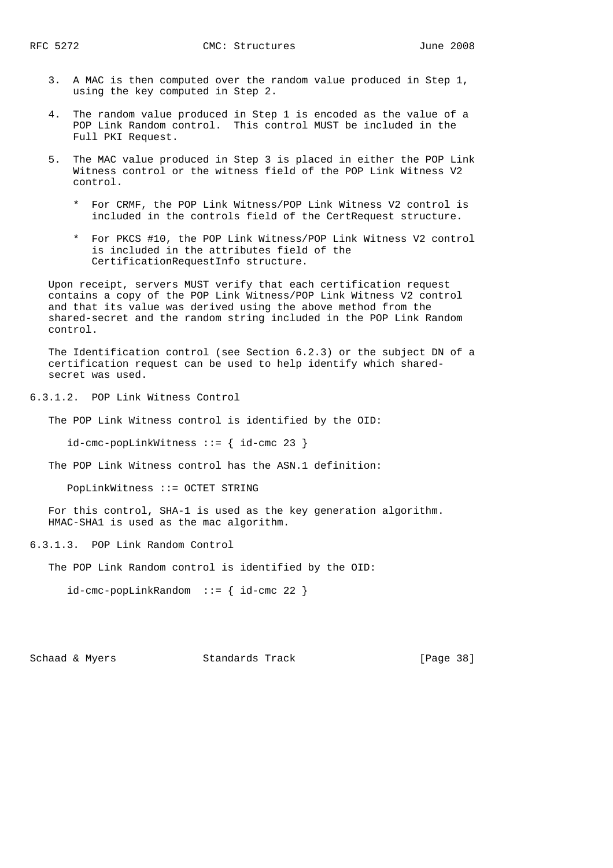- 3. A MAC is then computed over the random value produced in Step 1, using the key computed in Step 2.
- 4. The random value produced in Step 1 is encoded as the value of a POP Link Random control. This control MUST be included in the Full PKI Request.
- 5. The MAC value produced in Step 3 is placed in either the POP Link Witness control or the witness field of the POP Link Witness V2 control.
	- \* For CRMF, the POP Link Witness/POP Link Witness V2 control is included in the controls field of the CertRequest structure.
	- \* For PKCS #10, the POP Link Witness/POP Link Witness V2 control is included in the attributes field of the CertificationRequestInfo structure.

 Upon receipt, servers MUST verify that each certification request contains a copy of the POP Link Witness/POP Link Witness V2 control and that its value was derived using the above method from the shared-secret and the random string included in the POP Link Random control.

 The Identification control (see Section 6.2.3) or the subject DN of a certification request can be used to help identify which shared secret was used.

6.3.1.2. POP Link Witness Control

The POP Link Witness control is identified by the OID:

id-cmc-popLinkWitness ::= { id-cmc 23 }

The POP Link Witness control has the ASN.1 definition:

PopLinkWitness ::= OCTET STRING

 For this control, SHA-1 is used as the key generation algorithm. HMAC-SHA1 is used as the mac algorithm.

6.3.1.3. POP Link Random Control

The POP Link Random control is identified by the OID:

id-cmc-popLinkRandom ::= { id-cmc 22 }

Schaad & Myers Standards Track [Page 38]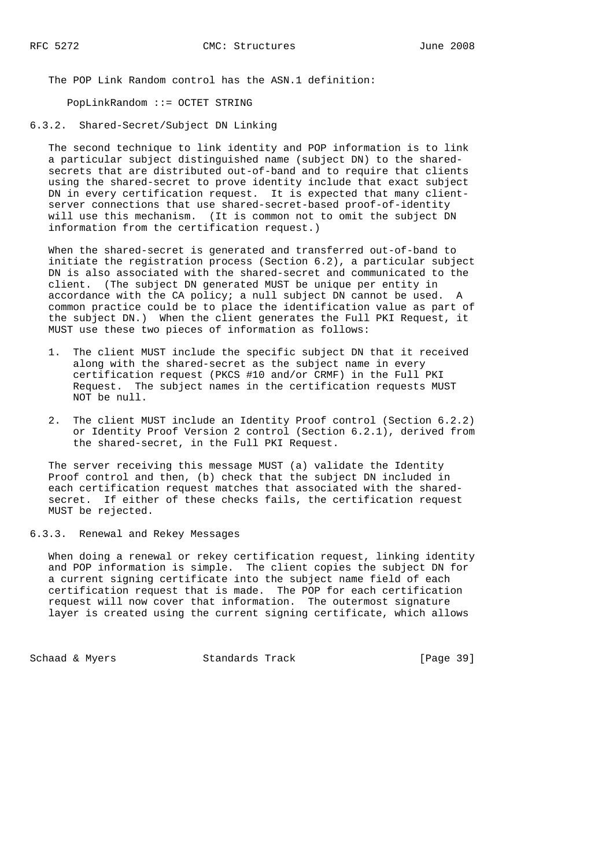The POP Link Random control has the ASN.1 definition:

PopLinkRandom ::= OCTET STRING

6.3.2. Shared-Secret/Subject DN Linking

 The second technique to link identity and POP information is to link a particular subject distinguished name (subject DN) to the shared secrets that are distributed out-of-band and to require that clients using the shared-secret to prove identity include that exact subject DN in every certification request. It is expected that many client server connections that use shared-secret-based proof-of-identity will use this mechanism. (It is common not to omit the subject DN information from the certification request.)

 When the shared-secret is generated and transferred out-of-band to initiate the registration process (Section 6.2), a particular subject DN is also associated with the shared-secret and communicated to the client. (The subject DN generated MUST be unique per entity in accordance with the CA policy; a null subject DN cannot be used. A common practice could be to place the identification value as part of the subject DN.) When the client generates the Full PKI Request, it MUST use these two pieces of information as follows:

- 1. The client MUST include the specific subject DN that it received along with the shared-secret as the subject name in every certification request (PKCS #10 and/or CRMF) in the Full PKI Request. The subject names in the certification requests MUST NOT be null.
- 2. The client MUST include an Identity Proof control (Section 6.2.2) or Identity Proof Version 2 control (Section 6.2.1), derived from the shared-secret, in the Full PKI Request.

 The server receiving this message MUST (a) validate the Identity Proof control and then, (b) check that the subject DN included in each certification request matches that associated with the shared secret. If either of these checks fails, the certification request MUST be rejected.

6.3.3. Renewal and Rekey Messages

 When doing a renewal or rekey certification request, linking identity and POP information is simple. The client copies the subject DN for a current signing certificate into the subject name field of each certification request that is made. The POP for each certification request will now cover that information. The outermost signature layer is created using the current signing certificate, which allows

Schaad & Myers Standards Track [Page 39]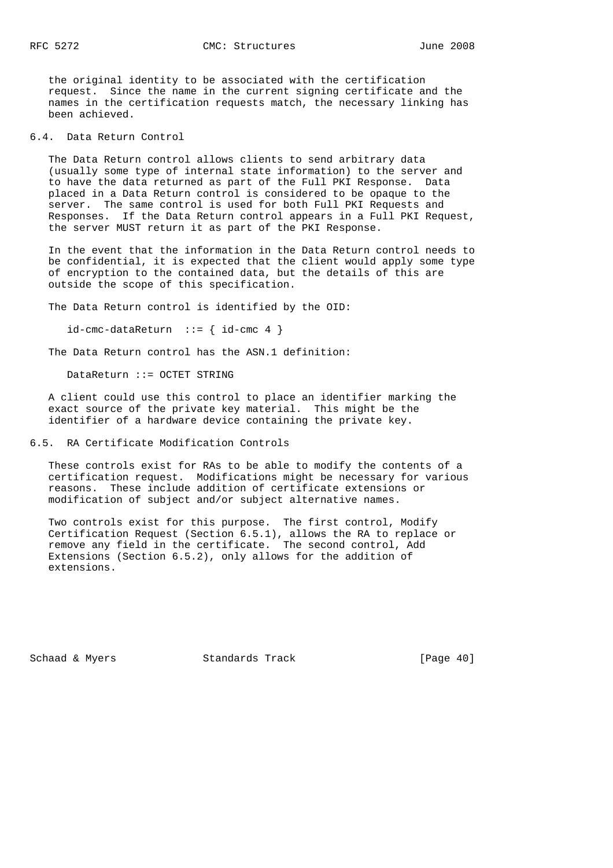the original identity to be associated with the certification request. Since the name in the current signing certificate and the names in the certification requests match, the necessary linking has been achieved.

6.4. Data Return Control

 The Data Return control allows clients to send arbitrary data (usually some type of internal state information) to the server and to have the data returned as part of the Full PKI Response. Data placed in a Data Return control is considered to be opaque to the server. The same control is used for both Full PKI Requests and Responses. If the Data Return control appears in a Full PKI Request, the server MUST return it as part of the PKI Response.

 In the event that the information in the Data Return control needs to be confidential, it is expected that the client would apply some type of encryption to the contained data, but the details of this are outside the scope of this specification.

The Data Return control is identified by the OID:

 $id$ -cmc-dataReturn ::= {  $id$ -cmc 4 }

The Data Return control has the ASN.1 definition:

DataReturn ::= OCTET STRING

 A client could use this control to place an identifier marking the exact source of the private key material. This might be the identifier of a hardware device containing the private key.

6.5. RA Certificate Modification Controls

 These controls exist for RAs to be able to modify the contents of a certification request. Modifications might be necessary for various reasons. These include addition of certificate extensions or modification of subject and/or subject alternative names.

 Two controls exist for this purpose. The first control, Modify Certification Request (Section 6.5.1), allows the RA to replace or remove any field in the certificate. The second control, Add Extensions (Section 6.5.2), only allows for the addition of extensions.

Schaad & Myers Standards Track [Page 40]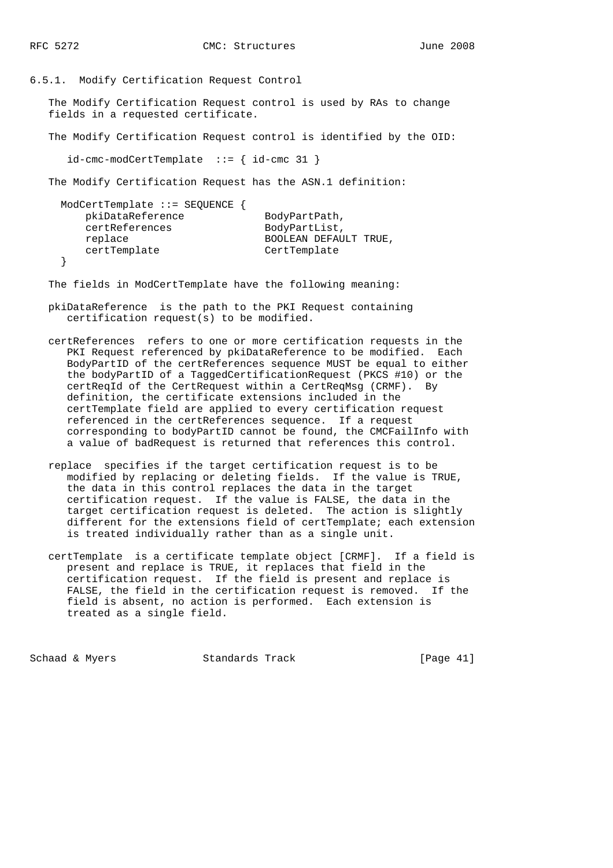6.5.1. Modify Certification Request Control

 The Modify Certification Request control is used by RAs to change fields in a requested certificate.

The Modify Certification Request control is identified by the OID:

id-cmc-modCertTemplate ::= { id-cmc 31 }

The Modify Certification Request has the ASN.1 definition:

| $ModCertTemplate :: = SEQUENCE$ { |                       |
|-----------------------------------|-----------------------|
| pkiDataReference                  | BodyPartPath,         |
| certReferences                    | BodyPartList,         |
| replace                           | BOOLEAN DEFAULT TRUE, |
| certTemplate                      | CertTemplate          |
|                                   |                       |

}

The fields in ModCertTemplate have the following meaning:

 pkiDataReference is the path to the PKI Request containing certification request(s) to be modified.

- certReferences refers to one or more certification requests in the PKI Request referenced by pkiDataReference to be modified. Each BodyPartID of the certReferences sequence MUST be equal to either the bodyPartID of a TaggedCertificationRequest (PKCS #10) or the certReqId of the CertRequest within a CertReqMsg (CRMF). By definition, the certificate extensions included in the certTemplate field are applied to every certification request referenced in the certReferences sequence. If a request corresponding to bodyPartID cannot be found, the CMCFailInfo with a value of badRequest is returned that references this control.
- replace specifies if the target certification request is to be modified by replacing or deleting fields. If the value is TRUE, the data in this control replaces the data in the target certification request. If the value is FALSE, the data in the target certification request is deleted. The action is slightly different for the extensions field of certTemplate; each extension is treated individually rather than as a single unit.
- certTemplate is a certificate template object [CRMF]. If a field is present and replace is TRUE, it replaces that field in the certification request. If the field is present and replace is FALSE, the field in the certification request is removed. If the field is absent, no action is performed. Each extension is treated as a single field.

Schaad & Myers Standards Track [Page 41]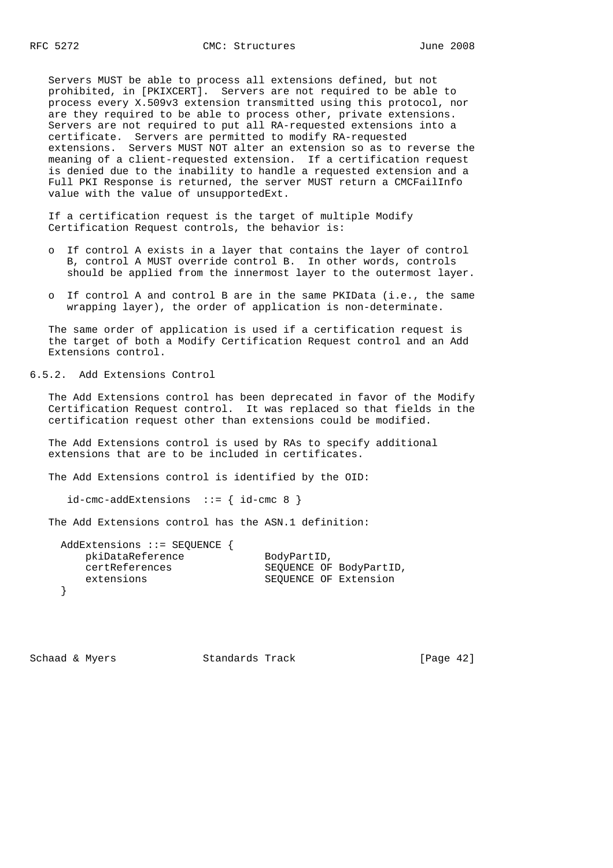Servers MUST be able to process all extensions defined, but not prohibited, in [PKIXCERT]. Servers are not required to be able to process every X.509v3 extension transmitted using this protocol, nor are they required to be able to process other, private extensions. Servers are not required to put all RA-requested extensions into a certificate. Servers are permitted to modify RA-requested extensions. Servers MUST NOT alter an extension so as to reverse the meaning of a client-requested extension. If a certification request is denied due to the inability to handle a requested extension and a Full PKI Response is returned, the server MUST return a CMCFailInfo value with the value of unsupportedExt.

 If a certification request is the target of multiple Modify Certification Request controls, the behavior is:

- o If control A exists in a layer that contains the layer of control B, control A MUST override control B. In other words, controls should be applied from the innermost layer to the outermost layer.
- o If control A and control B are in the same PKIData (i.e., the same wrapping layer), the order of application is non-determinate.

 The same order of application is used if a certification request is the target of both a Modify Certification Request control and an Add Extensions control.

6.5.2. Add Extensions Control

 The Add Extensions control has been deprecated in favor of the Modify Certification Request control. It was replaced so that fields in the certification request other than extensions could be modified.

 The Add Extensions control is used by RAs to specify additional extensions that are to be included in certificates.

The Add Extensions control is identified by the OID:

 $id$ -cmc-addExtensions ::= {  $id$ -cmc 8 }

The Add Extensions control has the ASN.1 definition:

| AddExtensions ::= SEQUENCE $\{$ |                         |
|---------------------------------|-------------------------|
| pkiDataReference                | BodyPartID,             |
| certReferences                  | SEOUENCE OF BodyPartID, |
| extensions                      | SEQUENCE OF Extension   |
|                                 |                         |

Schaad & Myers Standards Track [Page 42]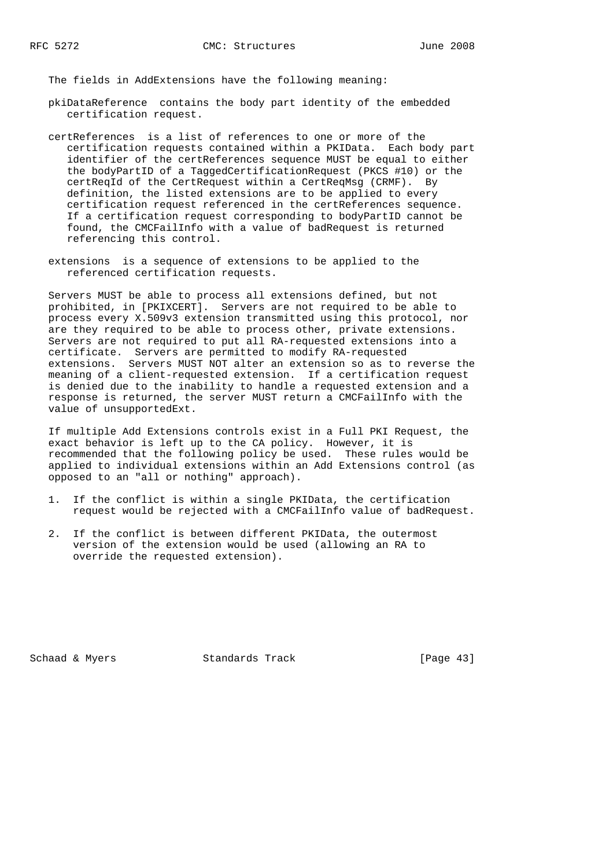The fields in AddExtensions have the following meaning:

- pkiDataReference contains the body part identity of the embedded certification request.
- certReferences is a list of references to one or more of the certification requests contained within a PKIData. Each body part identifier of the certReferences sequence MUST be equal to either the bodyPartID of a TaggedCertificationRequest (PKCS #10) or the certReqId of the CertRequest within a CertReqMsg (CRMF). By definition, the listed extensions are to be applied to every certification request referenced in the certReferences sequence. If a certification request corresponding to bodyPartID cannot be found, the CMCFailInfo with a value of badRequest is returned referencing this control.
- extensions is a sequence of extensions to be applied to the referenced certification requests.

 Servers MUST be able to process all extensions defined, but not prohibited, in [PKIXCERT]. Servers are not required to be able to process every X.509v3 extension transmitted using this protocol, nor are they required to be able to process other, private extensions. Servers are not required to put all RA-requested extensions into a certificate. Servers are permitted to modify RA-requested extensions. Servers MUST NOT alter an extension so as to reverse the meaning of a client-requested extension. If a certification request is denied due to the inability to handle a requested extension and a response is returned, the server MUST return a CMCFailInfo with the value of unsupportedExt.

 If multiple Add Extensions controls exist in a Full PKI Request, the exact behavior is left up to the CA policy. However, it is recommended that the following policy be used. These rules would be applied to individual extensions within an Add Extensions control (as opposed to an "all or nothing" approach).

- 1. If the conflict is within a single PKIData, the certification request would be rejected with a CMCFailInfo value of badRequest.
- 2. If the conflict is between different PKIData, the outermost version of the extension would be used (allowing an RA to override the requested extension).

Schaad & Myers Standards Track [Page 43]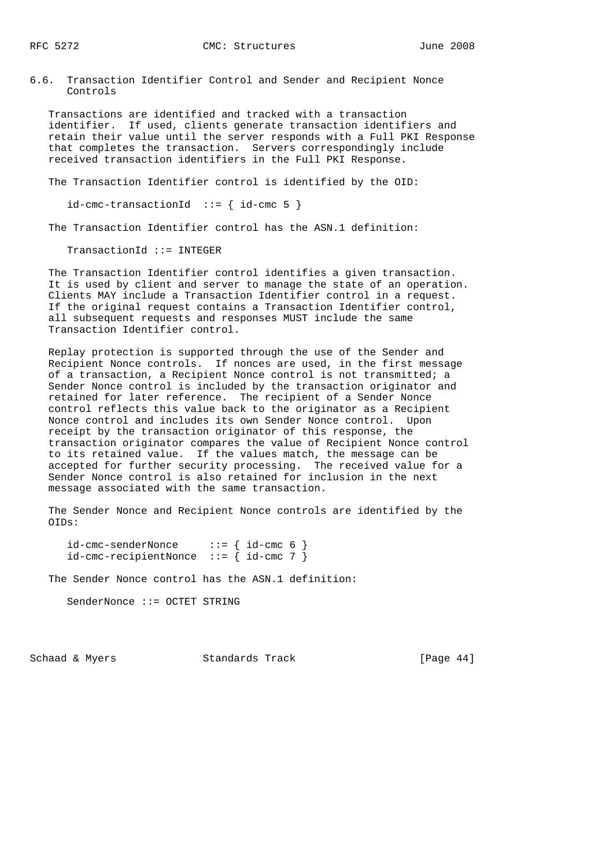6.6. Transaction Identifier Control and Sender and Recipient Nonce Controls

 Transactions are identified and tracked with a transaction identifier. If used, clients generate transaction identifiers and retain their value until the server responds with a Full PKI Response that completes the transaction. Servers correspondingly include received transaction identifiers in the Full PKI Response.

The Transaction Identifier control is identified by the OID:

 $id$ -cmc-transactionId ::= {  $id$ -cmc 5 }

The Transaction Identifier control has the ASN.1 definition:

TransactionId ::= INTEGER

 The Transaction Identifier control identifies a given transaction. It is used by client and server to manage the state of an operation. Clients MAY include a Transaction Identifier control in a request. If the original request contains a Transaction Identifier control, all subsequent requests and responses MUST include the same Transaction Identifier control.

 Replay protection is supported through the use of the Sender and Recipient Nonce controls. If nonces are used, in the first message of a transaction, a Recipient Nonce control is not transmitted; a Sender Nonce control is included by the transaction originator and retained for later reference. The recipient of a Sender Nonce control reflects this value back to the originator as a Recipient Nonce control and includes its own Sender Nonce control. Upon receipt by the transaction originator of this response, the transaction originator compares the value of Recipient Nonce control to its retained value. If the values match, the message can be accepted for further security processing. The received value for a Sender Nonce control is also retained for inclusion in the next message associated with the same transaction.

 The Sender Nonce and Recipient Nonce controls are identified by the OIDs:

 id-cmc-senderNonce ::= { id-cmc 6 } id-cmc-recipientNonce ::= { id-cmc 7 }

The Sender Nonce control has the ASN.1 definition:

SenderNonce ::= OCTET STRING

Schaad & Myers Standards Track [Page 44]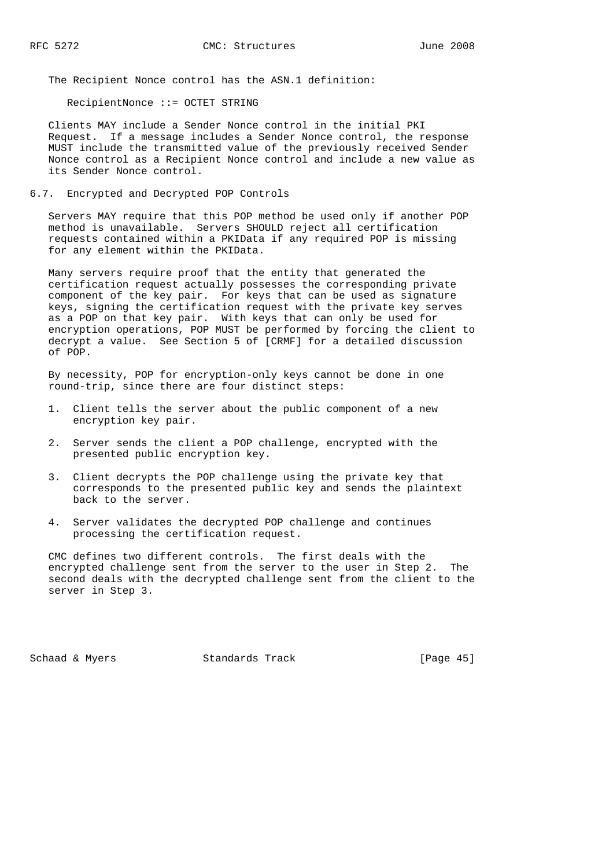The Recipient Nonce control has the ASN.1 definition:

RecipientNonce ::= OCTET STRING

 Clients MAY include a Sender Nonce control in the initial PKI Request. If a message includes a Sender Nonce control, the response MUST include the transmitted value of the previously received Sender Nonce control as a Recipient Nonce control and include a new value as its Sender Nonce control.

6.7. Encrypted and Decrypted POP Controls

 Servers MAY require that this POP method be used only if another POP method is unavailable. Servers SHOULD reject all certification requests contained within a PKIData if any required POP is missing for any element within the PKIData.

 Many servers require proof that the entity that generated the certification request actually possesses the corresponding private component of the key pair. For keys that can be used as signature keys, signing the certification request with the private key serves as a POP on that key pair. With keys that can only be used for encryption operations, POP MUST be performed by forcing the client to decrypt a value. See Section 5 of [CRMF] for a detailed discussion of POP.

 By necessity, POP for encryption-only keys cannot be done in one round-trip, since there are four distinct steps:

- 1. Client tells the server about the public component of a new encryption key pair.
- 2. Server sends the client a POP challenge, encrypted with the presented public encryption key.
- 3. Client decrypts the POP challenge using the private key that corresponds to the presented public key and sends the plaintext back to the server.
- 4. Server validates the decrypted POP challenge and continues processing the certification request.

 CMC defines two different controls. The first deals with the encrypted challenge sent from the server to the user in Step 2. The second deals with the decrypted challenge sent from the client to the server in Step 3.

Schaad & Myers Standards Track [Page 45]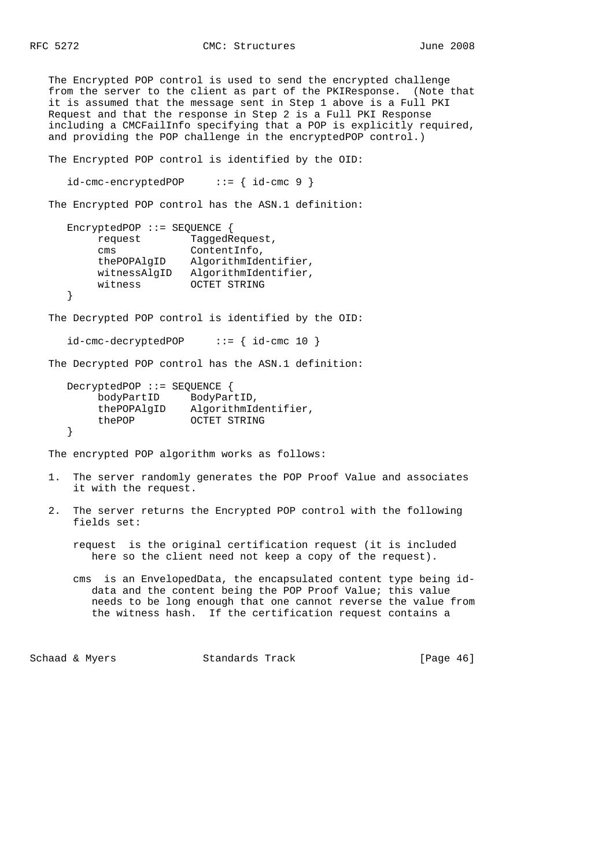The Encrypted POP control is used to send the encrypted challenge from the server to the client as part of the PKIResponse. (Note that it is assumed that the message sent in Step 1 above is a Full PKI Request and that the response in Step 2 is a Full PKI Response including a CMCFailInfo specifying that a POP is explicitly required, and providing the POP challenge in the encryptedPOP control.)

The Encrypted POP control is identified by the OID:

 $id$ -cmc-encryptedPOP ::= {  $id$ -cmc 9 }

The Encrypted POP control has the ASN.1 definition:

```
 EncryptedPOP ::= SEQUENCE {
         request TaggedRequest,
         cms ContentInfo,
 thePOPAlgID AlgorithmIdentifier,
 witnessAlgID AlgorithmIdentifier,
         witness OCTET STRING
     }
```
The Decrypted POP control is identified by the OID:

```
 id-cmc-decryptedPOP ::= { id-cmc 10 }
```
The Decrypted POP control has the ASN.1 definition:

```
 DecryptedPOP ::= SEQUENCE {
 bodyPartID BodyPartID,
 thePOPAlgID AlgorithmIdentifier,
         thePOP OCTET STRING
     }
```
The encrypted POP algorithm works as follows:

- 1. The server randomly generates the POP Proof Value and associates it with the request.
- 2. The server returns the Encrypted POP control with the following fields set:

 request is the original certification request (it is included here so the client need not keep a copy of the request).

 cms is an EnvelopedData, the encapsulated content type being id data and the content being the POP Proof Value; this value needs to be long enough that one cannot reverse the value from the witness hash. If the certification request contains a

Schaad & Myers **Standards Track** [Page 46]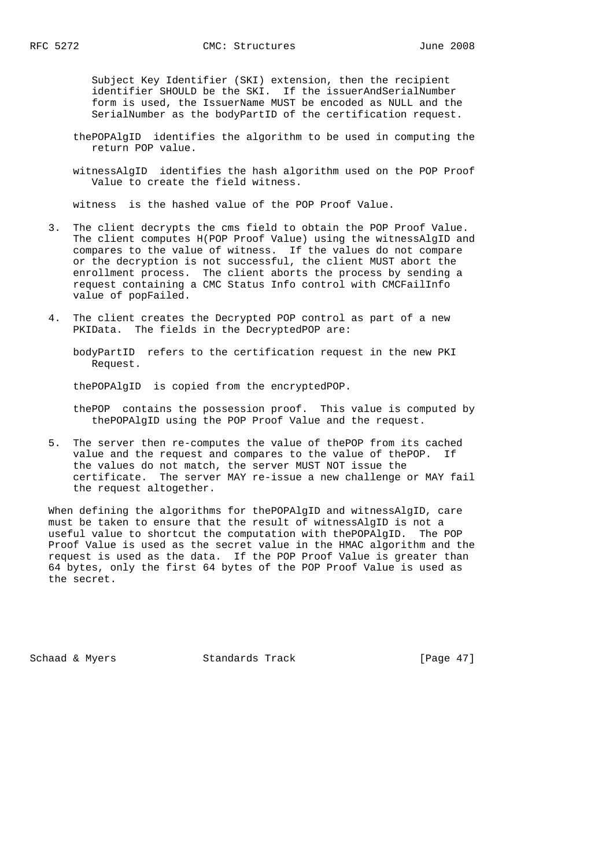Subject Key Identifier (SKI) extension, then the recipient identifier SHOULD be the SKI. If the issuerAndSerialNumber form is used, the IssuerName MUST be encoded as NULL and the SerialNumber as the bodyPartID of the certification request.

- thePOPAlgID identifies the algorithm to be used in computing the return POP value.
- witnessAlgID identifies the hash algorithm used on the POP Proof Value to create the field witness.

witness is the hashed value of the POP Proof Value.

- 3. The client decrypts the cms field to obtain the POP Proof Value. The client computes H(POP Proof Value) using the witnessAlgID and compares to the value of witness. If the values do not compare or the decryption is not successful, the client MUST abort the enrollment process. The client aborts the process by sending a request containing a CMC Status Info control with CMCFailInfo value of popFailed.
- 4. The client creates the Decrypted POP control as part of a new PKIData. The fields in the DecryptedPOP are:

 bodyPartID refers to the certification request in the new PKI Request.

thePOPAlgID is copied from the encryptedPOP.

 thePOP contains the possession proof. This value is computed by thePOPAlgID using the POP Proof Value and the request.

 5. The server then re-computes the value of thePOP from its cached value and the request and compares to the value of thePOP. If the values do not match, the server MUST NOT issue the certificate. The server MAY re-issue a new challenge or MAY fail the request altogether.

 When defining the algorithms for thePOPAlgID and witnessAlgID, care must be taken to ensure that the result of witnessAlgID is not a useful value to shortcut the computation with thePOPAlgID. The POP Proof Value is used as the secret value in the HMAC algorithm and the request is used as the data. If the POP Proof Value is greater than 64 bytes, only the first 64 bytes of the POP Proof Value is used as the secret.

Schaad & Myers Standards Track [Page 47]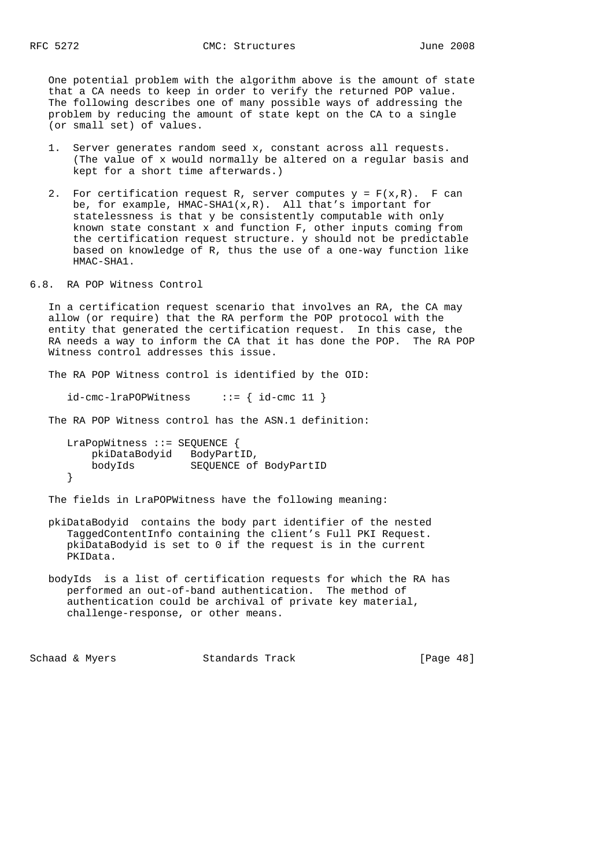One potential problem with the algorithm above is the amount of state that a CA needs to keep in order to verify the returned POP value. The following describes one of many possible ways of addressing the problem by reducing the amount of state kept on the CA to a single (or small set) of values.

- 1. Server generates random seed x, constant across all requests. (The value of x would normally be altered on a regular basis and kept for a short time afterwards.)
- 2. For certification request R, server computes  $y = F(x,R)$ . F can be, for example,  $HMAC-SHA1(x,R)$ . All that's important for statelessness is that y be consistently computable with only known state constant x and function F, other inputs coming from the certification request structure. y should not be predictable based on knowledge of R, thus the use of a one-way function like HMAC-SHA1.
- 6.8. RA POP Witness Control

 In a certification request scenario that involves an RA, the CA may allow (or require) that the RA perform the POP protocol with the entity that generated the certification request. In this case, the RA needs a way to inform the CA that it has done the POP. The RA POP Witness control addresses this issue.

The RA POP Witness control is identified by the OID:

 $id$ -cmc-lraPOPWitness ::= {  $id$ -cmc 11 }

The RA POP Witness control has the ASN.1 definition:

 LraPopWitness ::= SEQUENCE { pkiDataBodyid BodyPartID, bodyIds SEQUENCE of BodyPartID }

The fields in LraPOPWitness have the following meaning:

- pkiDataBodyid contains the body part identifier of the nested TaggedContentInfo containing the client's Full PKI Request. pkiDataBodyid is set to 0 if the request is in the current PKIData.
- bodyIds is a list of certification requests for which the RA has performed an out-of-band authentication. The method of authentication could be archival of private key material, challenge-response, or other means.

Schaad & Myers Standards Track [Page 48]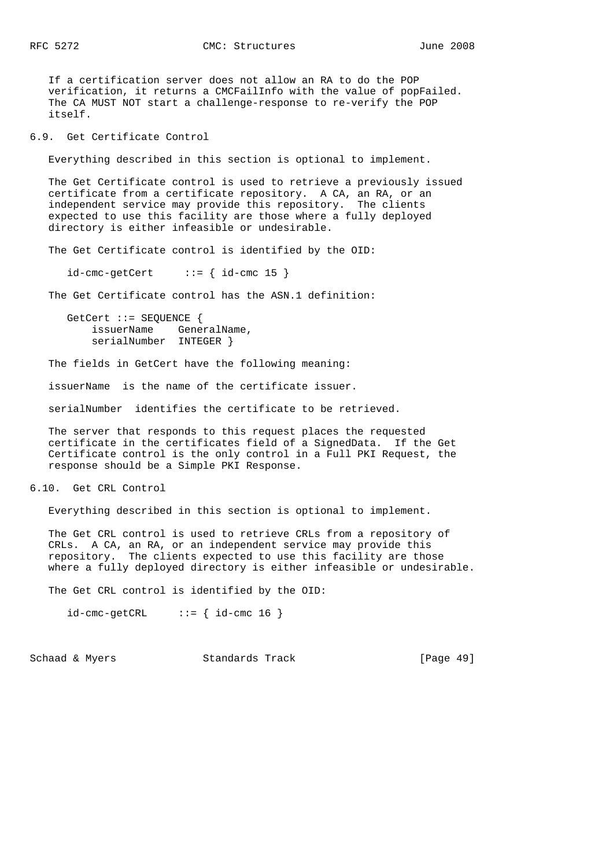If a certification server does not allow an RA to do the POP verification, it returns a CMCFailInfo with the value of popFailed. The CA MUST NOT start a challenge-response to re-verify the POP itself.

6.9. Get Certificate Control

Everything described in this section is optional to implement.

 The Get Certificate control is used to retrieve a previously issued certificate from a certificate repository. A CA, an RA, or an independent service may provide this repository. The clients expected to use this facility are those where a fully deployed directory is either infeasible or undesirable.

The Get Certificate control is identified by the OID:

 $id$ -cmc-getCert ::= {  $id$ -cmc 15 }

The Get Certificate control has the ASN.1 definition:

 GetCert ::= SEQUENCE { issuerName GeneralName, serialNumber INTEGER }

The fields in GetCert have the following meaning:

issuerName is the name of the certificate issuer.

serialNumber identifies the certificate to be retrieved.

 The server that responds to this request places the requested certificate in the certificates field of a SignedData. If the Get Certificate control is the only control in a Full PKI Request, the response should be a Simple PKI Response.

6.10. Get CRL Control

Everything described in this section is optional to implement.

 The Get CRL control is used to retrieve CRLs from a repository of CRLs. A CA, an RA, or an independent service may provide this repository. The clients expected to use this facility are those where a fully deployed directory is either infeasible or undesirable.

The Get CRL control is identified by the OID:

 $id$ -cmc-getCRL ::= {  $id$ -cmc 16 }

Schaad & Myers Standards Track [Page 49]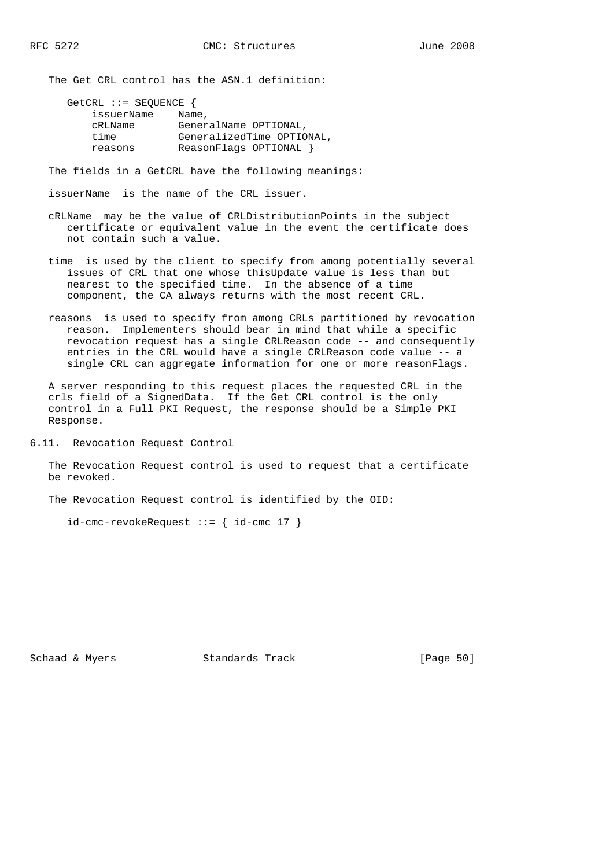The Get CRL control has the ASN.1 definition:

| GetCRL ::= SEQUENCE $\{$ |                           |
|--------------------------|---------------------------|
| issuerName               | Name,                     |
| cRLName                  | GeneralName OPTIONAL,     |
| time                     | GeneralizedTime OPTIONAL, |
| reasons                  | ReasonFlags OPTIONAL }    |

The fields in a GetCRL have the following meanings:

issuerName is the name of the CRL issuer.

- cRLName may be the value of CRLDistributionPoints in the subject certificate or equivalent value in the event the certificate does not contain such a value.
- time is used by the client to specify from among potentially several issues of CRL that one whose thisUpdate value is less than but nearest to the specified time. In the absence of a time component, the CA always returns with the most recent CRL.
- reasons is used to specify from among CRLs partitioned by revocation reason. Implementers should bear in mind that while a specific revocation request has a single CRLReason code -- and consequently entries in the CRL would have a single CRLReason code value -- a single CRL can aggregate information for one or more reasonFlags.

 A server responding to this request places the requested CRL in the crls field of a SignedData. If the Get CRL control is the only control in a Full PKI Request, the response should be a Simple PKI Response.

6.11. Revocation Request Control

 The Revocation Request control is used to request that a certificate be revoked.

The Revocation Request control is identified by the OID:

 $id$ -cmc-revokeRequest ::= {  $id$ -cmc 17 }

Schaad & Myers **Standards Track** [Page 50]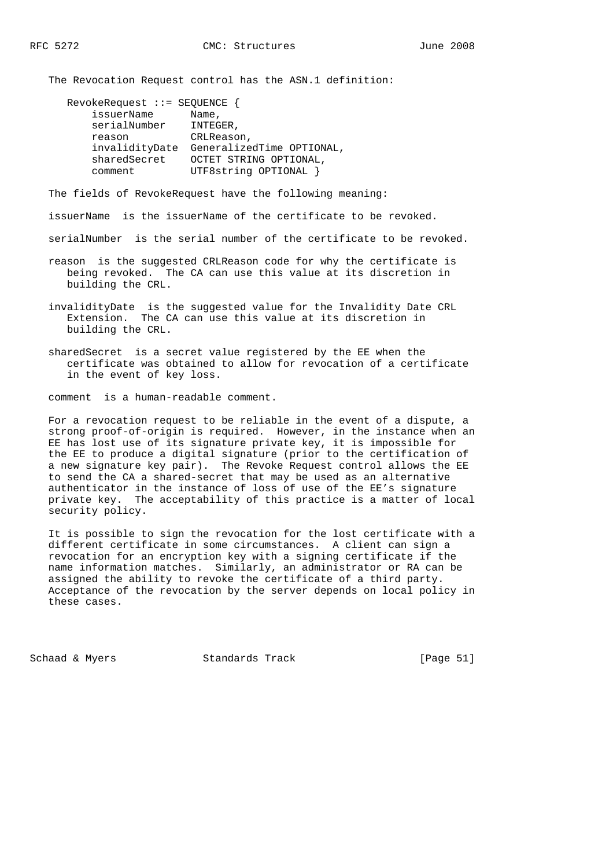The Revocation Request control has the ASN.1 definition:

| $Revolerlequest :: = SEQUENCE$ |                           |
|--------------------------------|---------------------------|
| issuerName                     | Name,                     |
| serialNumber                   | INTEGER,                  |
| reason                         | CRLReason,                |
| invalidityDate                 | GeneralizedTime OPTIONAL, |
| sharedSecret                   | OCTET STRING OPTIONAL,    |
| comment                        | UTF8string OPTIONAL }     |

The fields of RevokeRequest have the following meaning:

issuerName is the issuerName of the certificate to be revoked.

serialNumber is the serial number of the certificate to be revoked.

- reason is the suggested CRLReason code for why the certificate is being revoked. The CA can use this value at its discretion in building the CRL.
- invalidityDate is the suggested value for the Invalidity Date CRL Extension. The CA can use this value at its discretion in building the CRL.
- sharedSecret is a secret value registered by the EE when the certificate was obtained to allow for revocation of a certificate in the event of key loss.

comment is a human-readable comment.

 For a revocation request to be reliable in the event of a dispute, a strong proof-of-origin is required. However, in the instance when an EE has lost use of its signature private key, it is impossible for the EE to produce a digital signature (prior to the certification of a new signature key pair). The Revoke Request control allows the EE to send the CA a shared-secret that may be used as an alternative authenticator in the instance of loss of use of the EE's signature private key. The acceptability of this practice is a matter of local security policy.

 It is possible to sign the revocation for the lost certificate with a different certificate in some circumstances. A client can sign a revocation for an encryption key with a signing certificate if the name information matches. Similarly, an administrator or RA can be assigned the ability to revoke the certificate of a third party. Acceptance of the revocation by the server depends on local policy in these cases.

Schaad & Myers Standards Track [Page 51]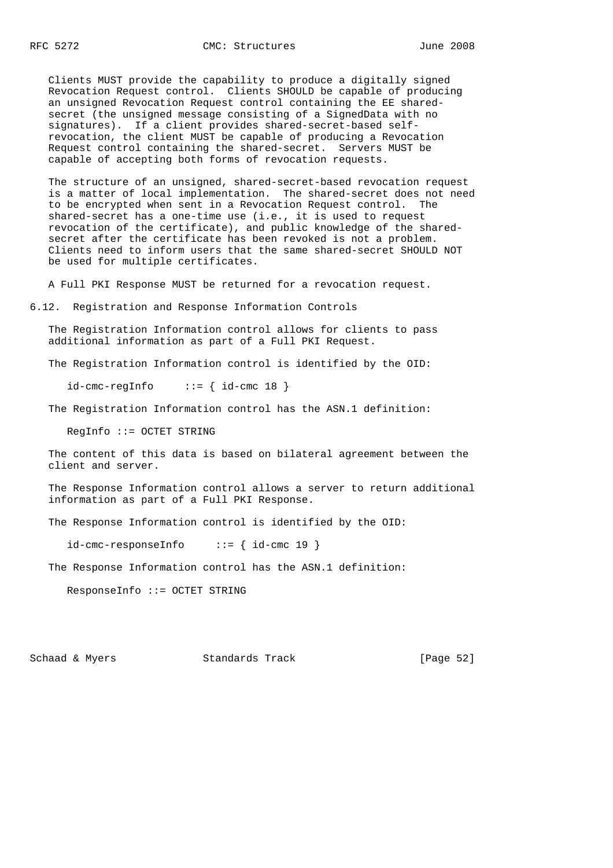Clients MUST provide the capability to produce a digitally signed Revocation Request control. Clients SHOULD be capable of producing an unsigned Revocation Request control containing the EE shared secret (the unsigned message consisting of a SignedData with no signatures). If a client provides shared-secret-based self revocation, the client MUST be capable of producing a Revocation Request control containing the shared-secret. Servers MUST be capable of accepting both forms of revocation requests.

 The structure of an unsigned, shared-secret-based revocation request is a matter of local implementation. The shared-secret does not need to be encrypted when sent in a Revocation Request control. The shared-secret has a one-time use (i.e., it is used to request revocation of the certificate), and public knowledge of the shared secret after the certificate has been revoked is not a problem. Clients need to inform users that the same shared-secret SHOULD NOT be used for multiple certificates.

A Full PKI Response MUST be returned for a revocation request.

6.12. Registration and Response Information Controls

 The Registration Information control allows for clients to pass additional information as part of a Full PKI Request.

The Registration Information control is identified by the OID:

 $id$ -cmc-regInfo ::= {  $id$ -cmc 18 }

The Registration Information control has the ASN.1 definition:

RegInfo ::= OCTET STRING

 The content of this data is based on bilateral agreement between the client and server.

 The Response Information control allows a server to return additional information as part of a Full PKI Response.

The Response Information control is identified by the OID:

 $id$ -cmc-responseInfo ::= {  $id$ -cmc 19 }

The Response Information control has the ASN.1 definition:

ResponseInfo ::= OCTET STRING

Schaad & Myers **Standards Track** [Page 52]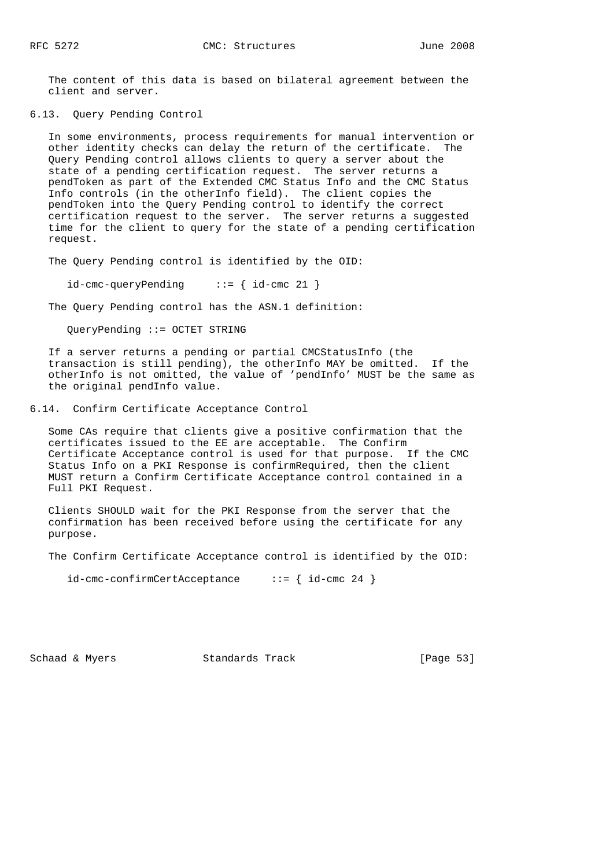The content of this data is based on bilateral agreement between the client and server.

6.13. Query Pending Control

 In some environments, process requirements for manual intervention or other identity checks can delay the return of the certificate. The Query Pending control allows clients to query a server about the state of a pending certification request. The server returns a pendToken as part of the Extended CMC Status Info and the CMC Status Info controls (in the otherInfo field). The client copies the pendToken into the Query Pending control to identify the correct certification request to the server. The server returns a suggested time for the client to query for the state of a pending certification request.

The Query Pending control is identified by the OID:

 $id$ -cmc-queryPending ::= { id-cmc 21 }

The Query Pending control has the ASN.1 definition:

QueryPending ::= OCTET STRING

 If a server returns a pending or partial CMCStatusInfo (the transaction is still pending), the otherInfo MAY be omitted. If the otherInfo is not omitted, the value of 'pendInfo' MUST be the same as the original pendInfo value.

6.14. Confirm Certificate Acceptance Control

 Some CAs require that clients give a positive confirmation that the certificates issued to the EE are acceptable. The Confirm Certificate Acceptance control is used for that purpose. If the CMC Status Info on a PKI Response is confirmRequired, then the client MUST return a Confirm Certificate Acceptance control contained in a Full PKI Request.

 Clients SHOULD wait for the PKI Response from the server that the confirmation has been received before using the certificate for any purpose.

The Confirm Certificate Acceptance control is identified by the OID:

id-cmc-confirmCertAcceptance ::= { id-cmc 24 }

Schaad & Myers **Standards Track** [Page 53]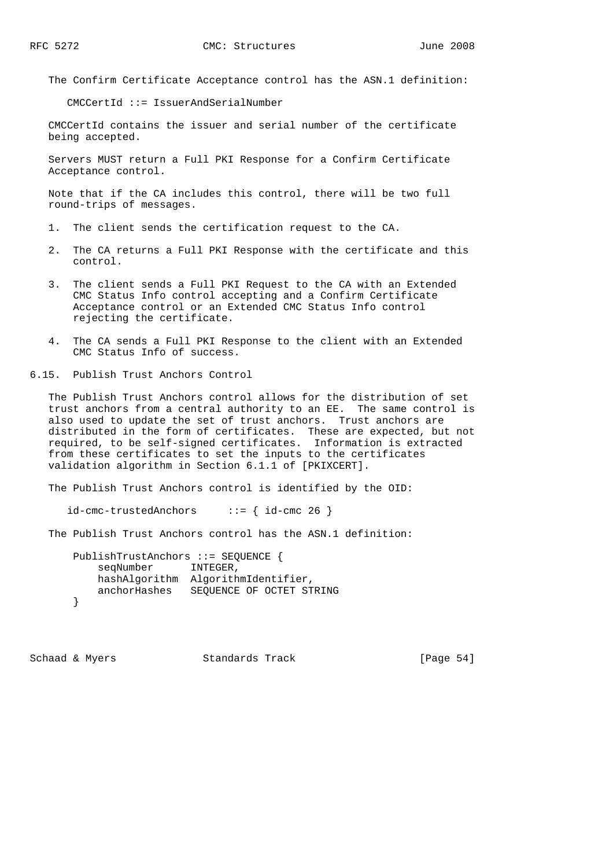The Confirm Certificate Acceptance control has the ASN.1 definition:

CMCCertId ::= IssuerAndSerialNumber

 CMCCertId contains the issuer and serial number of the certificate being accepted.

 Servers MUST return a Full PKI Response for a Confirm Certificate Acceptance control.

 Note that if the CA includes this control, there will be two full round-trips of messages.

- 1. The client sends the certification request to the CA.
- 2. The CA returns a Full PKI Response with the certificate and this control.
- 3. The client sends a Full PKI Request to the CA with an Extended CMC Status Info control accepting and a Confirm Certificate Acceptance control or an Extended CMC Status Info control rejecting the certificate.
- 4. The CA sends a Full PKI Response to the client with an Extended CMC Status Info of success.

6.15. Publish Trust Anchors Control

 The Publish Trust Anchors control allows for the distribution of set trust anchors from a central authority to an EE. The same control is also used to update the set of trust anchors. Trust anchors are distributed in the form of certificates. These are expected, but not required, to be self-signed certificates. Information is extracted from these certificates to set the inputs to the certificates validation algorithm in Section 6.1.1 of [PKIXCERT].

The Publish Trust Anchors control is identified by the OID:

 $id$ -cmc-trustedAnchors ::= {  $id$ -cmc 26 }

The Publish Trust Anchors control has the ASN.1 definition:

 PublishTrustAnchors ::= SEQUENCE { seqNumber INTEGER, hashAlgorithm AlgorithmIdentifier, anchorHashes SEQUENCE OF OCTET STRING }

Schaad & Myers Standards Track [Page 54]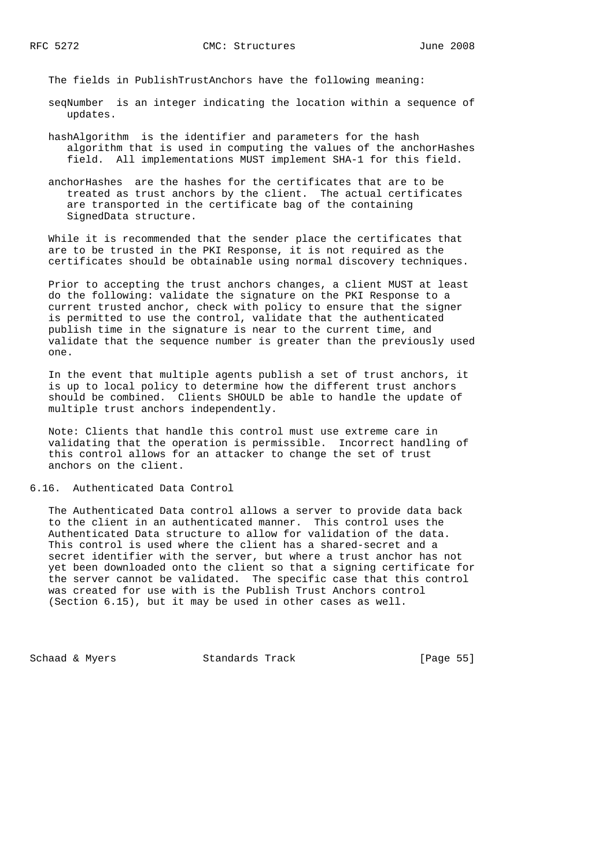The fields in PublishTrustAnchors have the following meaning:

- seqNumber is an integer indicating the location within a sequence of updates.
- hashAlgorithm is the identifier and parameters for the hash algorithm that is used in computing the values of the anchorHashes field. All implementations MUST implement SHA-1 for this field.
- anchorHashes are the hashes for the certificates that are to be treated as trust anchors by the client. The actual certificates are transported in the certificate bag of the containing SignedData structure.

 While it is recommended that the sender place the certificates that are to be trusted in the PKI Response, it is not required as the certificates should be obtainable using normal discovery techniques.

 Prior to accepting the trust anchors changes, a client MUST at least do the following: validate the signature on the PKI Response to a current trusted anchor, check with policy to ensure that the signer is permitted to use the control, validate that the authenticated publish time in the signature is near to the current time, and validate that the sequence number is greater than the previously used one.

 In the event that multiple agents publish a set of trust anchors, it is up to local policy to determine how the different trust anchors should be combined. Clients SHOULD be able to handle the update of multiple trust anchors independently.

 Note: Clients that handle this control must use extreme care in validating that the operation is permissible. Incorrect handling of this control allows for an attacker to change the set of trust anchors on the client.

6.16. Authenticated Data Control

 The Authenticated Data control allows a server to provide data back to the client in an authenticated manner. This control uses the Authenticated Data structure to allow for validation of the data. This control is used where the client has a shared-secret and a secret identifier with the server, but where a trust anchor has not yet been downloaded onto the client so that a signing certificate for the server cannot be validated. The specific case that this control was created for use with is the Publish Trust Anchors control (Section 6.15), but it may be used in other cases as well.

Schaad & Myers Standards Track [Page 55]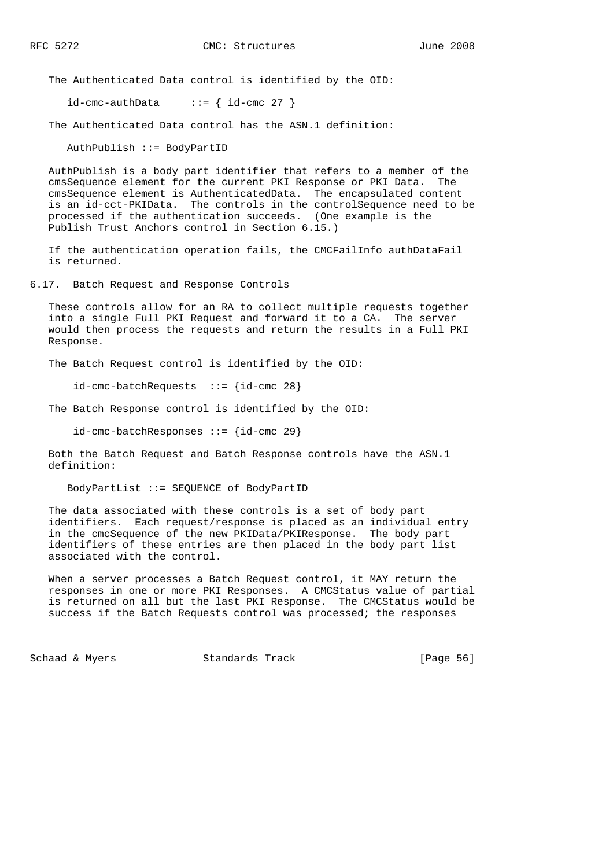The Authenticated Data control is identified by the OID:

 $id$ -cmc-authData ::= {  $id$ -cmc 27 }

The Authenticated Data control has the ASN.1 definition:

AuthPublish ::= BodyPartID

 AuthPublish is a body part identifier that refers to a member of the cmsSequence element for the current PKI Response or PKI Data. The cmsSequence element is AuthenticatedData. The encapsulated content is an id-cct-PKIData. The controls in the controlSequence need to be processed if the authentication succeeds. (One example is the Publish Trust Anchors control in Section 6.15.)

 If the authentication operation fails, the CMCFailInfo authDataFail is returned.

6.17. Batch Request and Response Controls

 These controls allow for an RA to collect multiple requests together into a single Full PKI Request and forward it to a CA. The server would then process the requests and return the results in a Full PKI Response.

The Batch Request control is identified by the OID:

 $id$ -cmc-batchRequests ::=  $id$ -cmc 28}

The Batch Response control is identified by the OID:

 $id$ -cmc-batchResponses ::=  $\{id$ -cmc 29 $\}$ 

 Both the Batch Request and Batch Response controls have the ASN.1 definition:

BodyPartList ::= SEQUENCE of BodyPartID

 The data associated with these controls is a set of body part identifiers. Each request/response is placed as an individual entry in the cmcSequence of the new PKIData/PKIResponse. The body part identifiers of these entries are then placed in the body part list associated with the control.

 When a server processes a Batch Request control, it MAY return the responses in one or more PKI Responses. A CMCStatus value of partial is returned on all but the last PKI Response. The CMCStatus would be success if the Batch Requests control was processed; the responses

Schaad & Myers Standards Track [Page 56]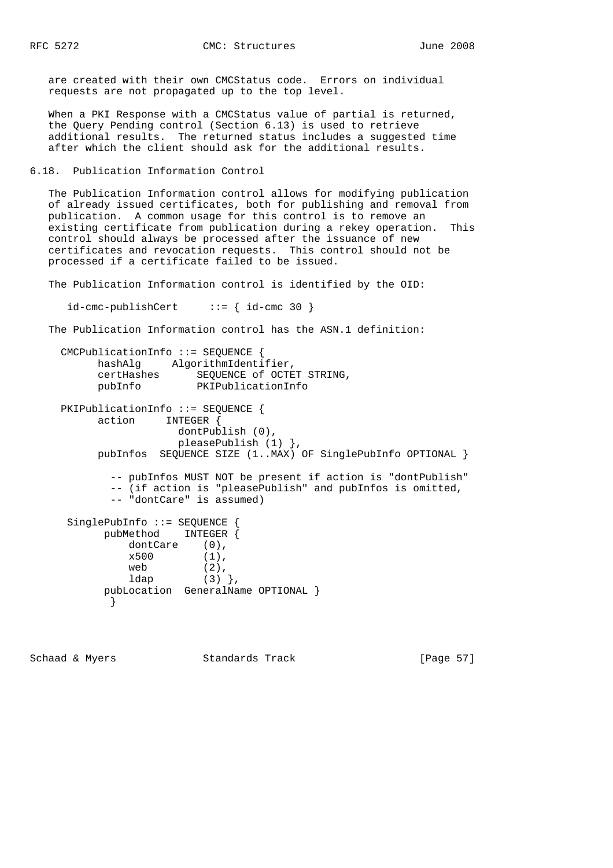are created with their own CMCStatus code. Errors on individual requests are not propagated up to the top level.

 When a PKI Response with a CMCStatus value of partial is returned, the Query Pending control (Section 6.13) is used to retrieve additional results. The returned status includes a suggested time after which the client should ask for the additional results.

6.18. Publication Information Control

 The Publication Information control allows for modifying publication of already issued certificates, both for publishing and removal from publication. A common usage for this control is to remove an existing certificate from publication during a rekey operation. This control should always be processed after the issuance of new certificates and revocation requests. This control should not be processed if a certificate failed to be issued.

The Publication Information control is identified by the OID:

 $id$ -cmc-publishCert ::= {  $id$ -cmc 30 }

The Publication Information control has the ASN.1 definition:

```
 CMCPublicationInfo ::= SEQUENCE {
 hashAlg AlgorithmIdentifier,
 certHashes SEQUENCE of OCTET STRING,
 pubInfo PKIPublicationInfo
    PKIPublicationInfo ::= SEQUENCE {
         action INTEGER {
                    dontPublish (0),
                    pleasePublish (1) },
         pubInfos SEQUENCE SIZE (1..MAX) OF SinglePubInfo OPTIONAL }
           -- pubInfos MUST NOT be present if action is "dontPublish"
           -- (if action is "pleasePublish" and pubInfos is omitted,
           -- "dontCare" is assumed)
     SinglePubInfo ::= SEQUENCE {
          pubMethod INTEGER {
             dontCare (0),
x500 (1),
web (2),
1dap (3) ), pubLocation GeneralName OPTIONAL }
 }
```
Schaad & Myers Standards Track [Page 57]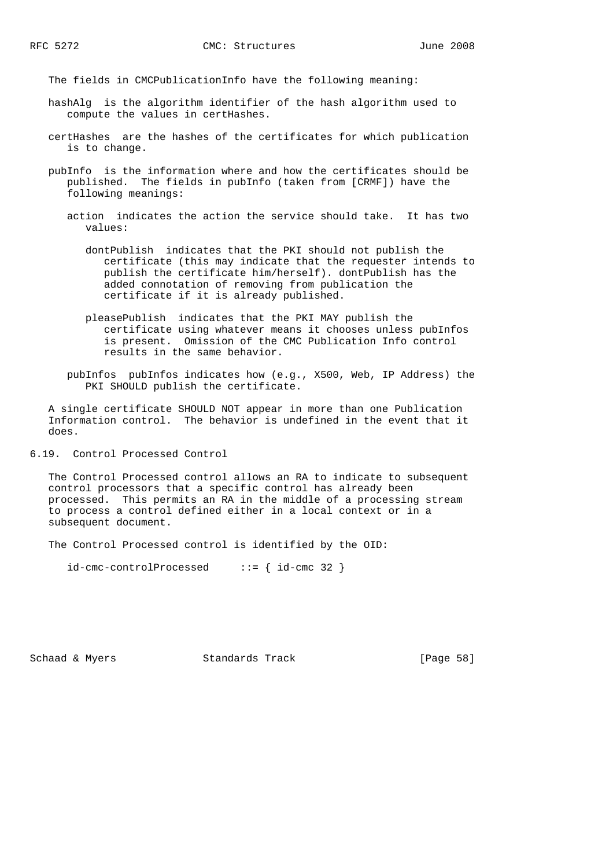The fields in CMCPublicationInfo have the following meaning:

- hashAlg is the algorithm identifier of the hash algorithm used to compute the values in certHashes.
- certHashes are the hashes of the certificates for which publication is to change.
- pubInfo is the information where and how the certificates should be published. The fields in pubInfo (taken from [CRMF]) have the following meanings:
	- action indicates the action the service should take. It has two values:
		- dontPublish indicates that the PKI should not publish the certificate (this may indicate that the requester intends to publish the certificate him/herself). dontPublish has the added connotation of removing from publication the certificate if it is already published.
		- pleasePublish indicates that the PKI MAY publish the certificate using whatever means it chooses unless pubInfos is present. Omission of the CMC Publication Info control results in the same behavior.
	- pubInfos pubInfos indicates how (e.g., X500, Web, IP Address) the PKI SHOULD publish the certificate.

 A single certificate SHOULD NOT appear in more than one Publication Information control. The behavior is undefined in the event that it does.

6.19. Control Processed Control

 The Control Processed control allows an RA to indicate to subsequent control processors that a specific control has already been processed. This permits an RA in the middle of a processing stream to process a control defined either in a local context or in a subsequent document.

The Control Processed control is identified by the OID:

 $id$ -cmc-controlProcessed ::= {  $id$ -cmc 32 }

Schaad & Myers **Standards Track** [Page 58]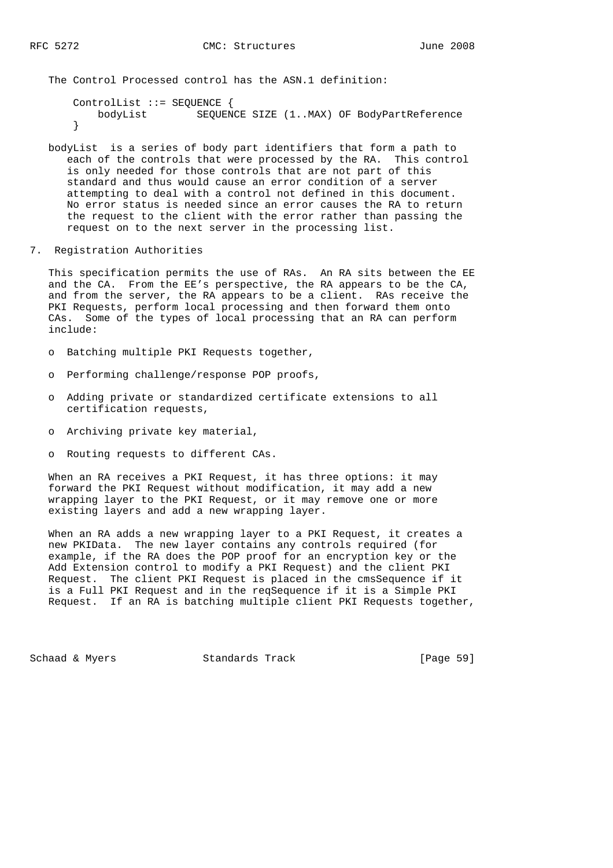The Control Processed control has the ASN.1 definition:

 ControlList ::= SEQUENCE { bodyList SEQUENCE SIZE (1..MAX) OF BodyPartReference }

- bodyList is a series of body part identifiers that form a path to each of the controls that were processed by the RA. This control is only needed for those controls that are not part of this standard and thus would cause an error condition of a server attempting to deal with a control not defined in this document. No error status is needed since an error causes the RA to return the request to the client with the error rather than passing the request on to the next server in the processing list.
- 7. Registration Authorities

 This specification permits the use of RAs. An RA sits between the EE and the CA. From the EE's perspective, the RA appears to be the CA, and from the server, the RA appears to be a client. RAs receive the PKI Requests, perform local processing and then forward them onto CAs. Some of the types of local processing that an RA can perform include:

- o Batching multiple PKI Requests together,
- o Performing challenge/response POP proofs,
- o Adding private or standardized certificate extensions to all certification requests,
- o Archiving private key material,
- o Routing requests to different CAs.

 When an RA receives a PKI Request, it has three options: it may forward the PKI Request without modification, it may add a new wrapping layer to the PKI Request, or it may remove one or more existing layers and add a new wrapping layer.

 When an RA adds a new wrapping layer to a PKI Request, it creates a new PKIData. The new layer contains any controls required (for example, if the RA does the POP proof for an encryption key or the Add Extension control to modify a PKI Request) and the client PKI Request. The client PKI Request is placed in the cmsSequence if it is a Full PKI Request and in the reqSequence if it is a Simple PKI Request. If an RA is batching multiple client PKI Requests together,

Schaad & Myers Standards Track [Page 59]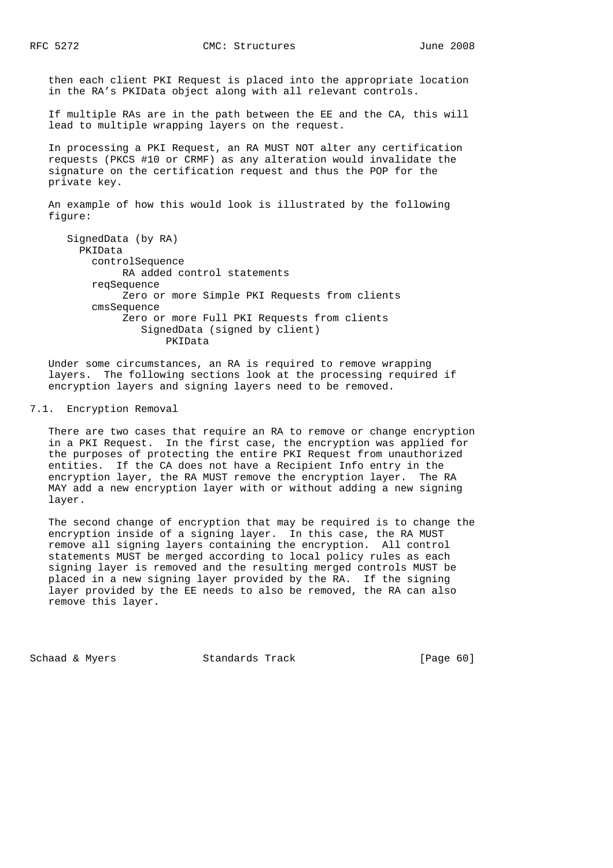then each client PKI Request is placed into the appropriate location in the RA's PKIData object along with all relevant controls.

 If multiple RAs are in the path between the EE and the CA, this will lead to multiple wrapping layers on the request.

 In processing a PKI Request, an RA MUST NOT alter any certification requests (PKCS #10 or CRMF) as any alteration would invalidate the signature on the certification request and thus the POP for the private key.

 An example of how this would look is illustrated by the following figure:

```
 SignedData (by RA)
  PKIData
    controlSequence
          RA added control statements
     reqSequence
          Zero or more Simple PKI Requests from clients
     cmsSequence
          Zero or more Full PKI Requests from clients
             SignedData (signed by client)
                 PKIData
```
 Under some circumstances, an RA is required to remove wrapping layers. The following sections look at the processing required if encryption layers and signing layers need to be removed.

## 7.1. Encryption Removal

 There are two cases that require an RA to remove or change encryption in a PKI Request. In the first case, the encryption was applied for the purposes of protecting the entire PKI Request from unauthorized entities. If the CA does not have a Recipient Info entry in the encryption layer, the RA MUST remove the encryption layer. The RA MAY add a new encryption layer with or without adding a new signing layer.

 The second change of encryption that may be required is to change the encryption inside of a signing layer. In this case, the RA MUST remove all signing layers containing the encryption. All control statements MUST be merged according to local policy rules as each signing layer is removed and the resulting merged controls MUST be placed in a new signing layer provided by the RA. If the signing layer provided by the EE needs to also be removed, the RA can also remove this layer.

Schaad & Myers **Standards Track** [Page 60]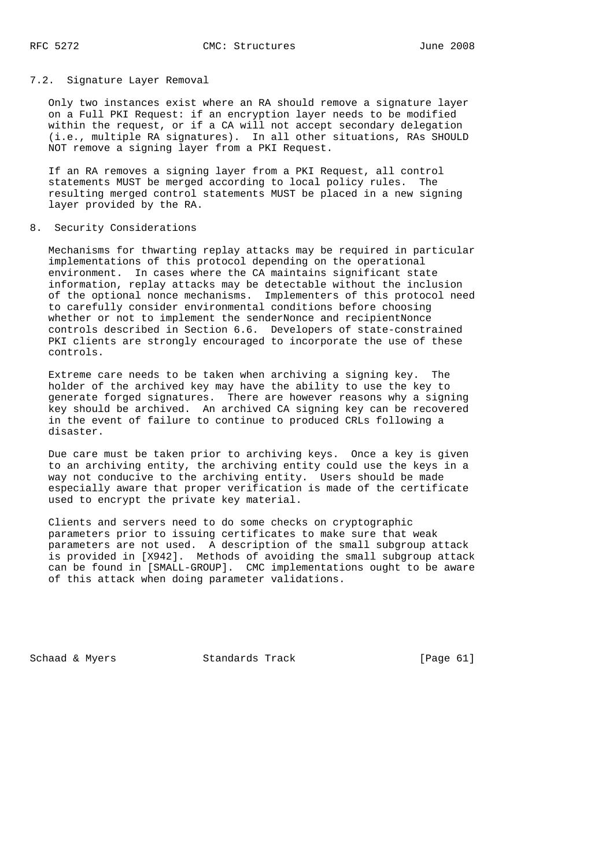# 7.2. Signature Layer Removal

 Only two instances exist where an RA should remove a signature layer on a Full PKI Request: if an encryption layer needs to be modified within the request, or if a CA will not accept secondary delegation (i.e., multiple RA signatures). In all other situations, RAs SHOULD NOT remove a signing layer from a PKI Request.

 If an RA removes a signing layer from a PKI Request, all control statements MUST be merged according to local policy rules. The resulting merged control statements MUST be placed in a new signing layer provided by the RA.

#### 8. Security Considerations

 Mechanisms for thwarting replay attacks may be required in particular implementations of this protocol depending on the operational environment. In cases where the CA maintains significant state information, replay attacks may be detectable without the inclusion of the optional nonce mechanisms. Implementers of this protocol need to carefully consider environmental conditions before choosing whether or not to implement the senderNonce and recipientNonce controls described in Section 6.6. Developers of state-constrained PKI clients are strongly encouraged to incorporate the use of these controls.

 Extreme care needs to be taken when archiving a signing key. The holder of the archived key may have the ability to use the key to generate forged signatures. There are however reasons why a signing key should be archived. An archived CA signing key can be recovered in the event of failure to continue to produced CRLs following a disaster.

 Due care must be taken prior to archiving keys. Once a key is given to an archiving entity, the archiving entity could use the keys in a way not conducive to the archiving entity. Users should be made especially aware that proper verification is made of the certificate used to encrypt the private key material.

 Clients and servers need to do some checks on cryptographic parameters prior to issuing certificates to make sure that weak parameters are not used. A description of the small subgroup attack is provided in [X942]. Methods of avoiding the small subgroup attack can be found in [SMALL-GROUP]. CMC implementations ought to be aware of this attack when doing parameter validations.

Schaad & Myers Standards Track [Page 61]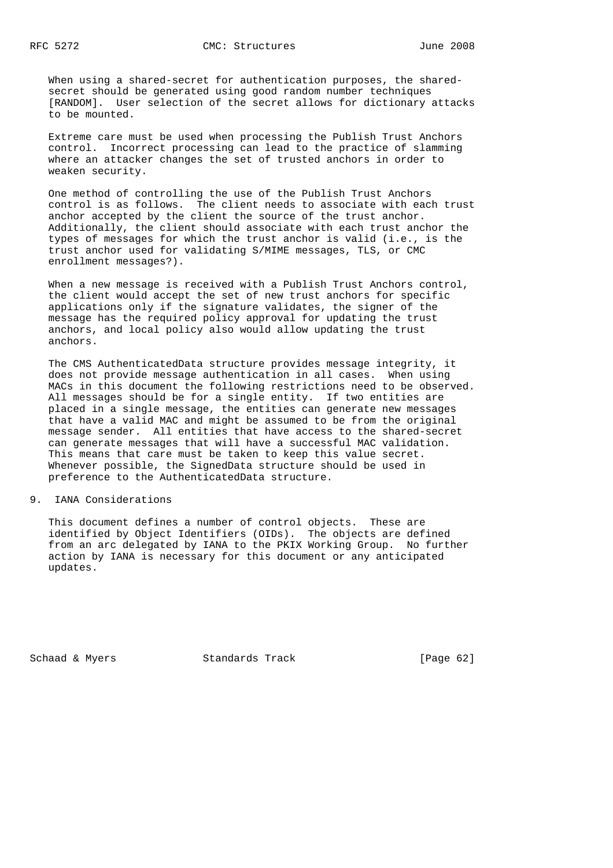When using a shared-secret for authentication purposes, the shared secret should be generated using good random number techniques [RANDOM]. User selection of the secret allows for dictionary attacks to be mounted.

 Extreme care must be used when processing the Publish Trust Anchors control. Incorrect processing can lead to the practice of slamming where an attacker changes the set of trusted anchors in order to weaken security.

 One method of controlling the use of the Publish Trust Anchors control is as follows. The client needs to associate with each trust anchor accepted by the client the source of the trust anchor. Additionally, the client should associate with each trust anchor the types of messages for which the trust anchor is valid (i.e., is the trust anchor used for validating S/MIME messages, TLS, or CMC enrollment messages?).

 When a new message is received with a Publish Trust Anchors control, the client would accept the set of new trust anchors for specific applications only if the signature validates, the signer of the message has the required policy approval for updating the trust anchors, and local policy also would allow updating the trust anchors.

 The CMS AuthenticatedData structure provides message integrity, it does not provide message authentication in all cases. When using MACs in this document the following restrictions need to be observed. All messages should be for a single entity. If two entities are placed in a single message, the entities can generate new messages that have a valid MAC and might be assumed to be from the original message sender. All entities that have access to the shared-secret can generate messages that will have a successful MAC validation. This means that care must be taken to keep this value secret. Whenever possible, the SignedData structure should be used in preference to the AuthenticatedData structure.

#### 9. IANA Considerations

 This document defines a number of control objects. These are identified by Object Identifiers (OIDs). The objects are defined from an arc delegated by IANA to the PKIX Working Group. No further action by IANA is necessary for this document or any anticipated updates.

Schaad & Myers Standards Track [Page 62]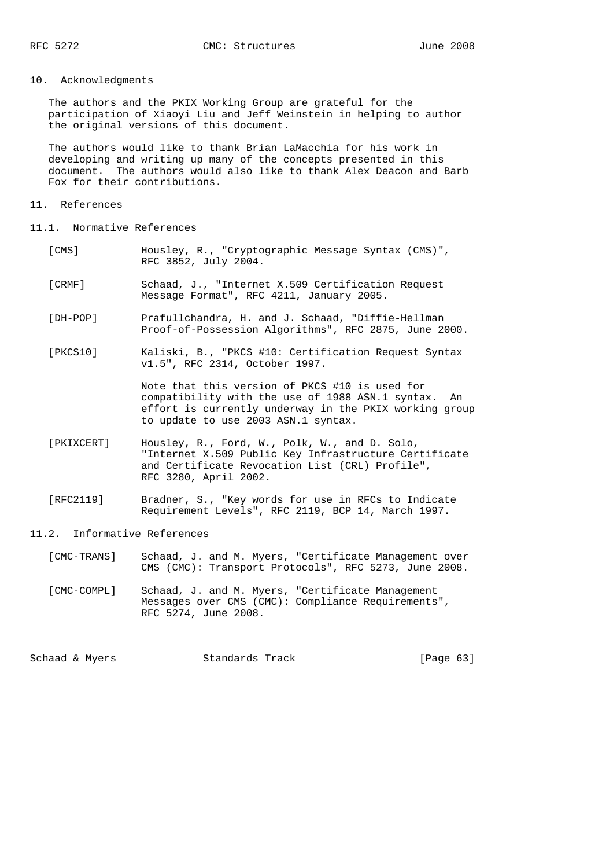# 10. Acknowledgments

 The authors and the PKIX Working Group are grateful for the participation of Xiaoyi Liu and Jeff Weinstein in helping to author the original versions of this document.

 The authors would like to thank Brian LaMacchia for his work in developing and writing up many of the concepts presented in this document. The authors would also like to thank Alex Deacon and Barb Fox for their contributions.

#### 11. References

- 11.1. Normative References
	- [CMS] Housley, R., "Cryptographic Message Syntax (CMS)", RFC 3852, July 2004.
	- [CRMF] Schaad, J., "Internet X.509 Certification Request Message Format", RFC 4211, January 2005.
	- [DH-POP] Prafullchandra, H. and J. Schaad, "Diffie-Hellman Proof-of-Possession Algorithms", RFC 2875, June 2000.
	- [PKCS10] Kaliski, B., "PKCS #10: Certification Request Syntax v1.5", RFC 2314, October 1997.

 Note that this version of PKCS #10 is used for compatibility with the use of 1988 ASN.1 syntax. An effort is currently underway in the PKIX working group to update to use 2003 ASN.1 syntax.

- [PKIXCERT] Housley, R., Ford, W., Polk, W., and D. Solo, "Internet X.509 Public Key Infrastructure Certificate and Certificate Revocation List (CRL) Profile", RFC 3280, April 2002.
- [RFC2119] Bradner, S., "Key words for use in RFCs to Indicate Requirement Levels", RFC 2119, BCP 14, March 1997.

### 11.2. Informative References

 [CMC-TRANS] Schaad, J. and M. Myers, "Certificate Management over CMS (CMC): Transport Protocols", RFC 5273, June 2008.

 [CMC-COMPL] Schaad, J. and M. Myers, "Certificate Management Messages over CMS (CMC): Compliance Requirements", RFC 5274, June 2008.

Schaad & Myers **Standards Track** [Page 63]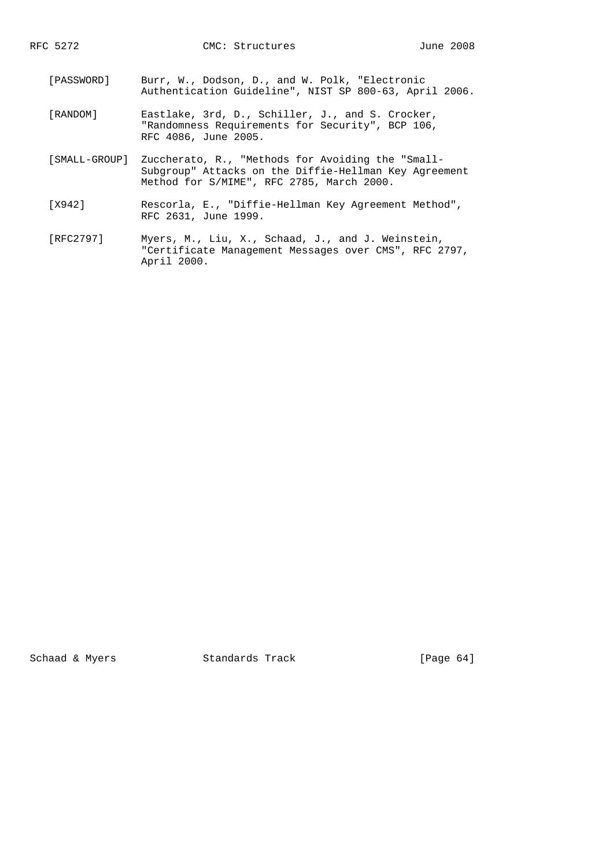- [PASSWORD] Burr, W., Dodson, D., and W. Polk, "Electronic Authentication Guideline", NIST SP 800-63, April 2006.
- [RANDOM] Eastlake, 3rd, D., Schiller, J., and S. Crocker, "Randomness Requirements for Security", BCP 106, RFC 4086, June 2005.
- [SMALL-GROUP] Zuccherato, R., "Methods for Avoiding the "Small- Subgroup" Attacks on the Diffie-Hellman Key Agreement Method for S/MIME", RFC 2785, March 2000.
- [X942] Rescorla, E., "Diffie-Hellman Key Agreement Method", RFC 2631, June 1999.
- [RFC2797] Myers, M., Liu, X., Schaad, J., and J. Weinstein, "Certificate Management Messages over CMS", RFC 2797, April 2000.

Schaad & Myers Standards Track [Page 64]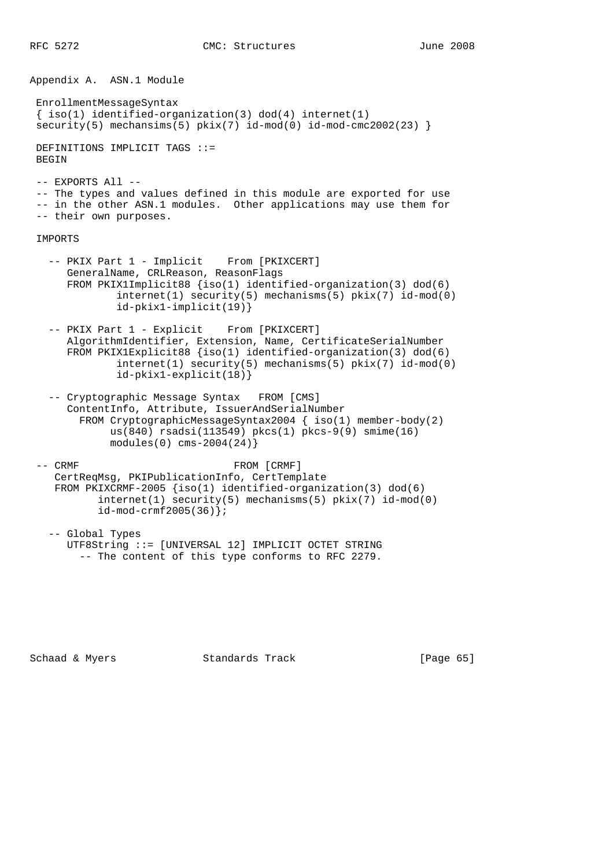Appendix A. ASN.1 Module EnrollmentMessageSyntax  $\{ \text{iso}(1) \text{ identified-organization}(3) \text{ dod}(4) \text{ internet}(1) \}$  $security(5)$  mechansims(5)  $pkix(7)$  id-mod(0) id-mod-cmc2002(23) } DEFINITIONS IMPLICIT TAGS ::= BEGIN -- EXPORTS All -- -- The types and values defined in this module are exported for use -- in the other ASN.1 modules. Other applications may use them for -- their own purposes. IMPORTS -- PKIX Part 1 - Implicit From [PKIXCERT] GeneralName, CRLReason, ReasonFlags FROM PKIX1Implicit88 {iso(1) identified-organization(3) dod(6) internet(1) security(5) mechanisms(5) pkix(7) id-mod(0) id-pkix1-implicit(19)} -- PKIX Part 1 - Explicit From [PKIXCERT] AlgorithmIdentifier, Extension, Name, CertificateSerialNumber FROM PKIX1Explicit88 {iso(1) identified-organization(3) dod(6) internet(1) security(5) mechanisms(5) pkix(7) id-mod(0) id-pkix1-explicit(18)} -- Cryptographic Message Syntax FROM [CMS] ContentInfo, Attribute, IssuerAndSerialNumber FROM CryptographicMessageSyntax2004 { iso(1) member-body(2) us(840) rsadsi(113549) pkcs(1) pkcs-9(9) smime(16) modules(0) cms-2004(24)} -- CRMF FROM [CRMF] CertReqMsg, PKIPublicationInfo, CertTemplate FROM PKIXCRMF-2005 {iso(1) identified-organization(3) dod(6) internet(1) security(5) mechanisms(5) pkix(7) id-mod(0) id-mod-crmf2005(36)};

 -- Global Types UTF8String ::= [UNIVERSAL 12] IMPLICIT OCTET STRING -- The content of this type conforms to RFC 2279.

Schaad & Myers **Standards Track** [Page 65]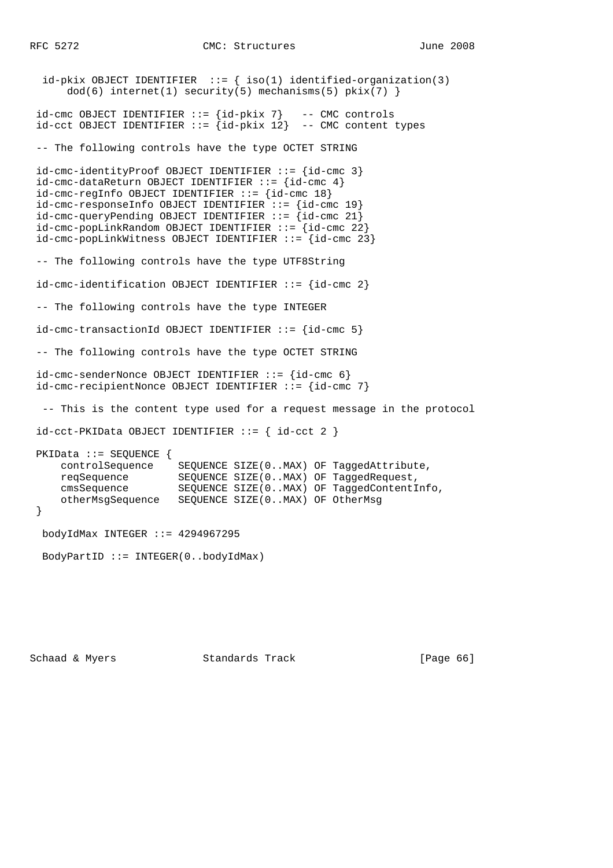RFC 5272 CMC: Structures June 2008

```
id-pkix OBJECT IDENTIFIER ::= { iso(1) identified-organization(3)
     dod(6) internet(1) security(5) mechanisms(5) pkix(7) }
 id-cmc OBJECT IDENTIFIER ::= {id-pkix 7} -- CMC controls
id- cct OBJECT IDENTIFIER ::= id-<i>p</i>kix 12} -- CMC content types
 -- The following controls have the type OCTET STRING
 id-cmc-identityProof OBJECT IDENTIFIER ::= {id-cmc 3}
id-cmc-dataReturn OBJECT IDENTIFIER ::= id-cmc 4}
id-cmc-regInfo OBJECT IDENTIFIER ::= id-cmc 18}
 id-cmc-responseInfo OBJECT IDENTIFIER ::= {id-cmc 19}
id-cmc-queryPending OBJECT IDENTIFIER ::= \{id-cmc 21}
 id-cmc-popLinkRandom OBJECT IDENTIFIER ::= {id-cmc 22}
 id-cmc-popLinkWitness OBJECT IDENTIFIER ::= {id-cmc 23}
 -- The following controls have the type UTF8String
 id-cmc-identification OBJECT IDENTIFIER ::= {id-cmc 2}
 -- The following controls have the type INTEGER
 id-cmc-transactionId OBJECT IDENTIFIER ::= {id-cmc 5}
 -- The following controls have the type OCTET STRING
 id-cmc-senderNonce OBJECT IDENTIFIER ::= {id-cmc 6}
 id-cmc-recipientNonce OBJECT IDENTIFIER ::= {id-cmc 7}
  -- This is the content type used for a request message in the protocol
id-cct-PKIData OBJECT IDENTIFYER ::=\{ id-cct 2 \} PKIData ::= SEQUENCE {
     controlSequence SEQUENCE SIZE(0..MAX) OF TaggedAttribute,
 reqSequence SEQUENCE SIZE(0..MAX) OF TaggedRequest,
 cmsSequence SEQUENCE SIZE(0..MAX) OF TaggedContentInfo,
     otherMsgSequence SEQUENCE SIZE(0..MAX) OF OtherMsg
 }
  bodyIdMax INTEGER ::= 4294967295
  BodyPartID ::= INTEGER(0..bodyIdMax)
```
Schaad & Myers **Standards Track** [Page 66]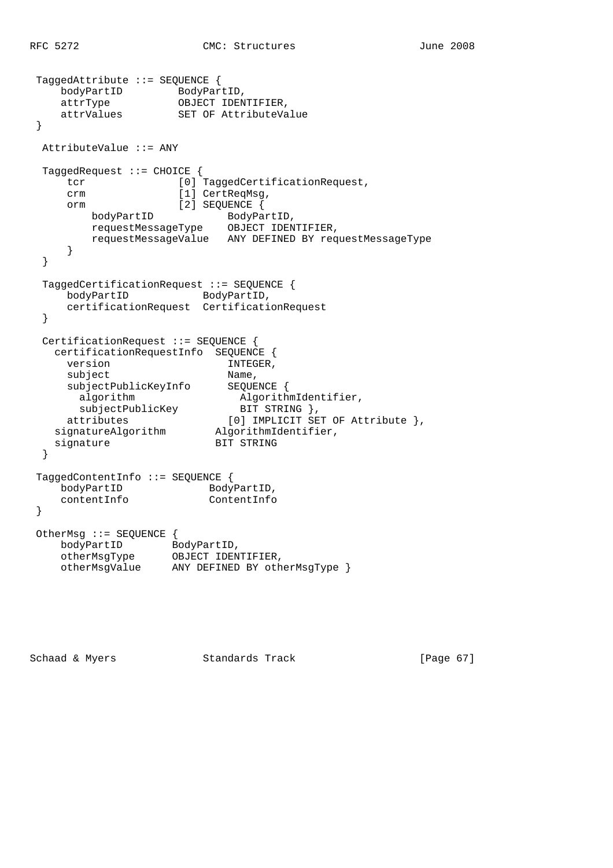```
 TaggedAttribute ::= SEQUENCE {
   bodyPartID BodyPartID,
    attrType OBJECT IDENTIFIER,
                  SET OF AttributeValue
 }
  AttributeValue ::= ANY
  TaggedRequest ::= CHOICE {
    tcr [0] TaggedCertificationRequest,
    crm [1] CertReqMsg,
     orm [2] SEQUENCE {
       bodyPartID BodyPartID,
        requestMessageType OBJECT IDENTIFIER,
        requestMessageValue ANY DEFINED BY requestMessageType
     }
  }
  TaggedCertificationRequest ::= SEQUENCE {
bodyPartID BodyPartID,
 certificationRequest CertificationRequest
  }
  CertificationRequest ::= SEQUENCE {
    certificationRequestInfo SEQUENCE {
    version INTEGER,<br>subject Name,
    subject subjectPublicKeyInfo SEQUENCE {
algorithm algorithmIdentifier,
 subjectPublicKey BIT STRING },
 attributes [0] IMPLICIT SET OF Attribute },
 signatureAlgorithm AlgorithmIdentifier,
signature BIT STRING
  }
 TaggedContentInfo ::= SEQUENCE {
bodyPartID BodyPartID,
 contentInfo ContentInfo
 }
 OtherMsg ::= SEQUENCE {
bodyPartID BodyPartID,
 otherMsgType OBJECT IDENTIFIER,
 otherMsgValue ANY DEFINED BY otherMsgType }
```
Schaad & Myers **Standards Track** [Page 67]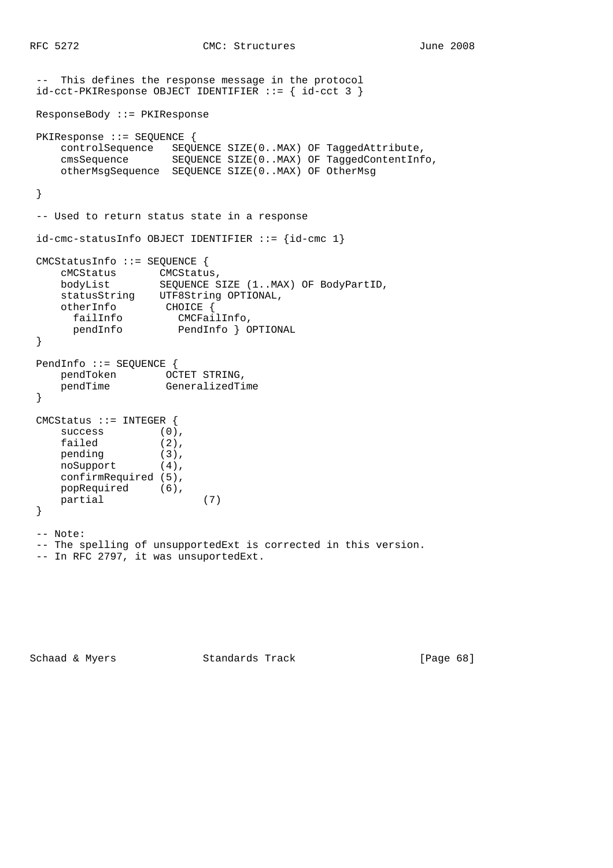```
 -- This defines the response message in the protocol
 id-cct-PKIResponse OBJECT IDENTIFIER ::= { id-cct 3 }
 ResponseBody ::= PKIResponse
 PKIResponse ::= SEQUENCE {
    controlSequence SEQUENCE SIZE(0..MAX) OF TaggedAttribute,
    cmsSequence SEQUENCE SIZE(0..MAX) OF TaggedContentInfo,
    otherMsgSequence SEQUENCE SIZE(0..MAX) OF OtherMsg
 }
 -- Used to return status state in a response
id-cmc-statusInfo OBJECT IDENTIFIER ::= {id-cmc 1}
 CMCStatusInfo ::= SEQUENCE {
 cMCStatus CMCStatus,
 bodyList SEQUENCE SIZE (1..MAX) OF BodyPartID,
 statusString UTF8String OPTIONAL,
 otherInfo CHOICE {
 failInfo CMCFailInfo,
 pendInfo PendInfo } OPTIONAL
 }
 PendInfo ::= SEQUENCE {
 pendToken OCTET STRING,
 pendTime GeneralizedTime
 }
 CMCStatus ::= INTEGER {
success (0),
failed (2),
pending (3),
 noSupport (4),
    confirmRequired (5),
    popRequired (6),
    partial (7)
 }
 -- Note:
 -- The spelling of unsupportedExt is corrected in this version.
 -- In RFC 2797, it was unsuportedExt.
```
Schaad & Myers **Standards Track** [Page 68]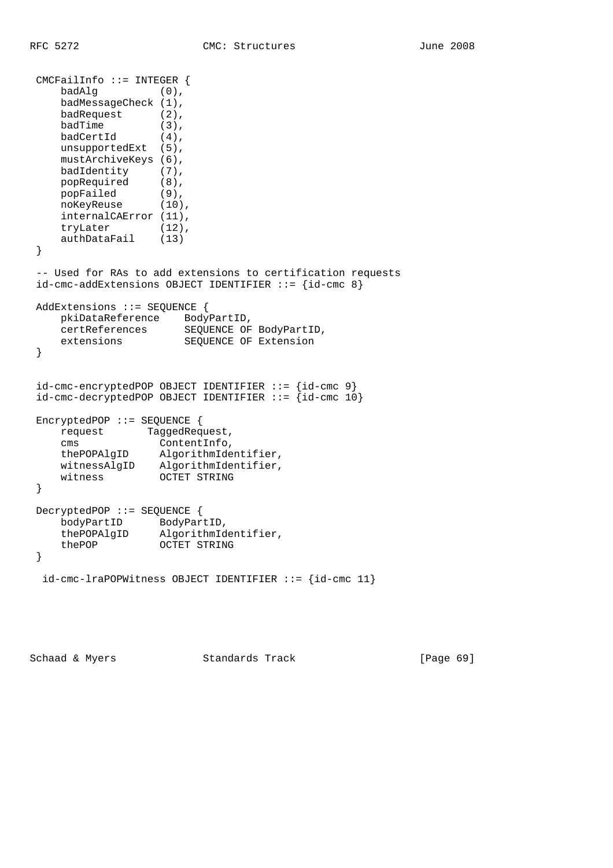```
 CMCFailInfo ::= INTEGER {
     badAlg (0),
     badMessageCheck (1),
     badRequest (2),
badTime (3),
badCertId (4),
   unsupportedExt (5),
    mustArchiveKeys (6),
   badIdentity (7),<br>popRequired (8),
 popRequired (8),
 popFailed (9),
 noKeyReuse (10),
    internalCAError (11),
 tryLater (12),
 authDataFail (13)
 }
 -- Used for RAs to add extensions to certification requests
id-cmc-addExtensions OBJECT IDENTIFIER ::= {id-cmc 8}
 AddExtensions ::= SEQUENCE {
 pkiDataReference BodyPartID,
 certReferences SEQUENCE OF BodyPartID,
 extensions SEQUENCE OF Extension
 }
 id-cmc-encryptedPOP OBJECT IDENTIFIER ::= {id-cmc 9}
id-cmc-decryptedPOP OBJECT IDENTIFIER ::= id-cmc 10}
 EncryptedPOP ::= SEQUENCE {
   request TaggedRequest,<br>cms ContentInfo
 cms ContentInfo,
 thePOPAlgID AlgorithmIdentifier,
 witnessAlgID AlgorithmIdentifier,
 witness OCTET STRING
 }
 DecryptedPOP ::= SEQUENCE {
 bodyPartID BodyPartID,
 thePOPAlgID AlgorithmIdentifier,
 thePOP OCTET STRING
 }
 id-cmc-lraPOPWitness OBJECT IDENTIFIER ::= {id-cmc 11}
```
Schaad & Myers Standards Track [Page 69]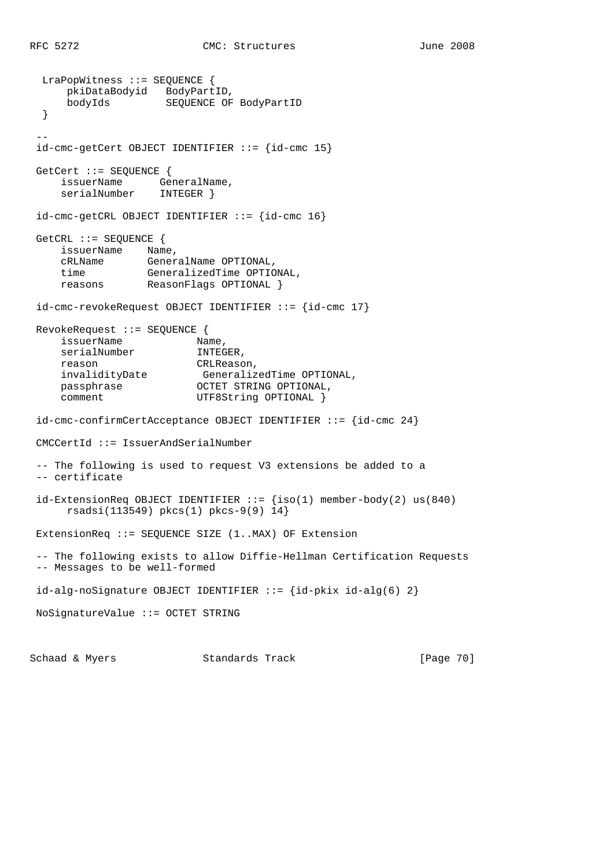LraPopWitness ::= SEQUENCE { pkiDataBodyid BodyPartID, bodyIds SEQUENCE OF BodyPartID } - id-cmc-getCert OBJECT IDENTIFIER ::= {id-cmc 15} GetCert ::= SEQUENCE { issuerName GeneralName, serialNumber INTEGER } id-cmc-getCRL OBJECT IDENTIFIER ::= {id-cmc 16} GetCRL ::= SEQUENCE { issuerName Name, cRLName GeneralName OPTIONAL, time GeneralizedTime OPTIONAL, reasons ReasonFlags OPTIONAL } id-cmc-revokeRequest OBJECT IDENTIFIER ::= {id-cmc 17} RevokeRequest ::= SEQUENCE { issuerName Name, serialNumber **INTEGER**, reason CRLReason, invalidityDate GeneralizedTime OPTIONAL, passphrase **OCTET STRING OPTIONAL**, passphrase  $OCTET$  STRING OPTIONAL comment  $UTF8String$  OPTIONAL } id-cmc-confirmCertAcceptance OBJECT IDENTIFIER ::= {id-cmc 24} CMCCertId ::= IssuerAndSerialNumber -- The following is used to request V3 extensions be added to a -- certificate  $id$ -ExtensionReq OBJECT IDENTIFIER ::=  ${iso(1)}$  member-body(2) us(840) rsadsi(113549) pkcs(1) pkcs-9(9) 14} ExtensionReq ::= SEQUENCE SIZE (1..MAX) OF Extension -- The following exists to allow Diffie-Hellman Certification Requests -- Messages to be well-formed id-alg-noSignature OBJECT IDENTIFIER  $::= \{id-pkix id-alg(6) 2\}$  NoSignatureValue ::= OCTET STRING Schaad & Myers **Standards Track** [Page 70]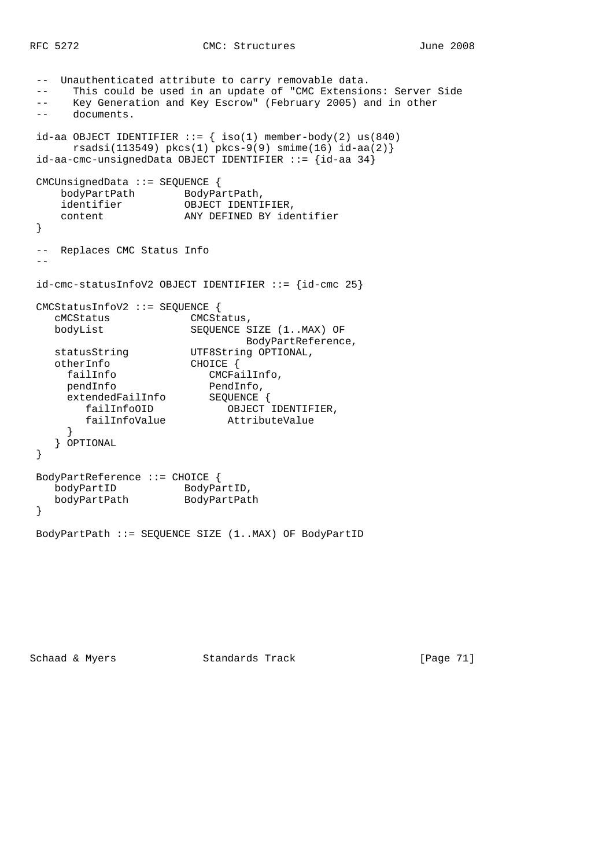```
 -- Unauthenticated attribute to carry removable data.
 -- This could be used in an update of "CMC Extensions: Server Side
 -- Key Generation and Key Escrow" (February 2005) and in other
 -- documents.
id-aa OBJECT IDENTIFIER ::= { iso(1) member-body(2) us(840)
   rsadsi(113549) pkcs(1) pkcs-9(9) smin(e(16) id-aa(2)) id-aa-cmc-unsignedData OBJECT IDENTIFIER ::= {id-aa 34}
 CMCUnsignedData ::= SEQUENCE {
 bodyPartPath BodyPartPath,
 identifier OBJECT IDENTIFIER,
    content ANY DEFINED BY identifier
 }
 -- Replaces CMC Status Info
- id-cmc-statusInfoV2 OBJECT IDENTIFIER ::= {id-cmc 25}
 CMCStatusInfoV2 ::= SEQUENCE {
  cMCStatus CMCStatus,<br>
bodyList SEQUENCE S
                     SEQUENCE SIZE (1..MAX) OF
 BodyPartReference,
statusString UTF8String OPTIONAL,
 otherInfo CHOICE {
 failInfo CMCFailInfo,
pendInfo PendInfo,
 extendedFailInfo SEQUENCE {
 failInfoOID OBJECT IDENTIFIER,
 failInfoValue AttributeValue
     }
    } OPTIONAL
 }
 BodyPartReference ::= CHOICE {
bodyPartID BodyPartID,
 bodyPartPath BodyPartPath
 }
 BodyPartPath ::= SEQUENCE SIZE (1..MAX) OF BodyPartID
```
Schaad & Myers Standards Track [Page 71]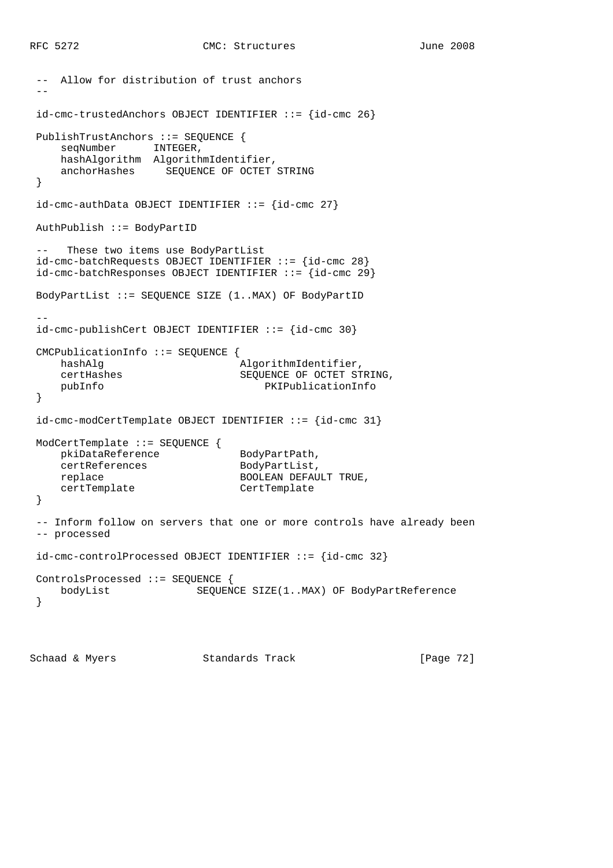```
 -- Allow for distribution of trust anchors
 --
 id-cmc-trustedAnchors OBJECT IDENTIFIER ::= {id-cmc 26}
 PublishTrustAnchors ::= SEQUENCE {
   seqNumber INTEGER,
     hashAlgorithm AlgorithmIdentifier,
     anchorHashes SEQUENCE OF OCTET STRING
 }
id-cmc-authData OBJECT IDENTIFIER ::= {id-cmc 27}
 AuthPublish ::= BodyPartID
 -- These two items use BodyPartList
 id-cmc-batchRequests OBJECT IDENTIFIER ::= {id-cmc 28}
 id-cmc-batchResponses OBJECT IDENTIFIER ::= {id-cmc 29}
 BodyPartList ::= SEQUENCE SIZE (1..MAX) OF BodyPartID
 --
 id-cmc-publishCert OBJECT IDENTIFIER ::= {id-cmc 30}
 CMCPublicationInfo ::= SEQUENCE {
    hashAlg \qquad \qquad AlgorithmIdentifier,
     certHashes SEQUENCE OF OCTET STRING,
     pubInfo PKIPublicationInfo
 }
 id-cmc-modCertTemplate OBJECT IDENTIFIER ::= {id-cmc 31}
 ModCertTemplate ::= SEQUENCE {
   pkiDataReference BodyPartPath,
    certReferences BodyPartList,
    replace BOOLEAN DEFAULT TRUE,
    certTemplate CertTemplate
 }
 -- Inform follow on servers that one or more controls have already been
 -- processed
 id-cmc-controlProcessed OBJECT IDENTIFIER ::= {id-cmc 32}
 ControlsProcessed ::= SEQUENCE {
    bodyList SEQUENCE SIZE(1..MAX) OF BodyPartReference
 }
```
Schaad & Myers **Standards Track** [Page 72]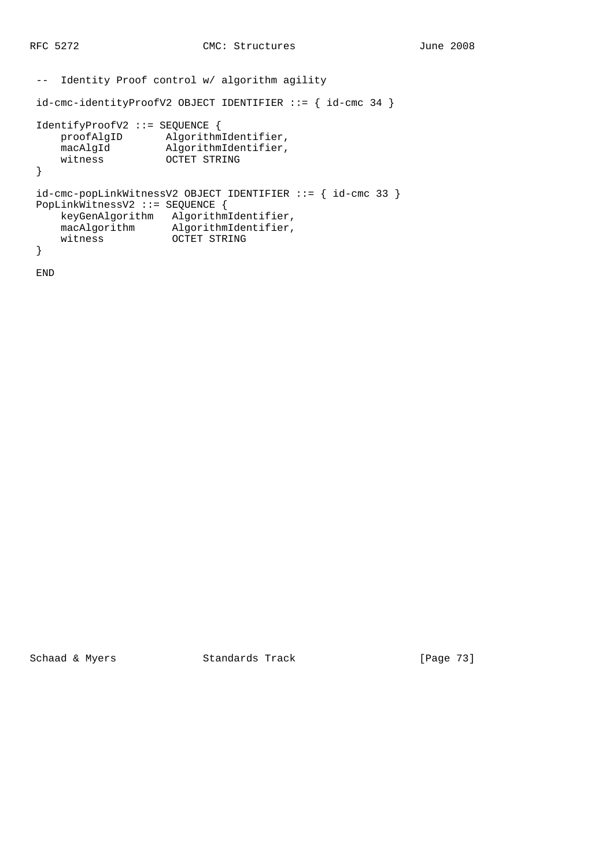```
 -- Identity Proof control w/ algorithm agility
 id-cmc-identityProofV2 OBJECT IDENTIFIER ::= { id-cmc 34 }
 IdentifyProofV2 ::= SEQUENCE {
 proofAlgID AlgorithmIdentifier,
 macAlgId AlgorithmIdentifier,
 witness OCTET STRING
 }
 id-cmc-popLinkWitnessV2 OBJECT IDENTIFIER ::= { id-cmc 33 }
 PopLinkWitnessV2 ::= SEQUENCE {
     keyGenAlgorithm AlgorithmIdentifier,
    macAlgorithm AlgorithmIdentifier,<br>witness OCTET STRING
                    OCTET STRING
 }
```
END

Schaad & Myers Standards Track [Page 73]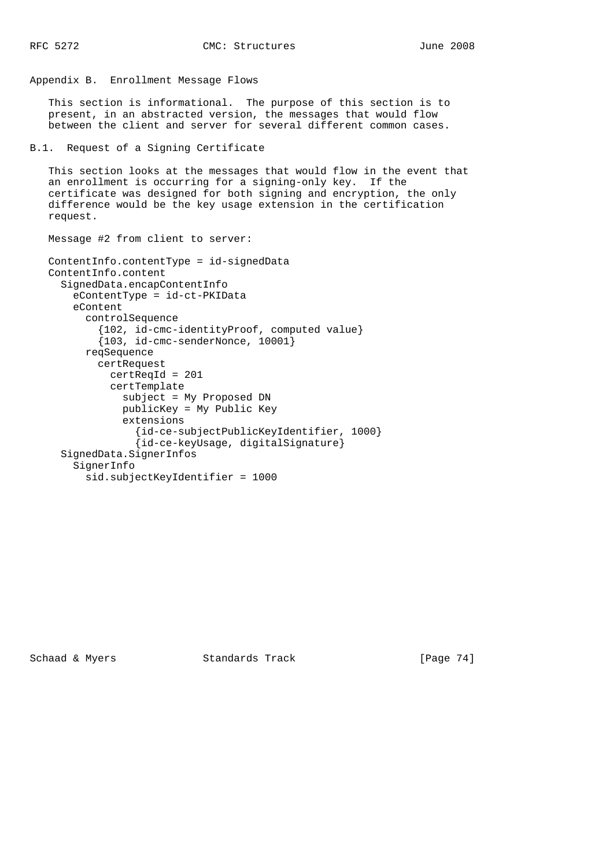```
Appendix B. Enrollment Message Flows
    This section is informational. The purpose of this section is to
    present, in an abstracted version, the messages that would flow
    between the client and server for several different common cases.
B.1. Request of a Signing Certificate
    This section looks at the messages that would flow in the event that
    an enrollment is occurring for a signing-only key. If the
    certificate was designed for both signing and encryption, the only
    difference would be the key usage extension in the certification
    request.
    Message #2 from client to server:
    ContentInfo.contentType = id-signedData
    ContentInfo.content
      SignedData.encapContentInfo
        eContentType = id-ct-PKIData
        eContent
          controlSequence
            {102, id-cmc-identityProof, computed value}
           {103, id-cmc-senderNone, 10001} reqSequence
            certRequest
              certReqId = 201
              certTemplate
                subject = My Proposed DN
                publicKey = My Public Key
                extensions
                  {id-ce-subjectPublicKeyIdentifier, 1000}
                  {id-ce-keyUsage, digitalSignature}
      SignedData.SignerInfos
        SignerInfo
          sid.subjectKeyIdentifier = 1000
```
Schaad & Myers Standards Track [Page 74]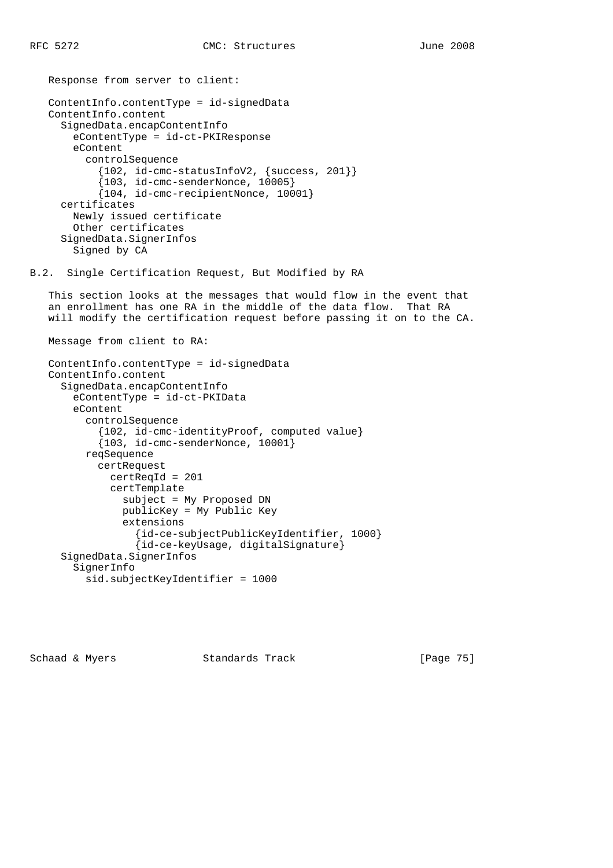```
 Response from server to client:
    ContentInfo.contentType = id-signedData
    ContentInfo.content
      SignedData.encapContentInfo
        eContentType = id-ct-PKIResponse
        eContent
          controlSequence
            {102, id-cmc-statusInfoV2, {success, 201}}
            {103, id-cmc-senderNonce, 10005}
            {104, id-cmc-recipientNonce, 10001}
      certificates
        Newly issued certificate
        Other certificates
      SignedData.SignerInfos
        Signed by CA
B.2. Single Certification Request, But Modified by RA
    This section looks at the messages that would flow in the event that
    an enrollment has one RA in the middle of the data flow. That RA
    will modify the certification request before passing it on to the CA.
```

```
 ContentInfo.contentType = id-signedData
 ContentInfo.content
   SignedData.encapContentInfo
     eContentType = id-ct-PKIData
     eContent
       controlSequence
         {102, id-cmc-identityProof, computed value}
         {103, id-cmc-senderNonce, 10001}
       reqSequence
         certRequest
           certReqId = 201
           certTemplate
             subject = My Proposed DN
             publicKey = My Public Key
             extensions
               {id-ce-subjectPublicKeyIdentifier, 1000}
                {id-ce-keyUsage, digitalSignature}
   SignedData.SignerInfos
     SignerInfo
       sid.subjectKeyIdentifier = 1000
```
Message from client to RA:

Schaad & Myers **Standards Track** [Page 75]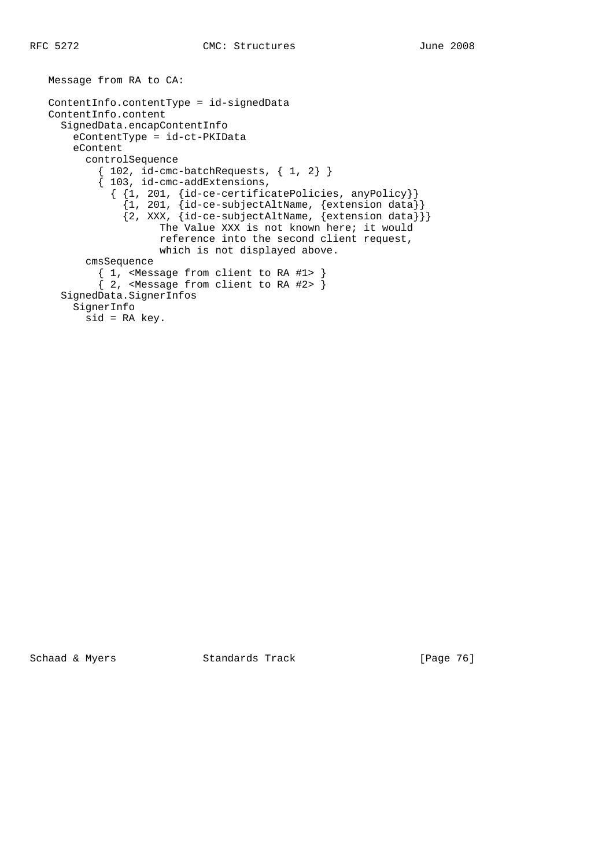Message from RA to CA:

```
 ContentInfo.contentType = id-signedData
   ContentInfo.content
     SignedData.encapContentInfo
       eContentType = id-ct-PKIData
       eContent
         controlSequence
          {102, id-cmc-batchRequests, {1, 2}} { 103, id-cmc-addExtensions,
 { {1, 201, {id-ce-certificatePolicies, anyPolicy}}
 {1, 201, {id-ce-subjectAltName, {extension data}}
 {2, XXX, {id-ce-subjectAltName, {extension data}}}
                    The Value XXX is not known here; it would
                     reference into the second client request,
                    which is not displayed above.
         cmsSequence
          { 1, <Message from client to RA #1> }
          \{ 2, < Message from client to RA #2> \} SignedData.SignerInfos
       SignerInfo
         sid = RA key.
```
Schaad & Myers Standards Track [Page 76]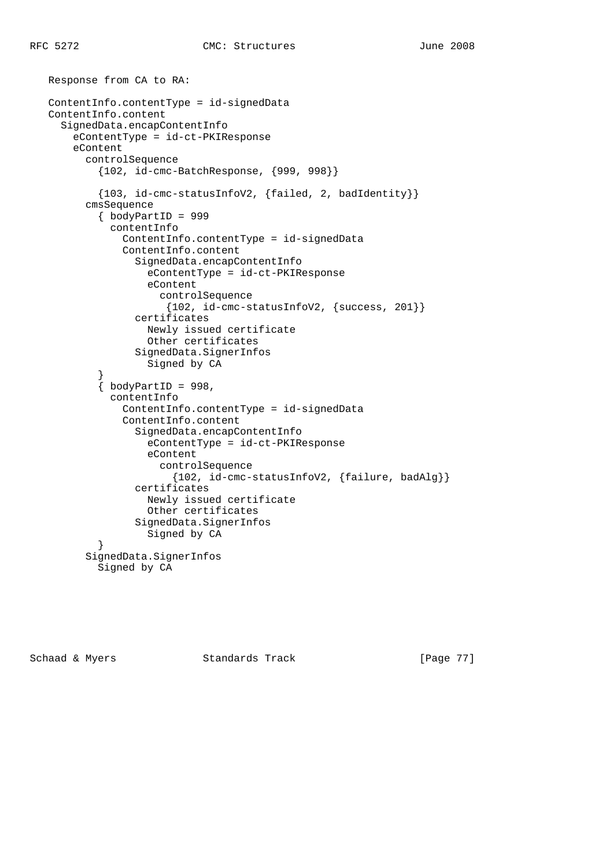Response from CA to RA:

```
 ContentInfo.contentType = id-signedData
   ContentInfo.content
     SignedData.encapContentInfo
       eContentType = id-ct-PKIResponse
       eContent
          controlSequence
            {102, id-cmc-BatchResponse, {999, 998}}
            {103, id-cmc-statusInfoV2, {failed, 2, badIdentity}}
          cmsSequence
            { bodyPartID = 999
              contentInfo
                ContentInfo.contentType = id-signedData
                ContentInfo.content
                  SignedData.encapContentInfo
                    eContentType = id-ct-PKIResponse
                    eContent
                      controlSequence
                       {102, id-cmc-statusInfoV2, {success, 201}}
                  certificates
                    Newly issued certificate
                    Other certificates
                  SignedData.SignerInfos
                    Signed by CA
 }
           \{ bodyPartID = 998,
              contentInfo
                ContentInfo.contentType = id-signedData
                ContentInfo.content
                  SignedData.encapContentInfo
                    eContentType = id-ct-PKIResponse
                    eContent
                      controlSequence
                         {102, id-cmc-statusInfoV2, {failure, badAlg}}
                  certificates
                    Newly issued certificate
                    Other certificates
                  SignedData.SignerInfos
                    Signed by CA
            }
          SignedData.SignerInfos
            Signed by CA
```
Schaad & Myers **Standards Track** [Page 77]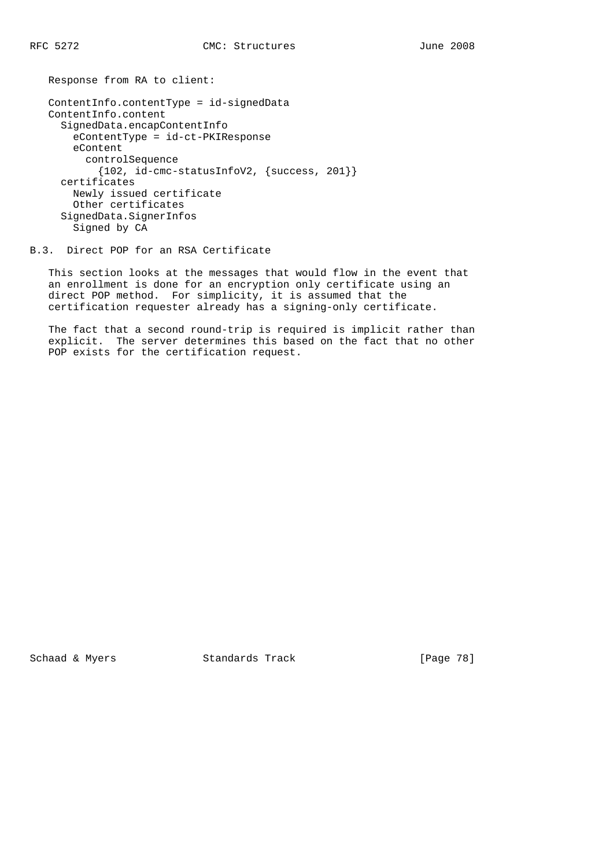Response from RA to client:

```
 ContentInfo.contentType = id-signedData
 ContentInfo.content
  SignedData.encapContentInfo
    eContentType = id-ct-PKIResponse
    eContent
       controlSequence
        {102, id-cmc-statusInfoV2, \{success, 201\}} certificates
     Newly issued certificate
     Other certificates
   SignedData.SignerInfos
     Signed by CA
```
B.3. Direct POP for an RSA Certificate

 This section looks at the messages that would flow in the event that an enrollment is done for an encryption only certificate using an direct POP method. For simplicity, it is assumed that the certification requester already has a signing-only certificate.

 The fact that a second round-trip is required is implicit rather than explicit. The server determines this based on the fact that no other POP exists for the certification request.

Schaad & Myers Standards Track [Page 78]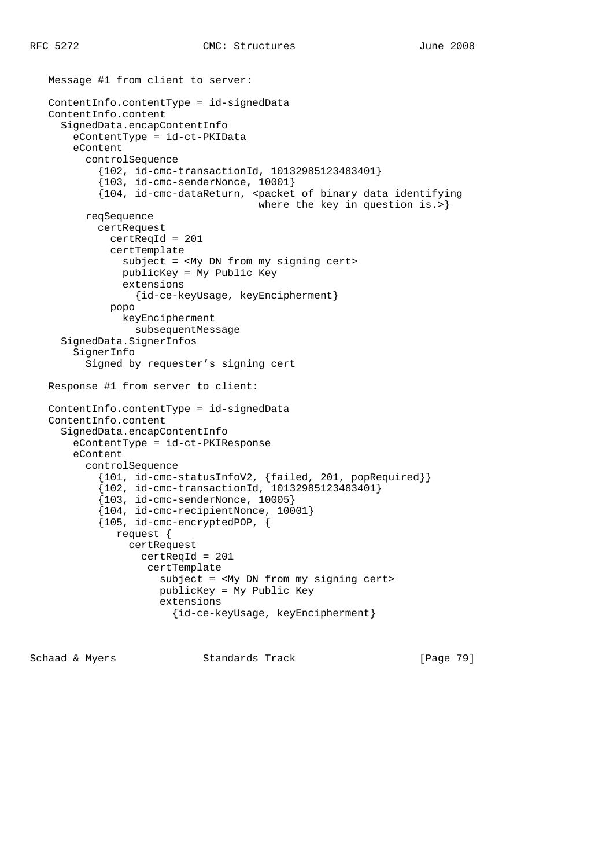Message #1 from client to server:

```
 ContentInfo.contentType = id-signedData
 ContentInfo.content
   SignedData.encapContentInfo
     eContentType = id-ct-PKIData
     eContent
       controlSequence
         {102, id-cmc-transactionId, 10132985123483401}
         {103, id-cmc-senderNonce, 10001}
         {104, id-cmc-dataReturn, <packet of binary data identifying
                                    where the key in question is.>}
       reqSequence
         certRequest
           certReqId = 201
           certTemplate
             subject = <My DN from my signing cert>
             publicKey = My Public Key
             extensions
                {id-ce-keyUsage, keyEncipherment}
           popo
             keyEncipherment
               subsequentMessage
   SignedData.SignerInfos
     SignerInfo
       Signed by requester's signing cert
 Response #1 from server to client:
 ContentInfo.contentType = id-signedData
 ContentInfo.content
   SignedData.encapContentInfo
     eContentType = id-ct-PKIResponse
     eContent
       controlSequence
         {101, id-cmc-statusInfoV2, {failed, 201, popRequired}}
         {102, id-cmc-transactionId, 10132985123483401}
         {103, id-cmc-senderNonce, 10005}
         {104, id-cmc-recipientNonce, 10001}
         {105, id-cmc-encryptedPOP, {
            request {
              certRequest
                certReqId = 201
                 certTemplate
                    subject = <My DN from my signing cert>
                    publicKey = My Public Key
                    extensions
                      {id-ce-keyUsage, keyEncipherment}
```
Schaad & Myers **Standards Track** [Page 79]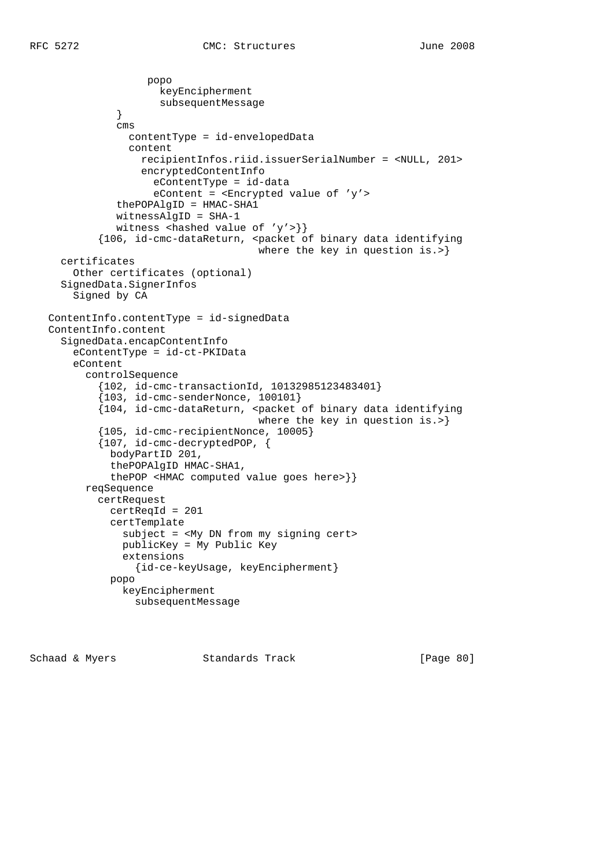```
 popo
                      keyEncipherment
              subsequentMessage<br>}
 }
               cms
                 contentType = id-envelopedData
                 content
                   recipientInfos.riid.issuerSerialNumber = <NULL, 201>
                   encryptedContentInfo
                     eContentType = id-data
                     eContent = <Encrypted value of 'y'>
               thePOPAlgID = HMAC-SHA1
               witnessAlgID = SHA-1
              witness <hashed value of 'y'>}}
            {106, id-cmc-dataReturn, <packet of binary data identifying
                                      where the key in question is.>}
     certificates
       Other certificates (optional)
     SignedData.SignerInfos
       Signed by CA
   ContentInfo.contentType = id-signedData
   ContentInfo.content
      SignedData.encapContentInfo
       eContentType = id-ct-PKIData
        eContent
          controlSequence
            {102, id-cmc-transactionId, 10132985123483401}
            {103, id-cmc-senderNonce, 100101}
            {104, id-cmc-dataReturn, <packet of binary data identifying
                                       where the key in question is.>}
            {105, id-cmc-recipientNonce, 10005}
            {107, id-cmc-decryptedPOP, {
              bodyPartID 201,
              thePOPAlgID HMAC-SHA1,
              thePOP <HMAC computed value goes here>}}
          reqSequence
            certRequest
              certReqId = 201
              certTemplate
                subject = <My DN from my signing cert>
                publicKey = My Public Key
                extensions
                  {id-ce-keyUsage, keyEncipherment}
              popo
                keyEncipherment
                  subsequentMessage
```
Schaad & Myers **Standards Track** [Page 80]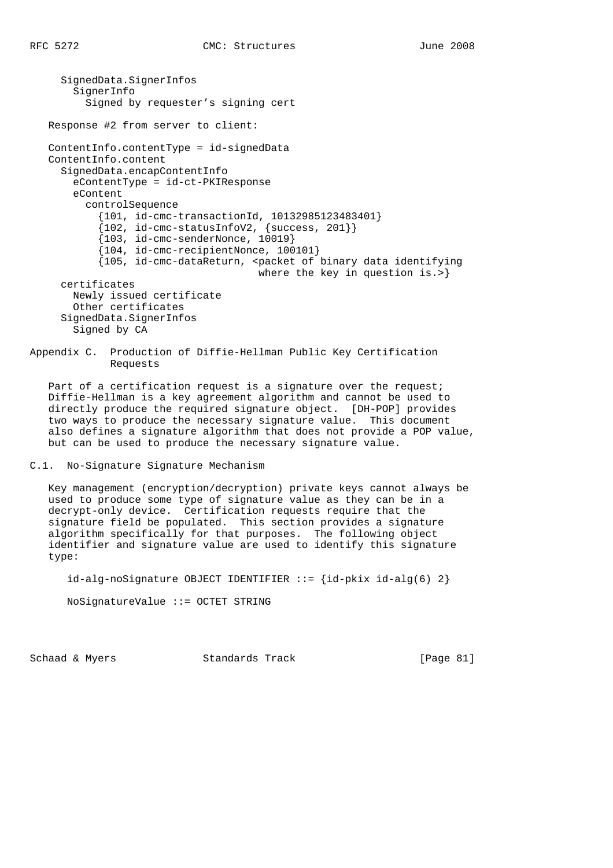SignedData.SignerInfos SignerInfo Signed by requester's signing cert Response #2 from server to client: ContentInfo.contentType = id-signedData ContentInfo.content SignedData.encapContentInfo eContentType = id-ct-PKIResponse eContent controlSequence {101, id-cmc-transactionId, 10132985123483401} {102, id-cmc-statusInfoV2, {success, 201}} {103, id-cmc-senderNonce, 10019} {104, id-cmc-recipientNonce, 100101} {105, id-cmc-dataReturn, <packet of binary data identifying where the key in question is.>} certificates Newly issued certificate Other certificates SignedData.SignerInfos Signed by CA

Appendix C. Production of Diffie-Hellman Public Key Certification Requests

Part of a certification request is a signature over the request; Diffie-Hellman is a key agreement algorithm and cannot be used to directly produce the required signature object. [DH-POP] provides two ways to produce the necessary signature value. This document also defines a signature algorithm that does not provide a POP value, but can be used to produce the necessary signature value.

```
C.1. No-Signature Signature Mechanism
```
 Key management (encryption/decryption) private keys cannot always be used to produce some type of signature value as they can be in a decrypt-only device. Certification requests require that the signature field be populated. This section provides a signature algorithm specifically for that purposes. The following object identifier and signature value are used to identify this signature type:

 $id-alg-noSigmaure OBJECT IDENTIFYIER ::=\{id-pkix id-alg(6) 2\}$ 

NoSignatureValue ::= OCTET STRING

Schaad & Myers Standards Track [Page 81]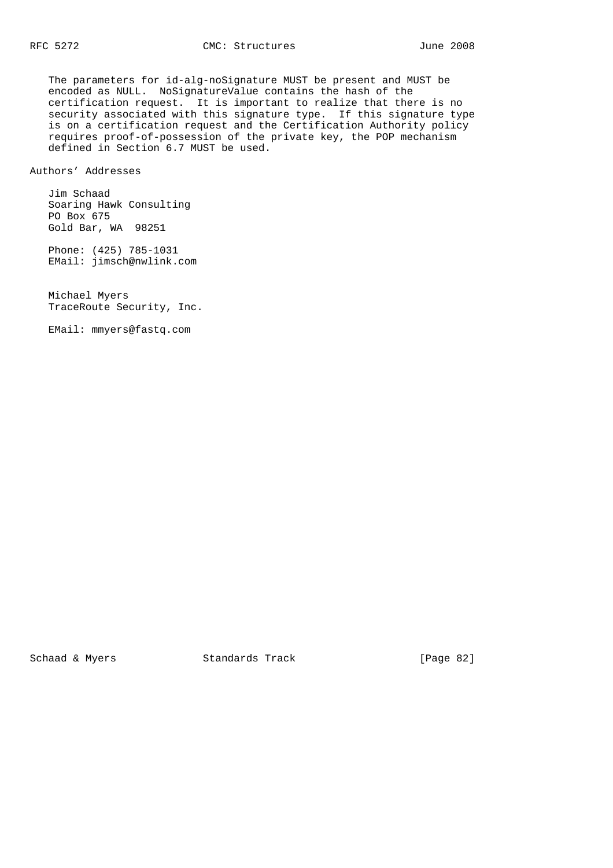The parameters for id-alg-noSignature MUST be present and MUST be encoded as NULL. NoSignatureValue contains the hash of the certification request. It is important to realize that there is no security associated with this signature type. If this signature type is on a certification request and the Certification Authority policy requires proof-of-possession of the private key, the POP mechanism defined in Section 6.7 MUST be used.

Authors' Addresses

 Jim Schaad Soaring Hawk Consulting PO Box 675 Gold Bar, WA 98251

 Phone: (425) 785-1031 EMail: jimsch@nwlink.com

 Michael Myers TraceRoute Security, Inc.

EMail: mmyers@fastq.com

Schaad & Myers Standards Track [Page 82]